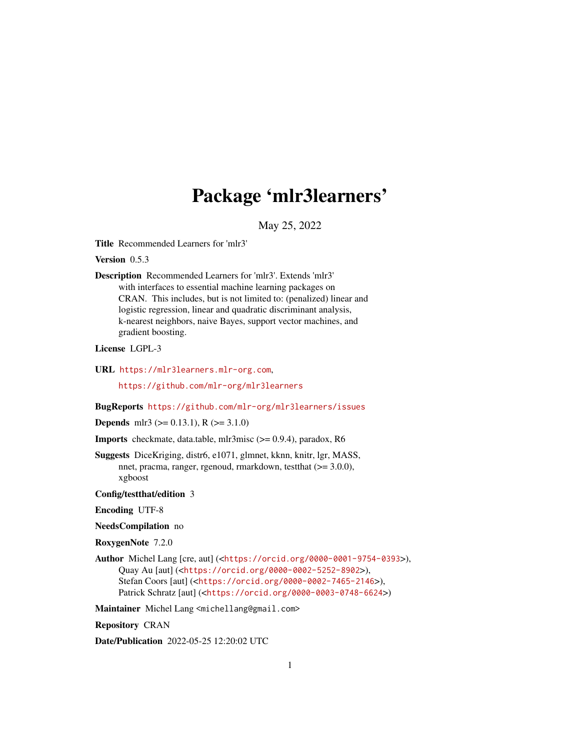# Package 'mlr3learners'

May 25, 2022

<span id="page-0-0"></span>Title Recommended Learners for 'mlr3'

Version 0.5.3

Description Recommended Learners for 'mlr3'. Extends 'mlr3' with interfaces to essential machine learning packages on CRAN. This includes, but is not limited to: (penalized) linear and logistic regression, linear and quadratic discriminant analysis, k-nearest neighbors, naive Bayes, support vector machines, and gradient boosting.

License LGPL-3

URL <https://mlr3learners.mlr-org.com>,

<https://github.com/mlr-org/mlr3learners>

BugReports <https://github.com/mlr-org/mlr3learners/issues>

**Depends** mlr3 ( $> = 0.13.1$ ), R ( $> = 3.1.0$ )

Imports checkmate, data.table, mlr3misc (>= 0.9.4), paradox, R6

Suggests DiceKriging, distr6, e1071, glmnet, kknn, knitr, lgr, MASS, nnet, pracma, ranger, rgenoud, rmarkdown, testthat (>= 3.0.0), xgboost

Config/testthat/edition 3

Encoding UTF-8

NeedsCompilation no

RoxygenNote 7.2.0

Author Michel Lang [cre, aut] (<<https://orcid.org/0000-0001-9754-0393>>), Quay Au [aut] (<<https://orcid.org/0000-0002-5252-8902>>), Stefan Coors [aut] (<<https://orcid.org/0000-0002-7465-2146>>), Patrick Schratz [aut] (<<https://orcid.org/0000-0003-0748-6624>>)

Maintainer Michel Lang <michellang@gmail.com>

Repository CRAN

Date/Publication 2022-05-25 12:20:02 UTC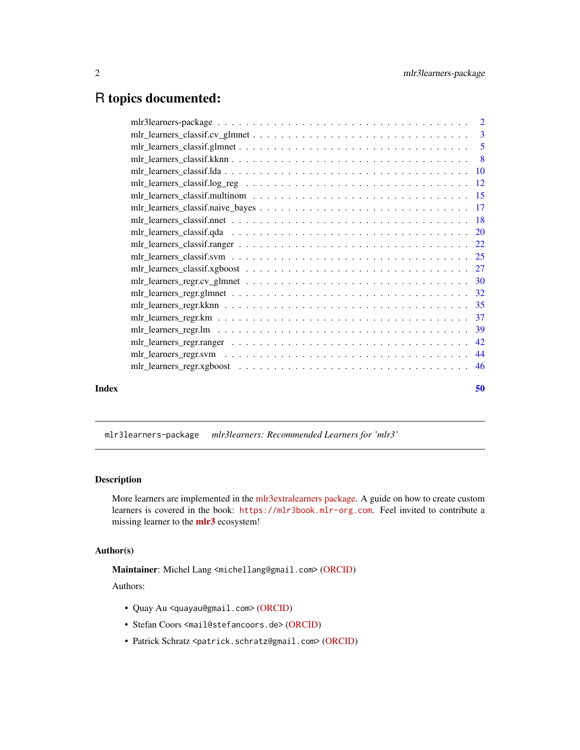# <span id="page-1-0"></span>R topics documented:

|       | $mlr_learners_lclassif.cv_lglmnet \ldots \ldots \ldots \ldots \ldots \ldots \ldots \ldots \ldots \ldots \ldots$                             |    |
|-------|---------------------------------------------------------------------------------------------------------------------------------------------|----|
|       |                                                                                                                                             |    |
|       |                                                                                                                                             |    |
|       |                                                                                                                                             |    |
|       | $mlr_learners_lclassif.log_reg \dots \dots \dots \dots \dots \dots \dots \dots \dots \dots \dots \dots \dots \dots \dots \dots \dots \dots$ |    |
|       |                                                                                                                                             |    |
|       |                                                                                                                                             |    |
|       |                                                                                                                                             |    |
|       |                                                                                                                                             |    |
|       |                                                                                                                                             |    |
|       |                                                                                                                                             |    |
|       |                                                                                                                                             |    |
|       |                                                                                                                                             |    |
|       |                                                                                                                                             |    |
|       |                                                                                                                                             |    |
|       |                                                                                                                                             |    |
|       |                                                                                                                                             |    |
|       |                                                                                                                                             |    |
|       |                                                                                                                                             |    |
|       |                                                                                                                                             |    |
|       |                                                                                                                                             |    |
| Index |                                                                                                                                             | 50 |
|       |                                                                                                                                             |    |

mlr3learners-package *mlr3learners: Recommended Learners for 'mlr3'*

# Description

More learners are implemented in the [mlr3extralearners package.](https://github.com/mlr-org/mlr3extralearners) A guide on how to create custom learners is covered in the book: <https://mlr3book.mlr-org.com>. Feel invited to contribute a missing learner to the [mlr3](https://CRAN.R-project.org/package=mlr3) ecosystem!

# Author(s)

Maintainer: Michel Lang <michellang@gmail.com> [\(ORCID\)](https://orcid.org/0000-0001-9754-0393)

Authors:

- Quay Au <quayau@gmail.com> [\(ORCID\)](https://orcid.org/0000-0002-5252-8902)
- Stefan Coors <mail@stefancoors.de> [\(ORCID\)](https://orcid.org/0000-0002-7465-2146)
- Patrick Schratz <patrick.schratz@gmail.com> [\(ORCID\)](https://orcid.org/0000-0003-0748-6624)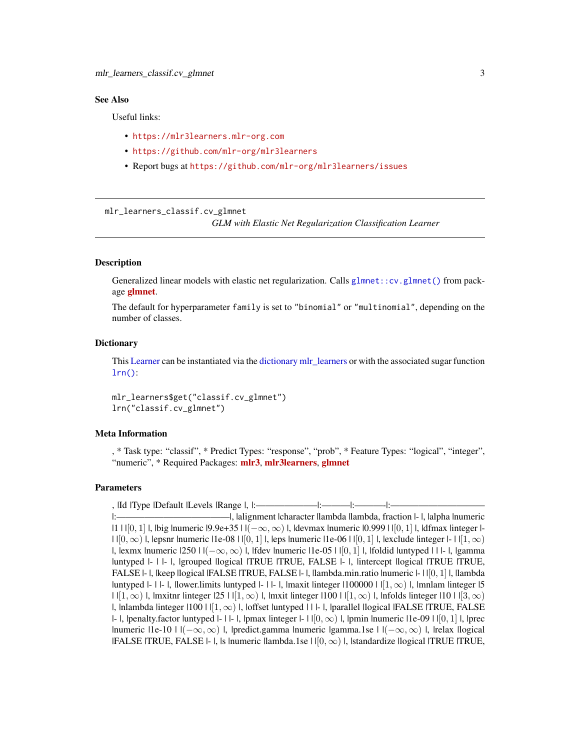# <span id="page-2-0"></span>See Also

Useful links:

- <https://mlr3learners.mlr-org.com>
- <https://github.com/mlr-org/mlr3learners>
- Report bugs at <https://github.com/mlr-org/mlr3learners/issues>

<span id="page-2-1"></span>mlr\_learners\_classif.cv\_glmnet

*GLM with Elastic Net Regularization Classification Learner*

# **Description**

Generalized linear models with elastic net regularization. Calls [glmnet::cv.glmnet\(\)](#page-0-0) from package **[glmnet](https://CRAN.R-project.org/package=glmnet)**.

The default for hyperparameter family is set to "binomial" or "multinomial", depending on the number of classes.

## **Dictionary**

This [Learner](#page-0-0) can be instantiated via the [dictionary](#page-0-0) [mlr\\_learners](#page-0-0) or with the associated sugar function [lrn\(\)](#page-0-0):

mlr\_learners\$get("classif.cv\_glmnet") lrn("classif.cv\_glmnet")

# Meta Information

, \* Task type: "classif", \* Predict Types: "response", "prob", \* Feature Types: "logical", "integer", "numeric", \* Required Packages: [mlr3](https://CRAN.R-project.org/package=mlr3), [mlr3learners](https://CRAN.R-project.org/package=mlr3learners), [glmnet](https://CRAN.R-project.org/package=glmnet)

# Parameters

, |Id |Type |Default |Levels |Range |, |:——————–|:———|:———-|:——————————

<sup>|:————————————|, |</sup>alignment |character |lambda |lambda, fraction |- |, |alpha |numeric |1 |  $|[0,1]$  |, |big |numeric |9.9e+35 |  $|(-\infty,\infty)$  |, |devmax |numeric |0.999 | | $|0,1]$  |, |dfmax |integer |- $||[0, \infty)|$ , lepsnr |numeric |1e-08 |  $|[0, 1]|$ , |eps |numeric |1e-06 |  $|[0, 1]|$ , |exclude |integer  $|-||[1, \infty)|$ |, |exmx |numeric |250 |  $|(-\infty, \infty)$  |, |fdev |numeric | 1e-05 | | [0, 1] |, |foldid |untyped | | | - |, |gamma |untyped |- | |- |, |grouped |logical |TRUE |TRUE, FALSE |- |, |intercept |logical |TRUE |TRUE, FALSE |- |, |keep |logical |FALSE |TRUE, FALSE |- |, |lambda.min.ratio |numeric |- | | | 0, 1 | |, |lambda |untyped  $|-|$  |- |, |lower.limits |untyped  $|-|$  |- |, |maxit |integer  $|100000|$  |  $|[1,\infty)$  |, |mnlam |integer |5  $|||1,\infty|$ ,  $||$  | ||mxitnr |integer  $|25|||1,\infty|$ , ||, ||mxit |integer  $|100|||1,\infty|$ , ||nfolds |integer  $|10|||3,\infty|$ |, |nlambda |integer | 100 | |  $[1, \infty)$  |, |offset |untyped | | |- |, |parallel |logical |FALSE |TRUE, FALSE |-  $\vert$ , |penalty.factor |untyped |- | |- |, |pmax |integer |- | | $[0, \infty)$  |, |pmin |numeric |1e-09 | | $[0, 1]$  |, |prec |numeric |1e-10 |  $|(-\infty, \infty)$  |, |predict.gamma |numeric |gamma.1se |  $|(-\infty, \infty)$  |, |relax |logical  $|FALSE|$  |TRUE, FALSE |- |, |s |numeric |lambda.1se |  $| [0, \infty)$  |, |standardize |logical |TRUE |TRUE,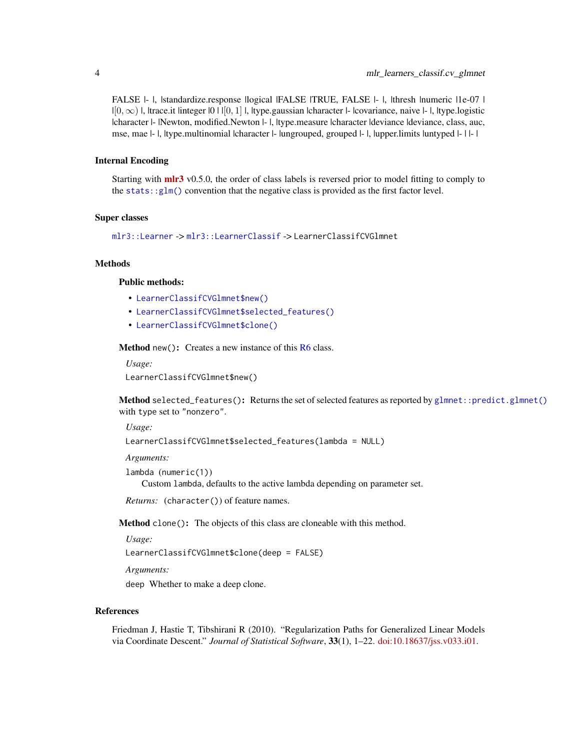<span id="page-3-3"></span>FALSE |- |, |standardize.response |logical |FALSE |TRUE, FALSE |- |, |thresh |numeric |1e-07 |  $|[0, \infty)|$ , Itrace.it linteger  $|0 \mid |[0, 1]|$ , Itype.gaussian lcharacter |- lcovariance, naive |- |, |type.logistic |character |- |Newton, modified.Newton |- |, |type.measure |character |deviance |deviance, class, auc, mse, mae  $|-|$ , |type.multinomial |character  $|-$  |ungrouped, grouped  $|-|$ , |upper.limits |untyped  $|-|$  |  $-|$ 

## Internal Encoding

Starting with  $mlr3$  v0.5.0, the order of class labels is reversed prior to model fitting to comply to the stats:: $glm()$  convention that the negative class is provided as the first factor level.

## Super classes

```
mlr3::Learner -> mlr3::LearnerClassif -> LearnerClassifCVGlmnet
```
# **Methods**

# Public methods:

- [LearnerClassifCVGlmnet\\$new\(\)](#page-3-0)
- [LearnerClassifCVGlmnet\\$selected\\_features\(\)](#page-3-1)
- [LearnerClassifCVGlmnet\\$clone\(\)](#page-3-2)

<span id="page-3-0"></span>Method new(): Creates a new instance of this [R6](#page-0-0) class.

*Usage:*

LearnerClassifCVGlmnet\$new()

<span id="page-3-1"></span>Method selected\_features(): Returns the set of selected features as reported by [glmnet::predict.glmnet\(\)](#page-0-0) with type set to "nonzero".

*Usage:*

```
LearnerClassifCVGlmnet$selected_features(lambda = NULL)
```
*Arguments:*

```
lambda (numeric(1))
   Custom lambda, defaults to the active lambda depending on parameter set.
```
*Returns:* (character()) of feature names.

<span id="page-3-2"></span>Method clone(): The objects of this class are cloneable with this method.

*Usage:*

LearnerClassifCVGlmnet\$clone(deep = FALSE)

*Arguments:*

deep Whether to make a deep clone.

# References

Friedman J, Hastie T, Tibshirani R (2010). "Regularization Paths for Generalized Linear Models via Coordinate Descent." *Journal of Statistical Software*, 33(1), 1–22. [doi:10.18637/jss.v033.i01.](https://doi.org/10.18637/jss.v033.i01)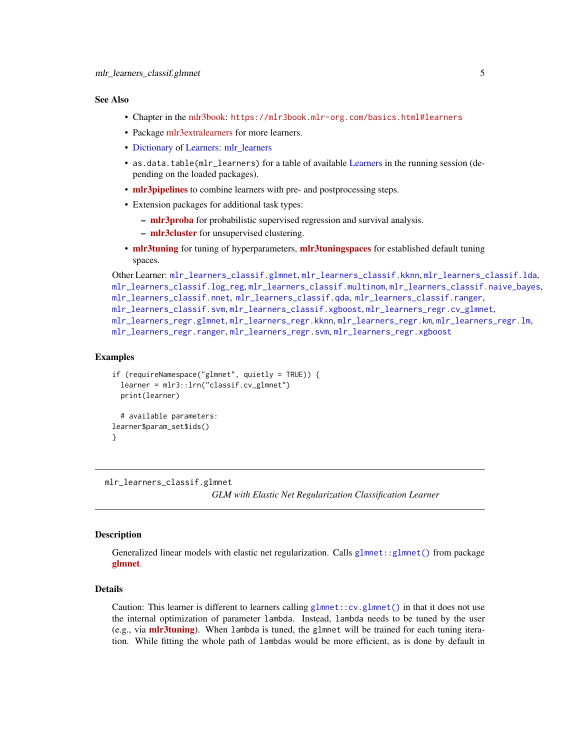## <span id="page-4-0"></span>See Also

- Chapter in the [mlr3book:](https://mlr3book.mlr-org.com/) <https://mlr3book.mlr-org.com/basics.html#learners>
- Package [mlr3extralearners](https://github.com/mlr-org/mlr3extralearners) for more learners.
- [Dictionary](#page-0-0) of [Learners:](#page-0-0) [mlr\\_learners](#page-0-0)
- as.data.table(mlr\_learners) for a table of available [Learners](#page-0-0) in the running session (depending on the loaded packages).
- **[mlr3pipelines](https://CRAN.R-project.org/package=mlr3pipelines)** to combine learners with pre- and postprocessing steps.
- Extension packages for additional task types:
	- [mlr3proba](https://CRAN.R-project.org/package=mlr3proba) for probabilistic supervised regression and survival analysis.
	- [mlr3cluster](https://CRAN.R-project.org/package=mlr3cluster) for unsupervised clustering.
- [mlr3tuning](https://CRAN.R-project.org/package=mlr3tuning) for tuning of hyperparameters, [mlr3tuningspaces](https://CRAN.R-project.org/package=mlr3tuningspaces) for established default tuning spaces.

```
Other Learner: mlr_learners_classif.glmnet, mlr_learners_classif.kknn, mlr_learners_classif.lda,
mlr_learners_classif.log_reg, mlr_learners_classif.multinom, mlr_learners_classif.naive_bayes,
mlr_learners_classif.nnet, mlr_learners_classif.qda, mlr_learners_classif.ranger,
mlr_learners_classif.svm, mlr_learners_classif.xgboost, mlr_learners_regr.cv_glmnet,
mlr_learners_regr.glmnet, mlr_learners_regr.kknn, mlr_learners_regr.km, mlr_learners_regr.lm,
mlr_learners_regr.ranger, mlr_learners_regr.svm, mlr_learners_regr.xgboost
```
#### Examples

```
if (requireNamespace("glmnet", quietly = TRUE)) {
 learner = mlr3::lrn("classif.cv_glmnet")
 print(learner)
 # available parameters:
learner$param_set$ids()
}
```
<span id="page-4-1"></span>mlr\_learners\_classif.glmnet

*GLM with Elastic Net Regularization Classification Learner*

## **Description**

Generalized linear models with elastic net regularization. Calls  $glmnet:glmnet()$  from package [glmnet](https://CRAN.R-project.org/package=glmnet).

# Details

Caution: This learner is different to learners calling glmnet:: $cv$ , glmnet() in that it does not use the internal optimization of parameter lambda. Instead, lambda needs to be tuned by the user (e.g., via **[mlr3tuning](https://CRAN.R-project.org/package=mlr3tuning)**). When lambda is tuned, the glmnet will be trained for each tuning iteration. While fitting the whole path of lambdas would be more efficient, as is done by default in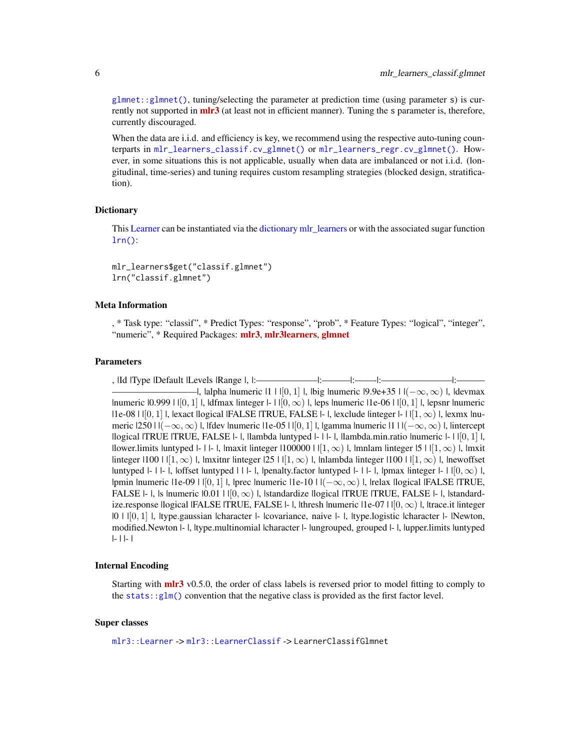<span id="page-5-0"></span>[glmnet::glmnet\(\)](#page-0-0), tuning/selecting the parameter at prediction time (using parameter s) is currently not supported in **[mlr3](https://CRAN.R-project.org/package=mlr3)** (at least not in efficient manner). Tuning the s parameter is, therefore, currently discouraged.

When the data are i.i.d. and efficiency is key, we recommend using the respective auto-tuning counterparts in [mlr\\_learners\\_classif.cv\\_glmnet\(\)](#page-2-1) or [mlr\\_learners\\_regr.cv\\_glmnet\(\)](#page-29-1). However, in some situations this is not applicable, usually when data are imbalanced or not i.i.d. (longitudinal, time-series) and tuning requires custom resampling strategies (blocked design, stratification).

## **Dictionary**

This [Learner](#page-0-0) can be instantiated via the [dictionary](#page-0-0) [mlr\\_learners](#page-0-0) or with the associated sugar function  $lrn()$ :

mlr\_learners\$get("classif.glmnet") lrn("classif.glmnet")

# Meta Information

, \* Task type: "classif", \* Predict Types: "response", "prob", \* Feature Types: "logical", "integer", "numeric", \* Required Packages: [mlr3](https://CRAN.R-project.org/package=mlr3), [mlr3learners](https://CRAN.R-project.org/package=mlr3learners), [glmnet](https://CRAN.R-project.org/package=glmnet)

#### Parameters

, |Id |Type |Default |Levels |Range |, |:——————————|:————|:————|:———————|:— —I, lalpha Inumeric  $|1 \mid |0,1| \mid$ , lbig Inumeric  $|9.9e+35 \mid |(-\infty,\infty)|$ , Idevmax |numeric  $|0.999 \mid |[0,1] \mid$ , |dfmax |integer  $|-1|[0,\infty) \mid$ , |eps |numeric |1e-06 |  $|[0,1] \mid$ , |epsnr |numeric  $|1e-08|$   $| |0,1|$  |, |exact |logical |FALSE |TRUE, FALSE  $| - |$ , |exclude |integer  $| - | |1, \infty \rangle |$ , |exmx |numeric  $|2501|(-\infty,\infty)$  |, |fdev |numeric |1e-05 | | $[0,1]$  |, |gamma |numeric |1 |  $|(-\infty,\infty)$  |, |intercept |logical |TRUE |TRUE, FALSE |- |, |lambda |untyped |- | |- |, |lambda.min.ratio |numeric |- | |[0, 1] |, |lower.limits |untyped |- | |- |, |maxit |integer |100000 | | $[1,\infty)$  |, |mnlam |integer |5 | | $[1,\infty)$  |, |mxit  $\lim_{\epsilon \to 0}$  |  $(1, \infty)$  |,  $\lim_{\epsilon \to 0}$  |  $\lim_{\epsilon \to 0}$  |  $(1, \infty)$  |,  $\lim_{\epsilon \to 0}$  |  $\lim_{\epsilon \to 0}$  |  $(1, \infty)$  |,  $\lim_{\epsilon \to 0}$  |  $\lim_{\epsilon \to 0}$  |  $\lim_{\epsilon \to 0}$  |  $\lim_{\epsilon \to 0}$  |  $\lim_{\epsilon \to 0}$  |  $\lim_{\epsilon \to 0}$  |  $\lim_{\epsilon \to 0}$  |  $\$ |untyped  $|-|$  |  $-|$ , |offset |untyped | | | - |, |penalty.factor |untyped  $|-|$  | - |, |pmax |integer  $|-|$  |  $|0,\infty)$  |, |pmin |numeric |1e-09 |  $|[0,1]$  |, |prec |numeric |1e-10 |  $|(-\infty,\infty)$  |, |relax |logical |FALSE |TRUE, FALSE  $\vdash$  l, ls lnumeric  $|0.01|$   $|0, \infty\rangle$  l, istandardize llogical lTRUE ITRUE, FALSE  $\vdash$  l, lstandardize.response |logical |FALSE |TRUE, FALSE  $\vdash$  |, |thresh |numeric | 1e-07 |  $\vert [0, \infty) \vert$ , |trace.it |integer |0 | |[0, 1] |, |type.gaussian |character |- |covariance, naive |- |, |type.logistic |character |- |Newton, modified.Newton |- |, |type.multinomial |character |- |ungrouped, grouped |- |, |upper.limits |untyped |- | |- |

## Internal Encoding

Starting with **[mlr3](https://CRAN.R-project.org/package=mlr3)** v0.5.0, the order of class labels is reversed prior to model fitting to comply to the stats:: $glm()$  convention that the negative class is provided as the first factor level.

## Super classes

[mlr3::Learner](#page-0-0) -> [mlr3::LearnerClassif](#page-0-0) -> LearnerClassifGlmnet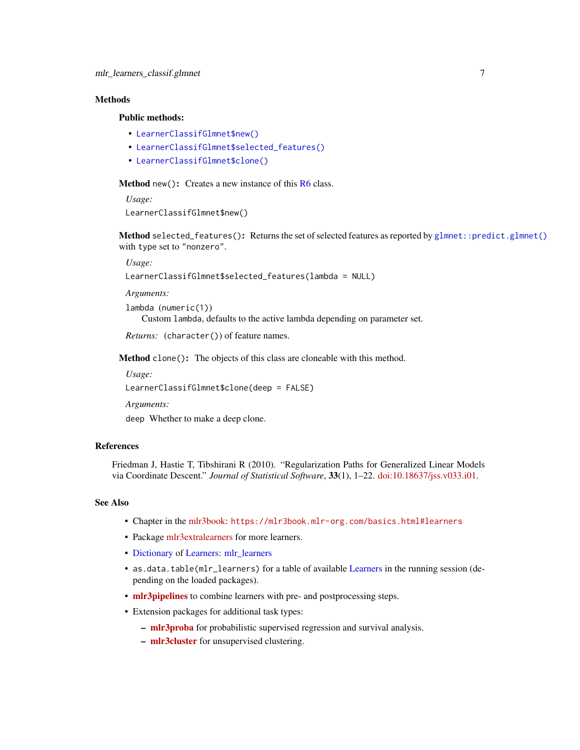# <span id="page-6-3"></span>**Methods**

# Public methods:

- [LearnerClassifGlmnet\\$new\(\)](#page-6-0)
- [LearnerClassifGlmnet\\$selected\\_features\(\)](#page-6-1)
- [LearnerClassifGlmnet\\$clone\(\)](#page-6-2)

<span id="page-6-0"></span>**Method** new( $)$ : Creates a new instance of this  $R6$  class.

*Usage:* LearnerClassifGlmnet\$new()

<span id="page-6-1"></span>Method selected\_features(): Returns the set of selected features as reported by [glmnet::predict.glmnet\(\)](#page-0-0) with type set to "nonzero".

*Usage:*

```
LearnerClassifGlmnet$selected_features(lambda = NULL)
```
*Arguments:*

lambda (numeric(1))

Custom lambda, defaults to the active lambda depending on parameter set.

```
Returns: (character()) of feature names.
```
<span id="page-6-2"></span>Method clone(): The objects of this class are cloneable with this method.

*Usage:*

LearnerClassifGlmnet\$clone(deep = FALSE)

*Arguments:*

deep Whether to make a deep clone.

# References

Friedman J, Hastie T, Tibshirani R (2010). "Regularization Paths for Generalized Linear Models via Coordinate Descent." *Journal of Statistical Software*, 33(1), 1–22. [doi:10.18637/jss.v033.i01.](https://doi.org/10.18637/jss.v033.i01)

#### See Also

- Chapter in the [mlr3book:](https://mlr3book.mlr-org.com/) <https://mlr3book.mlr-org.com/basics.html#learners>
- Package [mlr3extralearners](https://github.com/mlr-org/mlr3extralearners) for more learners.
- [Dictionary](#page-0-0) of [Learners:](#page-0-0) [mlr\\_learners](#page-0-0)
- as.data.table(mlr\_learners) for a table of available [Learners](#page-0-0) in the running session (depending on the loaded packages).
- **[mlr3pipelines](https://CRAN.R-project.org/package=mlr3pipelines)** to combine learners with pre- and postprocessing steps.
- Extension packages for additional task types:
	- [mlr3proba](https://CRAN.R-project.org/package=mlr3proba) for probabilistic supervised regression and survival analysis.
	- [mlr3cluster](https://CRAN.R-project.org/package=mlr3cluster) for unsupervised clustering.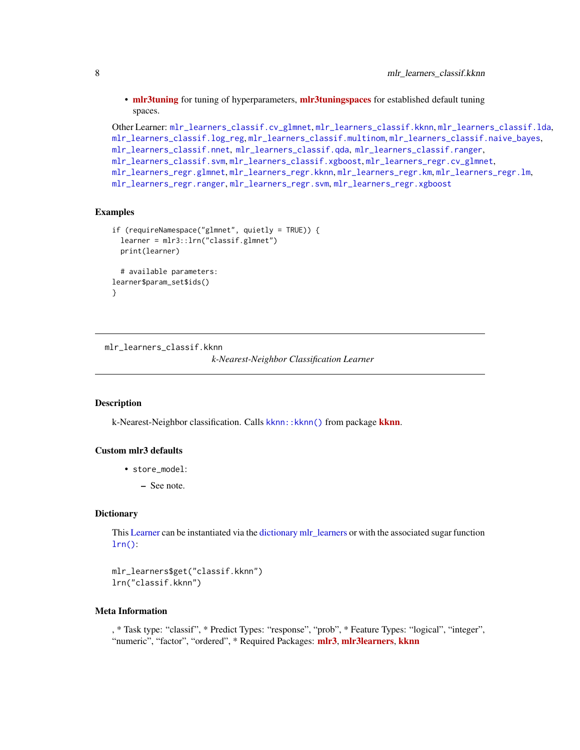<span id="page-7-0"></span>• [mlr3tuning](https://CRAN.R-project.org/package=mlr3tuning) for tuning of hyperparameters, [mlr3tuningspaces](https://CRAN.R-project.org/package=mlr3tuningspaces) for established default tuning spaces.

```
Other Learner: mlr_learners_classif.cv_glmnet, mlr_learners_classif.kknn, mlr_learners_classif.lda,
mlr_learners_classif.log_reg, mlr_learners_classif.multinom, mlr_learners_classif.naive_bayes,
mlr_learners_classif.nnet, mlr_learners_classif.qda, mlr_learners_classif.ranger,
mlr_learners_classif.svm, mlr_learners_classif.xgboost, mlr_learners_regr.cv_glmnet,
mlr_learners_regr.glmnet, mlr_learners_regr.kknn, mlr_learners_regr.km, mlr_learners_regr.lm,
mlr_learners_regr.ranger, mlr_learners_regr.svm, mlr_learners_regr.xgboost
```
## Examples

```
if (requireNamespace("glmnet", quietly = TRUE)) {
 learner = mlr3::lrn("classif.glmnet")
 print(learner)
 # available parameters:
learner$param_set$ids()
}
```

```
mlr_learners_classif.kknn
                         k-Nearest-Neighbor Classification Learner
```
### Description

k-Nearest-Neighbor classification. Calls [kknn](https://CRAN.R-project.org/package=kknn):: kknn() from package kknn.

# Custom mlr3 defaults

- store\_model:
	- See note.

## **Dictionary**

This [Learner](#page-0-0) can be instantiated via the [dictionary](#page-0-0) [mlr\\_learners](#page-0-0) or with the associated sugar function  $lrn()$ :

mlr\_learners\$get("classif.kknn") lrn("classif.kknn")

# Meta Information

, \* Task type: "classif", \* Predict Types: "response", "prob", \* Feature Types: "logical", "integer", "numeric", "factor", "ordered", \* Required Packages: [mlr3](https://CRAN.R-project.org/package=mlr3), [mlr3learners](https://CRAN.R-project.org/package=mlr3learners), [kknn](https://CRAN.R-project.org/package=kknn)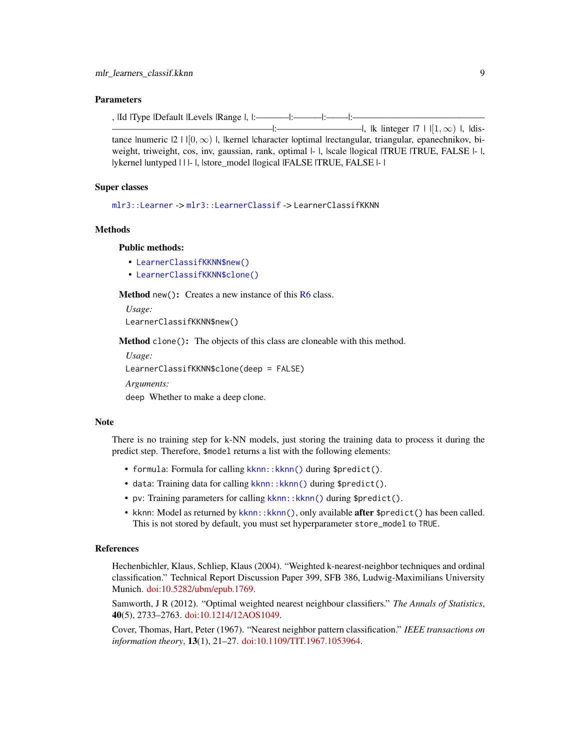## <span id="page-8-2"></span>Parameters

, |Id |Type |Default |Levels |Range |, |:———–|:———|:——-|:——————————————

—————————————————|:—————————|, |k |integer |7 | |[1, ∞) |, |distance |numeric  $|2 \mid |0, \infty)$  |, |kernel |character |optimal |rectangular, triangular, epanechnikov, biweight, triweight, cos, inv, gaussian, rank, optimal  $|-|$ , scale llogical ITRUE ITRUE, FALSE  $|-|$ , |ykernel |untyped | | | - |, |store\_model |logical |FALSE |TRUE, FALSE |- |

# Super classes

[mlr3::Learner](#page-0-0) -> [mlr3::LearnerClassif](#page-0-0) -> LearnerClassifKKNN

## Methods

# Public methods:

- [LearnerClassifKKNN\\$new\(\)](#page-8-0)
- [LearnerClassifKKNN\\$clone\(\)](#page-8-1)

<span id="page-8-0"></span>**Method** new(): Creates a new instance of this  $R6$  class.

*Usage:*

LearnerClassifKKNN\$new()

<span id="page-8-1"></span>Method clone(): The objects of this class are cloneable with this method.

*Usage:*

LearnerClassifKKNN\$clone(deep = FALSE)

*Arguments:*

deep Whether to make a deep clone.

#### Note

There is no training step for k-NN models, just storing the training data to process it during the predict step. Therefore, \$model returns a list with the following elements:

- formula: Formula for calling kknn:: kknn() during \$predict().
- data: Training data for calling kknn:: kknn() during \$predict().
- pv: Training parameters for calling kknn:: kknn() during \$predict().
- kknn: Model as returned by [kknn::kknn\(\)](#page-0-0), only available **after** \$predict() has been called. This is not stored by default, you must set hyperparameter store\_model to TRUE.

## References

Hechenbichler, Klaus, Schliep, Klaus (2004). "Weighted k-nearest-neighbor techniques and ordinal classification." Technical Report Discussion Paper 399, SFB 386, Ludwig-Maximilians University Munich. [doi:10.5282/ubm/epub.1769.](https://doi.org/10.5282/ubm/epub.1769)

Samworth, J R (2012). "Optimal weighted nearest neighbour classifiers." *The Annals of Statistics*, 40(5), 2733–2763. [doi:10.1214/12AOS1049.](https://doi.org/10.1214/12-AOS1049)

Cover, Thomas, Hart, Peter (1967). "Nearest neighbor pattern classification." *IEEE transactions on information theory*, 13(1), 21–27. [doi:10.1109/TIT.1967.1053964.](https://doi.org/10.1109/TIT.1967.1053964)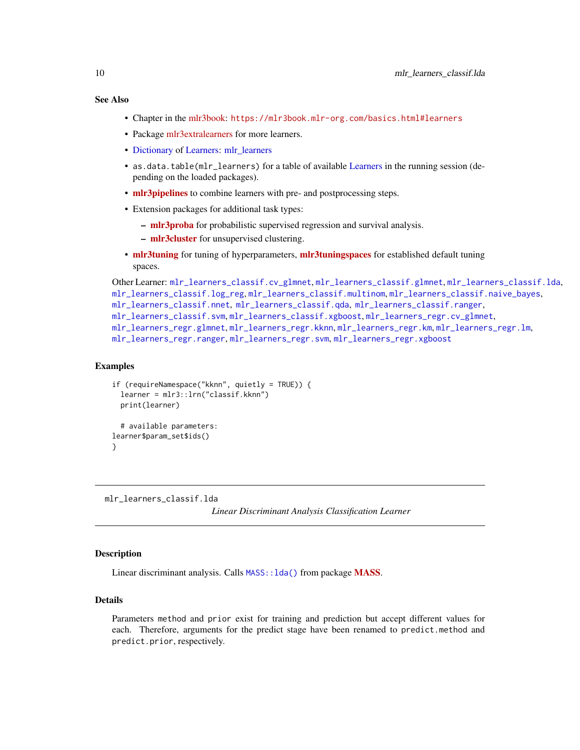# <span id="page-9-0"></span>See Also

- Chapter in the [mlr3book:](https://mlr3book.mlr-org.com/) <https://mlr3book.mlr-org.com/basics.html#learners>
- Package [mlr3extralearners](https://github.com/mlr-org/mlr3extralearners) for more learners.
- [Dictionary](#page-0-0) of [Learners:](#page-0-0) [mlr\\_learners](#page-0-0)
- as.data.table(mlr\_learners) for a table of available [Learners](#page-0-0) in the running session (depending on the loaded packages).
- **[mlr3pipelines](https://CRAN.R-project.org/package=mlr3pipelines)** to combine learners with pre- and postprocessing steps.
- Extension packages for additional task types:
	- [mlr3proba](https://CRAN.R-project.org/package=mlr3proba) for probabilistic supervised regression and survival analysis.
	- [mlr3cluster](https://CRAN.R-project.org/package=mlr3cluster) for unsupervised clustering.
- [mlr3tuning](https://CRAN.R-project.org/package=mlr3tuning) for tuning of hyperparameters, [mlr3tuningspaces](https://CRAN.R-project.org/package=mlr3tuningspaces) for established default tuning spaces.

```
Other Learner: mlr_learners_classif.cv_glmnet, mlr_learners_classif.glmnet, mlr_learners_classif.lda,
mlr_learners_classif.log_reg, mlr_learners_classif.multinom, mlr_learners_classif.naive_bayes,
mlr_learners_classif.nnet, mlr_learners_classif.qda, mlr_learners_classif.ranger,
mlr_learners_classif.svm, mlr_learners_classif.xgboost, mlr_learners_regr.cv_glmnet,
mlr_learners_regr.glmnet, mlr_learners_regr.kknn, mlr_learners_regr.km, mlr_learners_regr.lm,
mlr_learners_regr.ranger, mlr_learners_regr.svm, mlr_learners_regr.xgboost
```
## Examples

```
if (requireNamespace("kknn", quietly = TRUE)) {
  learner = mlr3::lrn("classif.kknn")
 print(learner)
 # available parameters:
learner$param_set$ids()
}
```
<span id="page-9-1"></span>mlr\_learners\_classif.lda

*Linear Discriminant Analysis Classification Learner*

# **Description**

Linear discriminant analysis. Calls [MASS](https://CRAN.R-project.org/package=MASS):: lda() from package MASS.

## Details

Parameters method and prior exist for training and prediction but accept different values for each. Therefore, arguments for the predict stage have been renamed to predict.method and predict.prior, respectively.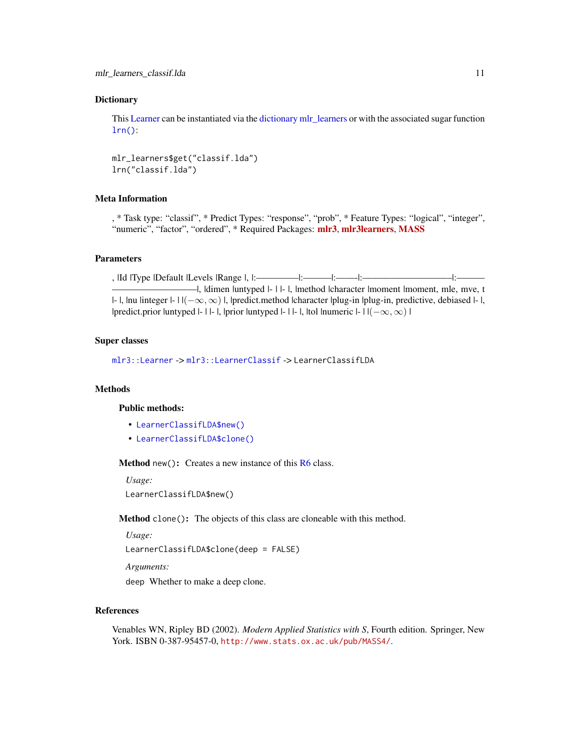# <span id="page-10-2"></span>**Dictionary**

This [Learner](#page-0-0) can be instantiated via the [dictionary](#page-0-0) [mlr\\_learners](#page-0-0) or with the associated sugar function  $lrn()$ :

mlr\_learners\$get("classif.lda") lrn("classif.lda")

# Meta Information

, \* Task type: "classif", \* Predict Types: "response", "prob", \* Feature Types: "logical", "integer", "numeric", "factor", "ordered", \* Required Packages: [mlr3](https://CRAN.R-project.org/package=mlr3), [mlr3learners](https://CRAN.R-project.org/package=mlr3learners), [MASS](https://CRAN.R-project.org/package=MASS)

## **Parameters**

, |Id |Type |Default |Levels |Range |, |:————–|:———|:——-|:—————————–|:——— —I, Idimen luntyped I- I I- I, Imethod Icharacter Imoment Imoment, mle, mve, t |- |, |nu |integer |- | |(−∞, ∞) |, |predict.method |character |plug-in |plug-in, predictive, debiased |- |, |predict.prior |untyped |- | |- |, |prior |untyped |- | |- |, |tol |numeric |- | | $(-\infty, \infty)$  |

## Super classes

[mlr3::Learner](#page-0-0) -> [mlr3::LearnerClassif](#page-0-0) -> LearnerClassifLDA

# Methods

#### Public methods:

- [LearnerClassifLDA\\$new\(\)](#page-10-0)
- [LearnerClassifLDA\\$clone\(\)](#page-10-1)

<span id="page-10-0"></span>Method new(): Creates a new instance of this [R6](#page-0-0) class.

*Usage:*

LearnerClassifLDA\$new()

<span id="page-10-1"></span>Method clone(): The objects of this class are cloneable with this method.

*Usage:*

LearnerClassifLDA\$clone(deep = FALSE)

*Arguments:*

deep Whether to make a deep clone.

# References

Venables WN, Ripley BD (2002). *Modern Applied Statistics with S*, Fourth edition. Springer, New York. ISBN 0-387-95457-0, <http://www.stats.ox.ac.uk/pub/MASS4/>.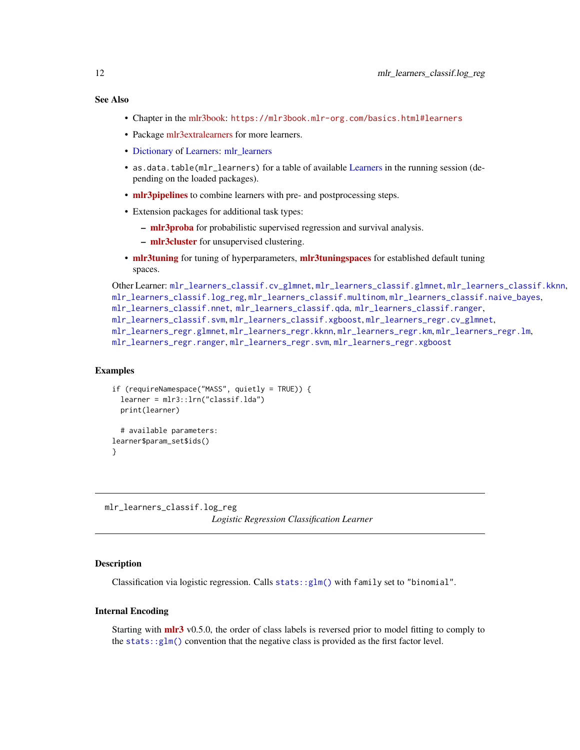# <span id="page-11-0"></span>See Also

- Chapter in the [mlr3book:](https://mlr3book.mlr-org.com/) <https://mlr3book.mlr-org.com/basics.html#learners>
- Package [mlr3extralearners](https://github.com/mlr-org/mlr3extralearners) for more learners.
- [Dictionary](#page-0-0) of [Learners:](#page-0-0) [mlr\\_learners](#page-0-0)
- as.data.table(mlr\_learners) for a table of available [Learners](#page-0-0) in the running session (depending on the loaded packages).
- [mlr3pipelines](https://CRAN.R-project.org/package=mlr3pipelines) to combine learners with pre- and postprocessing steps.
- Extension packages for additional task types:
	- [mlr3proba](https://CRAN.R-project.org/package=mlr3proba) for probabilistic supervised regression and survival analysis.
	- [mlr3cluster](https://CRAN.R-project.org/package=mlr3cluster) for unsupervised clustering.
- [mlr3tuning](https://CRAN.R-project.org/package=mlr3tuning) for tuning of hyperparameters, [mlr3tuningspaces](https://CRAN.R-project.org/package=mlr3tuningspaces) for established default tuning spaces.

```
Other Learner: mlr_learners_classif.cv_glmnet, mlr_learners_classif.glmnet, mlr_learners_classif.kknn,
mlr_learners_classif.log_reg, mlr_learners_classif.multinom, mlr_learners_classif.naive_bayes,
mlr_learners_classif.nnet, mlr_learners_classif.qda, mlr_learners_classif.ranger,
mlr_learners_classif.svm, mlr_learners_classif.xgboost, mlr_learners_regr.cv_glmnet,
mlr_learners_regr.glmnet, mlr_learners_regr.kknn, mlr_learners_regr.km, mlr_learners_regr.lm,
mlr_learners_regr.ranger, mlr_learners_regr.svm, mlr_learners_regr.xgboost
```
# Examples

```
if (requireNamespace("MASS", quietly = TRUE)) {
 learner = mlr3::lrn("classif.lda")
 print(learner)
 # available parameters:
learner$param_set$ids()
}
```
<span id="page-11-1"></span>mlr\_learners\_classif.log\_reg *Logistic Regression Classification Learner*

# Description

Classification via logistic regression. Calls [stats::glm\(\)](#page-0-0) with family set to "binomial".

## Internal Encoding

Starting with  $\text{mlr3}$  $\text{mlr3}$  $\text{mlr3}$  v0.5.0, the order of class labels is reversed prior to model fitting to comply to the [stats::glm\(\)](#page-0-0) convention that the negative class is provided as the first factor level.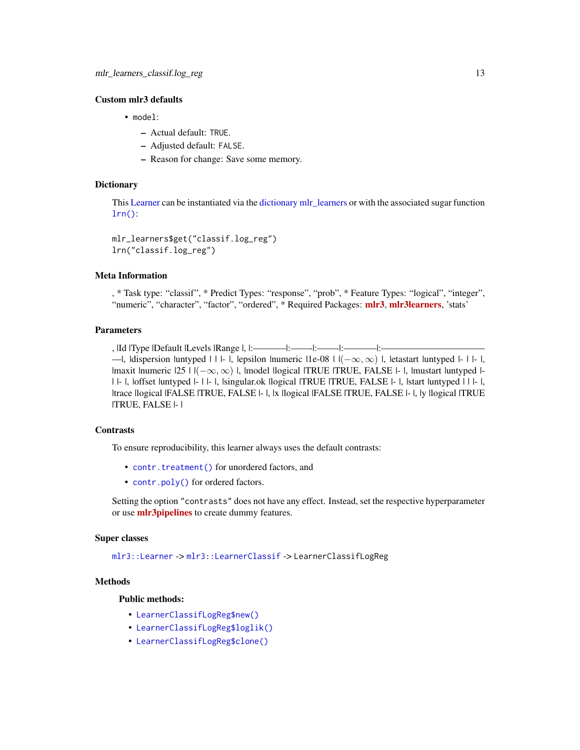# <span id="page-12-1"></span>Custom mlr3 defaults

- model:
	- Actual default: TRUE.
	- Adjusted default: FALSE.
	- Reason for change: Save some memory.

# **Dictionary**

This [Learner](#page-0-0) can be instantiated via the [dictionary](#page-0-0) [mlr\\_learners](#page-0-0) or with the associated sugar function  $lrn()$ :

```
mlr_learners$get("classif.log_reg")
lrn("classif.log_reg")
```
# Meta Information

, \* Task type: "classif", \* Predict Types: "response", "prob", \* Feature Types: "logical", "integer", "numeric", "character", "factor", "ordered", \* Required Packages: [mlr3](https://CRAN.R-project.org/package=mlr3), [mlr3learners](https://CRAN.R-project.org/package=mlr3learners), 'stats'

## Parameters

, |Id |Type |Default |Levels |Range |, |:———–|:——-|:——-|:———–|:——————————— —|, |dispersion |untyped | | | - |, |epsilon |numeric  $|1e-08|$  |  $|(-\infty, \infty)$  |, |etastart |untyped |- | |- |, |maxit |numeric |25 | |(−∞, ∞) |, |model |logical |TRUE |TRUE, FALSE |- |, |mustart |untyped |- | |- |, |offset |untyped |- | |- |, |singular.ok |logical |TRUE |TRUE, FALSE |- |, |start |untyped | | |- |, |trace |logical |FALSE |TRUE, FALSE |- |, |x |logical |FALSE |TRUE, FALSE |- |, |y |logical |TRUE |TRUE, FALSE |- |

# **Contrasts**

To ensure reproducibility, this learner always uses the default contrasts:

- [contr.treatment\(\)](#page-0-0) for unordered factors, and
- [contr.poly\(\)](#page-0-0) for ordered factors.

Setting the option "contrasts" does not have any effect. Instead, set the respective hyperparameter or use **mir3pipelines** to create dummy features.

## Super classes

[mlr3::Learner](#page-0-0) -> [mlr3::LearnerClassif](#page-0-0) -> LearnerClassifLogReg

# Methods

# Public methods:

- [LearnerClassifLogReg\\$new\(\)](#page-12-0)
- [LearnerClassifLogReg\\$loglik\(\)](#page-13-0)
- <span id="page-12-0"></span>• [LearnerClassifLogReg\\$clone\(\)](#page-13-1)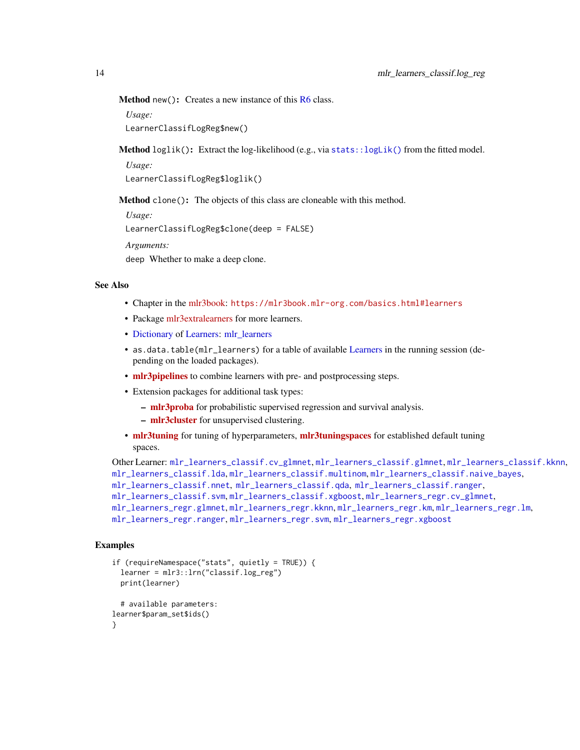<span id="page-13-2"></span>Method new(): Creates a new instance of this [R6](#page-0-0) class.

*Usage:*

LearnerClassifLogReg\$new()

<span id="page-13-0"></span>Method loglik(): Extract the log-likelihood (e.g., via [stats::logLik\(\)](#page-0-0) from the fitted model.

*Usage:*

LearnerClassifLogReg\$loglik()

<span id="page-13-1"></span>Method clone(): The objects of this class are cloneable with this method.

*Usage:*

LearnerClassifLogReg\$clone(deep = FALSE)

*Arguments:*

deep Whether to make a deep clone.

# See Also

- Chapter in the [mlr3book:](https://mlr3book.mlr-org.com/) <https://mlr3book.mlr-org.com/basics.html#learners>
- Package [mlr3extralearners](https://github.com/mlr-org/mlr3extralearners) for more learners.
- [Dictionary](#page-0-0) of [Learners:](#page-0-0) [mlr\\_learners](#page-0-0)
- as.data.table(mlr\_learners) for a table of available [Learners](#page-0-0) in the running session (depending on the loaded packages).
- **[mlr3pipelines](https://CRAN.R-project.org/package=mlr3pipelines)** to combine learners with pre- and postprocessing steps.
- Extension packages for additional task types:
	- [mlr3proba](https://CRAN.R-project.org/package=mlr3proba) for probabilistic supervised regression and survival analysis.
	- [mlr3cluster](https://CRAN.R-project.org/package=mlr3cluster) for unsupervised clustering.
- [mlr3tuning](https://CRAN.R-project.org/package=mlr3tuning) for tuning of hyperparameters, [mlr3tuningspaces](https://CRAN.R-project.org/package=mlr3tuningspaces) for established default tuning spaces.

```
Other Learner: mlr_learners_classif.cv_glmnet, mlr_learners_classif.glmnet, mlr_learners_classif.kknn,
mlr_learners_classif.lda, mlr_learners_classif.multinom, mlr_learners_classif.naive_bayes,
mlr_learners_classif.nnet, mlr_learners_classif.qda, mlr_learners_classif.ranger,
mlr_learners_classif.svm, mlr_learners_classif.xgboost, mlr_learners_regr.cv_glmnet,
mlr_learners_regr.glmnet, mlr_learners_regr.kknn, mlr_learners_regr.km, mlr_learners_regr.lm,
mlr_learners_regr.ranger, mlr_learners_regr.svm, mlr_learners_regr.xgboost
```
# Examples

```
if (requireNamespace("stats", quietly = TRUE)) {
 learner = mlr3::lrn("classif.log_reg")
 print(learner)
 # available parameters:
learner$param_set$ids()
}
```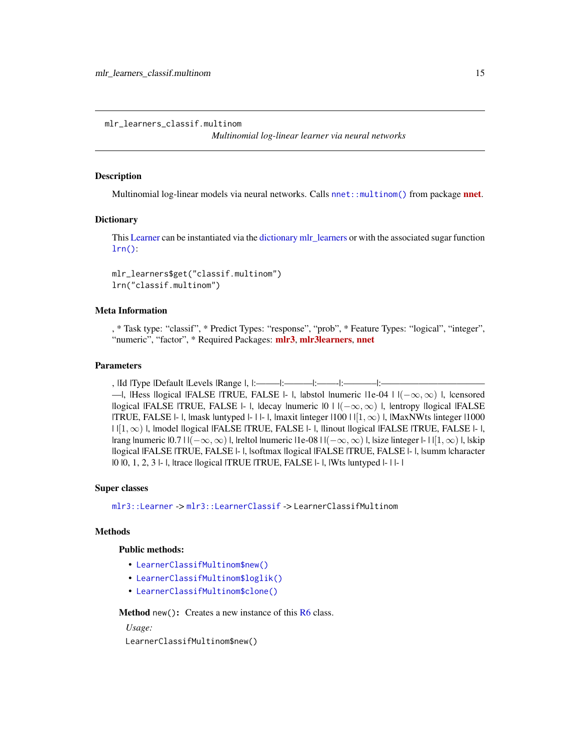<span id="page-14-1"></span><span id="page-14-0"></span>mlr\_learners\_classif.multinom

*Multinomial log-linear learner via neural networks*

## **Description**

Multinomial log-linear models via neural networks. Calls [nnet::multinom\(\)](#page-0-0) from package **[nnet](https://CRAN.R-project.org/package=nnet)**.

#### **Dictionary**

This [Learner](#page-0-0) can be instantiated via the [dictionary](#page-0-0) [mlr\\_learners](#page-0-0) or with the associated sugar function [lrn\(\)](#page-0-0):

```
mlr_learners$get("classif.multinom")
lrn("classif.multinom")
```
# Meta Information

, \* Task type: "classif", \* Predict Types: "response", "prob", \* Feature Types: "logical", "integer", "numeric", "factor", \* Required Packages: [mlr3](https://CRAN.R-project.org/package=mlr3), [mlr3learners](https://CRAN.R-project.org/package=mlr3learners), [nnet](https://CRAN.R-project.org/package=nnet)

# Parameters

, |Id |Type |Default |Levels |Range |, |:——–|:———|:——-|:———–|:——————————— —|, |Hess |logical |FALSE |TRUE, FALSE |- |, |abstol |numeric |1e-04 |  $|(-\infty, \infty)$  |, |censored |logical |FALSE |TRUE, FALSE |- |, |decay |numeric  $|0| + |(-\infty, \infty)$  |, |entropy |logical |FALSE |TRUE, FALSE  $|-|$ , |mask |untyped  $|-|$  |  $|$ , |maxit |integer  $|100|$  |  $|1,\infty\rangle$  |, |MaxNWts |integer |1000  $|\cdot|[1,\infty)$  |, |model |logical |FALSE |TRUE, FALSE  $|\cdot|$ , |linout |logical |FALSE |TRUE, FALSE  $|\cdot|$ , |rang |numeric  $|0.7|$  |  $|(-\infty,\infty)$  |, |reltol |numeric |1e-08 |  $|(-\infty,\infty)$  |, |size |integer |- | |[1,  $\infty$ ) |, |skip |logical |FALSE |TRUE, FALSE |- |, |softmax |logical |FALSE |TRUE, FALSE |- |, |summ |character |0 |0, 1, 2, 3 |- |, |trace |logical |TRUE |TRUE, FALSE |- |, |Wts |untyped |- | |- |

## Super classes

[mlr3::Learner](#page-0-0) -> [mlr3::LearnerClassif](#page-0-0) -> LearnerClassifMultinom

# Methods

## Public methods:

- [LearnerClassifMultinom\\$new\(\)](#page-14-2)
- [LearnerClassifMultinom\\$loglik\(\)](#page-14-3)
- [LearnerClassifMultinom\\$clone\(\)](#page-15-0)

<span id="page-14-2"></span>Method new(): Creates a new instance of this [R6](#page-0-0) class.

*Usage:*

<span id="page-14-3"></span>LearnerClassifMultinom\$new()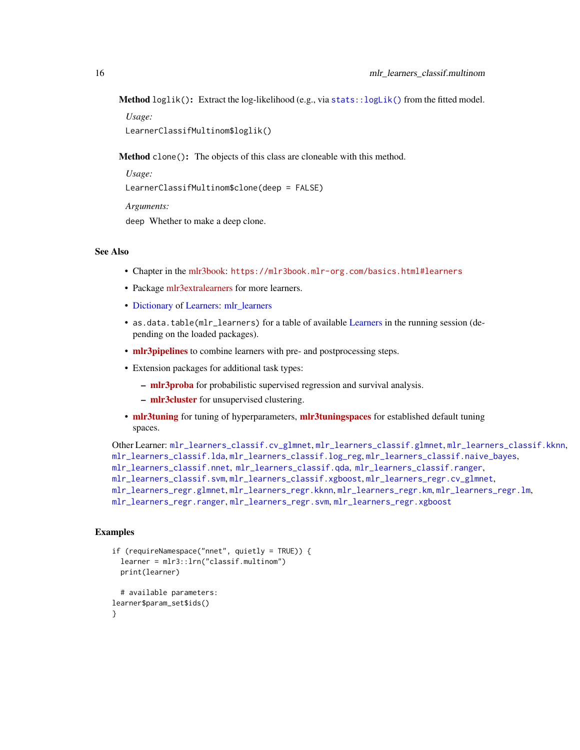<span id="page-15-1"></span>Method loglik(): Extract the log-likelihood (e.g., via stats:: $logLik()$  from the fitted model.

*Usage:*

LearnerClassifMultinom\$loglik()

<span id="page-15-0"></span>Method clone(): The objects of this class are cloneable with this method.

```
Usage:
LearnerClassifMultinom$clone(deep = FALSE)
Arguments:
deep Whether to make a deep clone.
```
## See Also

- Chapter in the [mlr3book:](https://mlr3book.mlr-org.com/) <https://mlr3book.mlr-org.com/basics.html#learners>
- Package [mlr3extralearners](https://github.com/mlr-org/mlr3extralearners) for more learners.
- [Dictionary](#page-0-0) of [Learners:](#page-0-0) [mlr\\_learners](#page-0-0)
- as.data.table(mlr\_learners) for a table of available [Learners](#page-0-0) in the running session (depending on the loaded packages).
- [mlr3pipelines](https://CRAN.R-project.org/package=mlr3pipelines) to combine learners with pre- and postprocessing steps.
- Extension packages for additional task types:
	- [mlr3proba](https://CRAN.R-project.org/package=mlr3proba) for probabilistic supervised regression and survival analysis.
	- [mlr3cluster](https://CRAN.R-project.org/package=mlr3cluster) for unsupervised clustering.
- [mlr3tuning](https://CRAN.R-project.org/package=mlr3tuning) for tuning of hyperparameters, [mlr3tuningspaces](https://CRAN.R-project.org/package=mlr3tuningspaces) for established default tuning spaces.

```
Other Learner: mlr_learners_classif.cv_glmnet, mlr_learners_classif.glmnet, mlr_learners_classif.kknn,
mlr_learners_classif.lda, mlr_learners_classif.log_reg, mlr_learners_classif.naive_bayes,
mlr_learners_classif.nnet, mlr_learners_classif.qda, mlr_learners_classif.ranger,
mlr_learners_classif.svm, mlr_learners_classif.xgboost, mlr_learners_regr.cv_glmnet,
mlr_learners_regr.glmnet, mlr_learners_regr.kknn, mlr_learners_regr.km, mlr_learners_regr.lm,
mlr_learners_regr.ranger, mlr_learners_regr.svm, mlr_learners_regr.xgboost
```
# Examples

```
if (requireNamespace("nnet", quietly = TRUE)) {
 learner = mlr3::lrn("classif.multinom")
 print(learner)
  # available parameters:
learner$param_set$ids()
}
```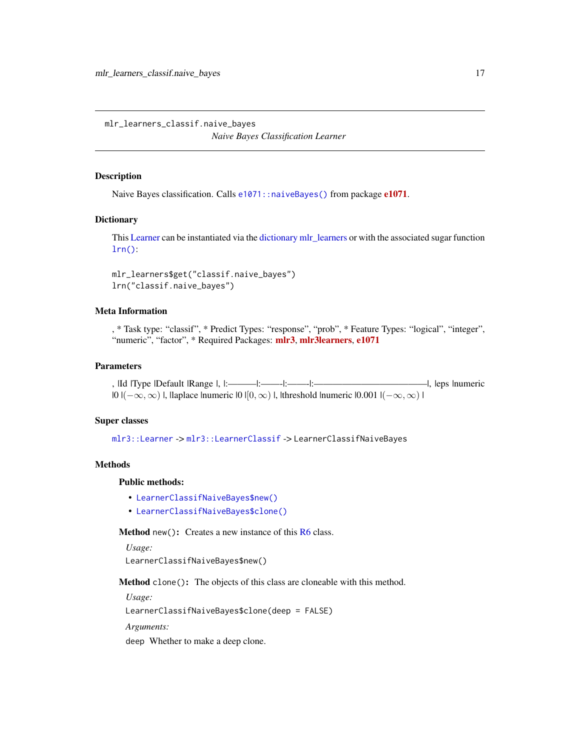<span id="page-16-1"></span><span id="page-16-0"></span>mlr\_learners\_classif.naive\_bayes

*Naive Bayes Classification Learner*

## Description

Naive Bayes classification. Calls [e1071](https://CRAN.R-project.org/package=e1071): : naiveBayes() from package e1071.

#### **Dictionary**

This [Learner](#page-0-0) can be instantiated via the [dictionary](#page-0-0) [mlr\\_learners](#page-0-0) or with the associated sugar function [lrn\(\)](#page-0-0):

```
mlr_learners$get("classif.naive_bayes")
lrn("classif.naive_bayes")
```
# Meta Information

, \* Task type: "classif", \* Predict Types: "response", "prob", \* Feature Types: "logical", "integer", "numeric", "factor", \* Required Packages: [mlr3](https://CRAN.R-project.org/package=mlr3), [mlr3learners](https://CRAN.R-project.org/package=mlr3learners), [e1071](https://CRAN.R-project.org/package=e1071)

# Parameters

, |Id |Type |Default |Range |, |:———|:——-|:——-|:————————————|, |eps |numeric |0 |(−∞, ∞) |, |laplace |numeric |0 |[0, ∞) |, |threshold |numeric |0.001 |(−∞, ∞) |

# Super classes

[mlr3::Learner](#page-0-0) -> [mlr3::LearnerClassif](#page-0-0) -> LearnerClassifNaiveBayes

# Methods

# Public methods:

- [LearnerClassifNaiveBayes\\$new\(\)](#page-16-2)
- [LearnerClassifNaiveBayes\\$clone\(\)](#page-16-3)

<span id="page-16-2"></span>**Method** new(): Creates a new instance of this  $R6$  class.

*Usage:*

LearnerClassifNaiveBayes\$new()

<span id="page-16-3"></span>Method clone(): The objects of this class are cloneable with this method.

*Usage:*

LearnerClassifNaiveBayes\$clone(deep = FALSE)

*Arguments:*

deep Whether to make a deep clone.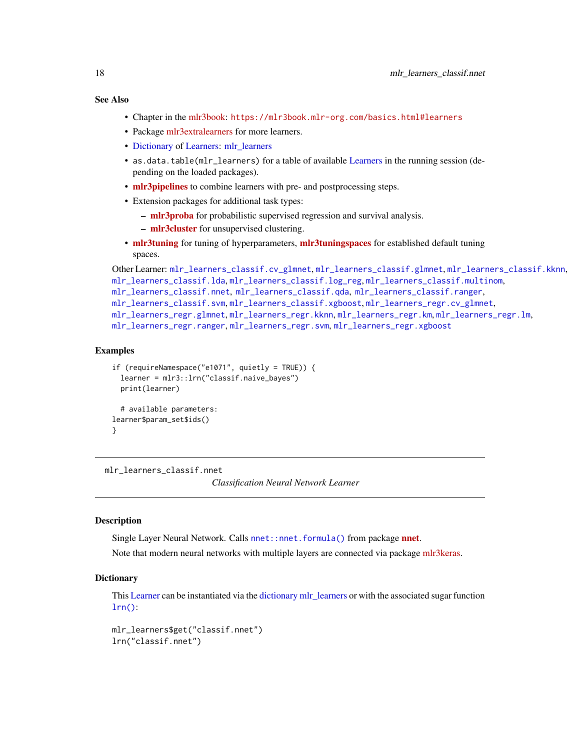# <span id="page-17-0"></span>See Also

- Chapter in the [mlr3book:](https://mlr3book.mlr-org.com/) <https://mlr3book.mlr-org.com/basics.html#learners>
- Package [mlr3extralearners](https://github.com/mlr-org/mlr3extralearners) for more learners.
- [Dictionary](#page-0-0) of [Learners:](#page-0-0) [mlr\\_learners](#page-0-0)
- as.data.table(mlr\_learners) for a table of available [Learners](#page-0-0) in the running session (depending on the loaded packages).
- [mlr3pipelines](https://CRAN.R-project.org/package=mlr3pipelines) to combine learners with pre- and postprocessing steps.
- Extension packages for additional task types:
	- [mlr3proba](https://CRAN.R-project.org/package=mlr3proba) for probabilistic supervised regression and survival analysis.
	- [mlr3cluster](https://CRAN.R-project.org/package=mlr3cluster) for unsupervised clustering.
- [mlr3tuning](https://CRAN.R-project.org/package=mlr3tuning) for tuning of hyperparameters, [mlr3tuningspaces](https://CRAN.R-project.org/package=mlr3tuningspaces) for established default tuning spaces.

```
Other Learner: mlr_learners_classif.cv_glmnet, mlr_learners_classif.glmnet, mlr_learners_classif.kknn,
mlr_learners_classif.lda, mlr_learners_classif.log_reg, mlr_learners_classif.multinom,
mlr_learners_classif.nnet, mlr_learners_classif.qda, mlr_learners_classif.ranger,
mlr_learners_classif.svm, mlr_learners_classif.xgboost, mlr_learners_regr.cv_glmnet,
mlr_learners_regr.glmnet, mlr_learners_regr.kknn, mlr_learners_regr.km, mlr_learners_regr.lm,
mlr_learners_regr.ranger, mlr_learners_regr.svm, mlr_learners_regr.xgboost
```
## Examples

```
if (requireNamespace("e1071", quietly = TRUE)) {
 learner = mlr3::lrn("classif.naive_bayes")
 print(learner)
 # available parameters:
learner$param_set$ids()
}
```
<span id="page-17-1"></span>mlr\_learners\_classif.nnet

*Classification Neural Network Learner*

# **Description**

Single Layer Neural Network. Calls [nnet::nnet.formula\(\)](#page-0-0) from package [nnet](https://CRAN.R-project.org/package=nnet).

Note that modern neural networks with multiple layers are connected via package [mlr3keras.](https://github.com/mlr-org/mlr3keras)

#### **Dictionary**

This [Learner](#page-0-0) can be instantiated via the [dictionary](#page-0-0) [mlr\\_learners](#page-0-0) or with the associated sugar function [lrn\(\)](#page-0-0):

```
mlr_learners$get("classif.nnet")
lrn("classif.nnet")
```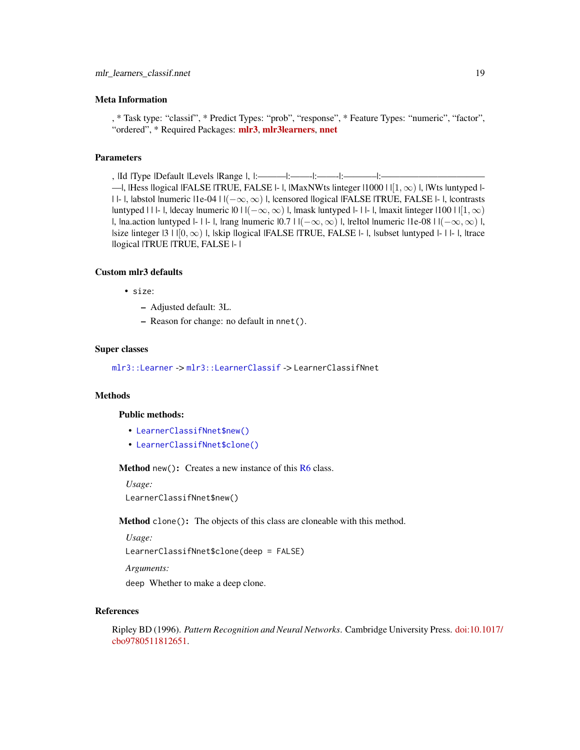## <span id="page-18-2"></span>Meta Information

, \* Task type: "classif", \* Predict Types: "prob", "response", \* Feature Types: "numeric", "factor", "ordered", \* Required Packages: [mlr3](https://CRAN.R-project.org/package=mlr3), [mlr3learners](https://CRAN.R-project.org/package=mlr3learners), [nnet](https://CRAN.R-project.org/package=nnet)

## Parameters

, |Id |Type |Default |Levels |Range |, |:———|:——-|:——-|:———–|:——————————— —|, |Hess |logical |FALSE |TRUE, FALSE |- |, |MaxNWts |integer |1000 | | $[1,\infty)$  |, |Wts |untyped |-| |- |, |abstol |numeric |1e-04 | |(−∞, ∞) |, |censored |logical |FALSE |TRUE, FALSE |- |, |contrasts |untyped | | |- |, |decay |numeric  $|0|$  |  $|(-\infty,\infty)$  |, |mask |untyped |- | |- |, |maxit |integer |100 | | $|1,\infty)$ |, |na.action |untyped |- | |- |, |rang |numeric  $|0.7|$  | $|(-\infty, \infty)$  |, |reltol |numeric |1e-08 |  $|(-\infty, \infty)$  |, |size |integer |3 |  $|0, \infty)$  |, |skip |logical |FALSE |TRUE, FALSE |- |, |subset |untyped |- | |- |, |trace |logical |TRUE |TRUE, FALSE |- |

## Custom mlr3 defaults

• size:

- Adjusted default: 3L.
- Reason for change: no default in nnet().

## Super classes

[mlr3::Learner](#page-0-0) -> [mlr3::LearnerClassif](#page-0-0) -> LearnerClassifNnet

# Methods

#### Public methods:

- [LearnerClassifNnet\\$new\(\)](#page-18-0)
- [LearnerClassifNnet\\$clone\(\)](#page-18-1)

<span id="page-18-0"></span>Method new(): Creates a new instance of this [R6](#page-0-0) class.

*Usage:* LearnerClassifNnet\$new()

<span id="page-18-1"></span>Method clone(): The objects of this class are cloneable with this method.

```
Usage:
LearnerClassifNnet$clone(deep = FALSE)
Arguments:
```
deep Whether to make a deep clone.

#### References

Ripley BD (1996). *Pattern Recognition and Neural Networks*. Cambridge University Press. [doi:10.1](https://doi.org/10.1017/cbo9780511812651)017/ [cbo9780511812651.](https://doi.org/10.1017/cbo9780511812651)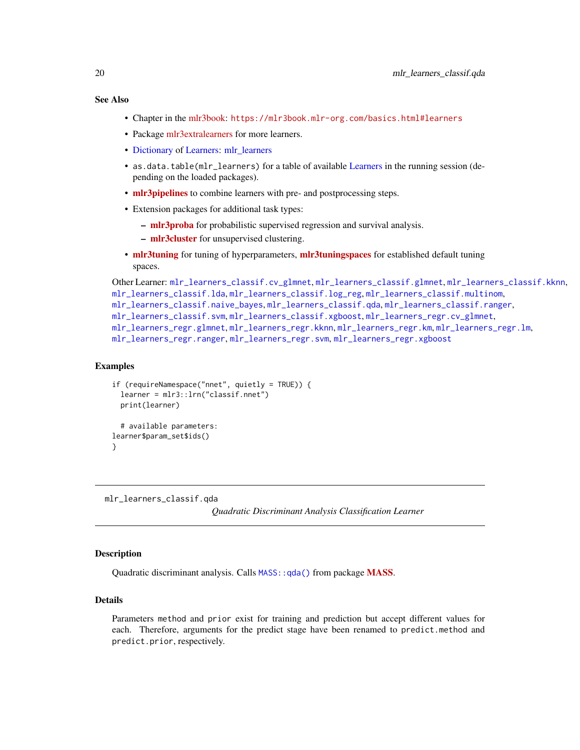# <span id="page-19-0"></span>See Also

- Chapter in the [mlr3book:](https://mlr3book.mlr-org.com/) <https://mlr3book.mlr-org.com/basics.html#learners>
- Package [mlr3extralearners](https://github.com/mlr-org/mlr3extralearners) for more learners.
- [Dictionary](#page-0-0) of [Learners:](#page-0-0) [mlr\\_learners](#page-0-0)
- as.data.table(mlr\_learners) for a table of available [Learners](#page-0-0) in the running session (depending on the loaded packages).
- **[mlr3pipelines](https://CRAN.R-project.org/package=mlr3pipelines)** to combine learners with pre- and postprocessing steps.
- Extension packages for additional task types:
	- [mlr3proba](https://CRAN.R-project.org/package=mlr3proba) for probabilistic supervised regression and survival analysis.
	- [mlr3cluster](https://CRAN.R-project.org/package=mlr3cluster) for unsupervised clustering.
- [mlr3tuning](https://CRAN.R-project.org/package=mlr3tuning) for tuning of hyperparameters, [mlr3tuningspaces](https://CRAN.R-project.org/package=mlr3tuningspaces) for established default tuning spaces.

```
Other Learner: mlr_learners_classif.cv_glmnet, mlr_learners_classif.glmnet, mlr_learners_classif.kknn,
mlr_learners_classif.lda, mlr_learners_classif.log_reg, mlr_learners_classif.multinom,
mlr_learners_classif.naive_bayes, mlr_learners_classif.qda, mlr_learners_classif.ranger,
mlr_learners_classif.svm, mlr_learners_classif.xgboost, mlr_learners_regr.cv_glmnet,
mlr_learners_regr.glmnet, mlr_learners_regr.kknn, mlr_learners_regr.km, mlr_learners_regr.lm,
mlr_learners_regr.ranger, mlr_learners_regr.svm, mlr_learners_regr.xgboost
```
## Examples

```
if (requireNamespace("nnet", quietly = TRUE)) {
  learner = mlr3::lrn("classif.nnet")
 print(learner)
 # available parameters:
learner$param_set$ids()
}
```
<span id="page-19-1"></span>mlr\_learners\_classif.qda

*Quadratic Discriminant Analysis Classification Learner*

# **Description**

Quadratic discriminant analysis. Calls [MASS](https://CRAN.R-project.org/package=MASS):: qda() from package MASS.

## Details

Parameters method and prior exist for training and prediction but accept different values for each. Therefore, arguments for the predict stage have been renamed to predict.method and predict.prior, respectively.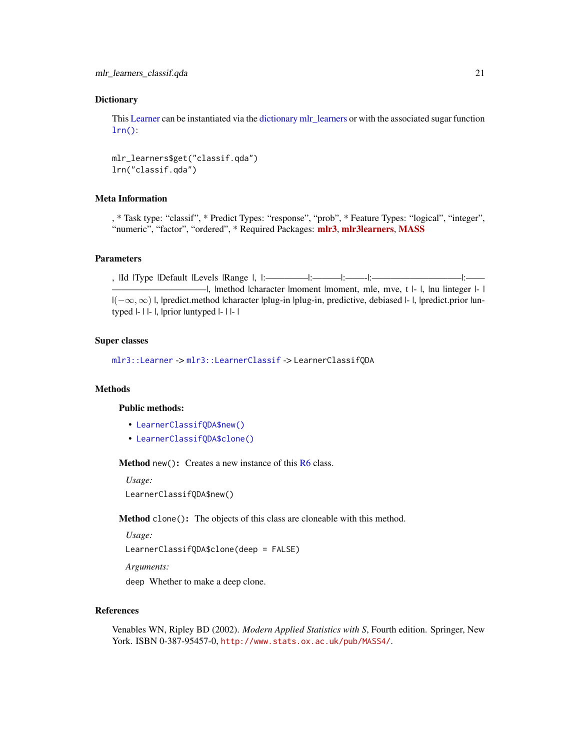## <span id="page-20-2"></span>**Dictionary**

This [Learner](#page-0-0) can be instantiated via the [dictionary](#page-0-0) [mlr\\_learners](#page-0-0) or with the associated sugar function  $lrn()$ :

mlr\_learners\$get("classif.qda") lrn("classif.qda")

# Meta Information

, \* Task type: "classif", \* Predict Types: "response", "prob", \* Feature Types: "logical", "integer", "numeric", "factor", "ordered", \* Required Packages: [mlr3](https://CRAN.R-project.org/package=mlr3), [mlr3learners](https://CRAN.R-project.org/package=mlr3learners), [MASS](https://CRAN.R-project.org/package=MASS)

## **Parameters**

, |Id |Type |Default |Levels |Range |, |:————–|:———|:——-|:—————————–|:—— ——————————|, |method |character |moment |moment, mle, mve, t |- |, |nu |integer |- | |(−∞, ∞) |, |predict.method |character |plug-in |plug-in, predictive, debiased |- |, |predict.prior |untyped |- | |- |, |prior |untyped |- | |- |

## Super classes

[mlr3::Learner](#page-0-0) -> [mlr3::LearnerClassif](#page-0-0) -> LearnerClassifQDA

# Methods

## Public methods:

- [LearnerClassifQDA\\$new\(\)](#page-20-0)
- [LearnerClassifQDA\\$clone\(\)](#page-20-1)

<span id="page-20-0"></span>Method new(): Creates a new instance of this [R6](#page-0-0) class.

*Usage:*

LearnerClassifQDA\$new()

<span id="page-20-1"></span>Method clone(): The objects of this class are cloneable with this method.

*Usage:*

LearnerClassifQDA\$clone(deep = FALSE)

*Arguments:*

deep Whether to make a deep clone.

# References

Venables WN, Ripley BD (2002). *Modern Applied Statistics with S*, Fourth edition. Springer, New York. ISBN 0-387-95457-0, <http://www.stats.ox.ac.uk/pub/MASS4/>.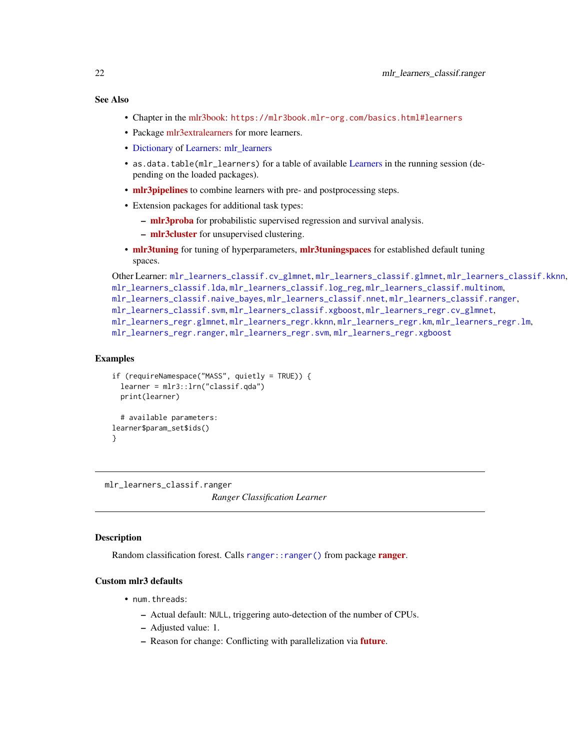# <span id="page-21-0"></span>See Also

- Chapter in the [mlr3book:](https://mlr3book.mlr-org.com/) <https://mlr3book.mlr-org.com/basics.html#learners>
- Package [mlr3extralearners](https://github.com/mlr-org/mlr3extralearners) for more learners.
- [Dictionary](#page-0-0) of [Learners:](#page-0-0) [mlr\\_learners](#page-0-0)
- as.data.table(mlr\_learners) for a table of available [Learners](#page-0-0) in the running session (depending on the loaded packages).
- [mlr3pipelines](https://CRAN.R-project.org/package=mlr3pipelines) to combine learners with pre- and postprocessing steps.
- Extension packages for additional task types:
	- [mlr3proba](https://CRAN.R-project.org/package=mlr3proba) for probabilistic supervised regression and survival analysis.
	- [mlr3cluster](https://CRAN.R-project.org/package=mlr3cluster) for unsupervised clustering.
- [mlr3tuning](https://CRAN.R-project.org/package=mlr3tuning) for tuning of hyperparameters, [mlr3tuningspaces](https://CRAN.R-project.org/package=mlr3tuningspaces) for established default tuning spaces.

```
Other Learner: mlr_learners_classif.cv_glmnet, mlr_learners_classif.glmnet, mlr_learners_classif.kknn,
mlr_learners_classif.lda, mlr_learners_classif.log_reg, mlr_learners_classif.multinom,
mlr_learners_classif.naive_bayes, mlr_learners_classif.nnet, mlr_learners_classif.ranger,
mlr_learners_classif.svm, mlr_learners_classif.xgboost, mlr_learners_regr.cv_glmnet,
mlr_learners_regr.glmnet, mlr_learners_regr.kknn, mlr_learners_regr.km, mlr_learners_regr.lm,
mlr_learners_regr.ranger, mlr_learners_regr.svm, mlr_learners_regr.xgboost
```
# Examples

```
if (requireNamespace("MASS", quietly = TRUE)) {
 learner = mlr3::lrn("classif.qda")
 print(learner)
 # available parameters:
learner$param_set$ids()
}
```
<span id="page-21-1"></span>mlr\_learners\_classif.ranger *Ranger Classification Learner*

# **Description**

Random classification forest. Calls [ranger](https://CRAN.R-project.org/package=ranger):: ranger() from package ranger.

# Custom mlr3 defaults

- num.threads:
	- Actual default: NULL, triggering auto-detection of the number of CPUs.
	- Adjusted value: 1.
	- Reason for change: Conflicting with parallelization via [future](https://CRAN.R-project.org/package=future).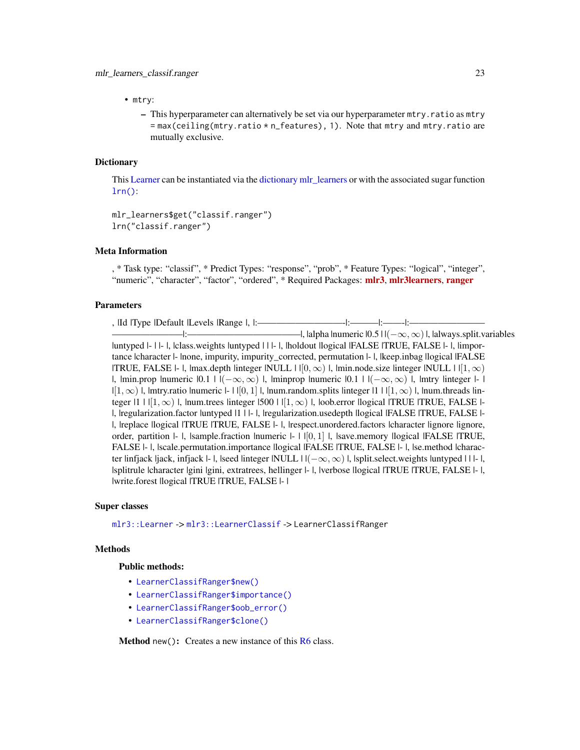<span id="page-22-1"></span>• mtry:

– This hyperparameter can alternatively be set via our hyperparameter mtry.ratio as mtry  $=$  max(ceiling(mtry.ratio  $*$  n\_features), 1). Note that mtry and mtry.ratio are mutually exclusive.

# **Dictionary**

This [Learner](#page-0-0) can be instantiated via the [dictionary](#page-0-0) [mlr\\_learners](#page-0-0) or with the associated sugar function  $lrn()$ :

```
mlr_learners$get("classif.ranger")
lrn("classif.ranger")
```
# Meta Information

, \* Task type: "classif", \* Predict Types: "response", "prob", \* Feature Types: "logical", "integer", "numeric", "character", "factor", "ordered", \* Required Packages: [mlr3](https://CRAN.R-project.org/package=mlr3), [mlr3learners](https://CRAN.R-project.org/package=mlr3learners), [ranger](https://CRAN.R-project.org/package=ranger)

# Parameters

, |Id |Type |Default |Levels |Range |, |:—————————-|:———|:——-|:———————— ———————–|:————————————|, |alpha |numeric |0.5 | |(−∞, ∞)|, |always.split.variables |untyped |- | |- |, |class.weights |untyped | | |- |, |holdout |logical |FALSE |TRUE, FALSE |- |, |importance |character |- |none, impurity, impurity\_corrected, permutation |- |, |keep.inbag |logical |FALSE |TRUE, FALSE |- |, |max.depth |integer |NULL |  $|[0, \infty)$  |, |min.node.size |integer |NULL |  $|[1, \infty)$ |, |min.prop |numeric  $|0.1|$  |  $|(-\infty,\infty)$  |, |minprop |numeric  $|0.1|$  |  $|(-\infty,\infty)$  |, |mtry |integer |- |  $|[1,\infty)$  l, lmtry.ratio lnumeric  $|-1|[0,1]|$ , lnum.random.splits linteger  $|1| |[1,\infty)$  l, lnum.threads linteger  $|1| |1, \infty$ ) |, |num.trees |integer | 500 |  $|1, \infty)$  |, |oob.error |logical |TRUE |TRUE, FALSE |-|, |regularization.factor |untyped |1 | |- |, |regularization.usedepth |logical |FALSE |TRUE, FALSE |- |, |replace |logical |TRUE |TRUE, FALSE |- |, |respect.unordered.factors |character |ignore |ignore, order, partition  $\vdash$   $\vdash$  |, |sample.fraction |numeric  $\vdash$  |  $\lvert [0,1]$  |, |save.memory |logical |FALSE |TRUE, FALSE |- |, |scale.permutation.importance |logical |FALSE |TRUE, FALSE |- |, |se.method |character linfjack ljack, infjack  $\vert$ -  $\vert$ , |seed |integer |NULL  $\vert$  | $(-\infty, \infty)$  |, |split.select.weights |untyped | | |- |, |splitrule |character |gini |gini, extratrees, hellinger |- |, |verbose |logical |TRUE |TRUE, FALSE |- |, |write.forest |logical |TRUE |TRUE, FALSE |- |

## Super classes

[mlr3::Learner](#page-0-0) -> [mlr3::LearnerClassif](#page-0-0) -> LearnerClassifRanger

# Methods

#### Public methods:

- [LearnerClassifRanger\\$new\(\)](#page-22-0)
- [LearnerClassifRanger\\$importance\(\)](#page-23-0)
- [LearnerClassifRanger\\$oob\\_error\(\)](#page-23-1)
- [LearnerClassifRanger\\$clone\(\)](#page-23-2)

<span id="page-22-0"></span>**Method** new(): Creates a new instance of this  $R6$  class.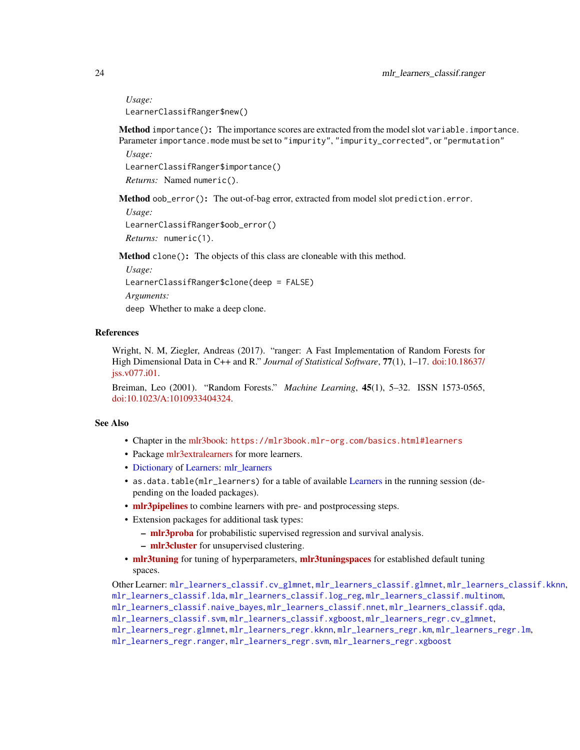*Usage:*

LearnerClassifRanger\$new()

<span id="page-23-0"></span>Method importance(): The importance scores are extracted from the model slot variable.importance. Parameter importance.mode must be set to "impurity", "impurity\_corrected", or "permutation" *Usage:*

LearnerClassifRanger\$importance() *Returns:* Named numeric().

<span id="page-23-1"></span>Method oob\_error(): The out-of-bag error, extracted from model slot prediction.error.

*Usage:*

LearnerClassifRanger\$oob\_error()

*Returns:* numeric(1).

<span id="page-23-2"></span>Method clone(): The objects of this class are cloneable with this method.

*Usage:*

LearnerClassifRanger\$clone(deep = FALSE)

*Arguments:*

deep Whether to make a deep clone.

# References

Wright, N. M, Ziegler, Andreas (2017). "ranger: A Fast Implementation of Random Forests for High Dimensional Data in C++ and R." *Journal of Statistical Software*, 77(1), 1–17. [doi:10.18637/](https://doi.org/10.18637/jss.v077.i01) [jss.v077.i01.](https://doi.org/10.18637/jss.v077.i01)

Breiman, Leo (2001). "Random Forests." *Machine Learning*, 45(1), 5–32. ISSN 1573-0565, [doi:10.1023/A:1010933404324.](https://doi.org/10.1023/A%3A1010933404324)

# See Also

- Chapter in the [mlr3book:](https://mlr3book.mlr-org.com/) <https://mlr3book.mlr-org.com/basics.html#learners>
- Package [mlr3extralearners](https://github.com/mlr-org/mlr3extralearners) for more learners.
- [Dictionary](#page-0-0) of [Learners:](#page-0-0) [mlr\\_learners](#page-0-0)
- as.data.table(mlr\_learners) for a table of available [Learners](#page-0-0) in the running session (depending on the loaded packages).
- **[mlr3pipelines](https://CRAN.R-project.org/package=mlr3pipelines)** to combine learners with pre- and postprocessing steps.
- Extension packages for additional task types:
	- [mlr3proba](https://CRAN.R-project.org/package=mlr3proba) for probabilistic supervised regression and survival analysis.
	- [mlr3cluster](https://CRAN.R-project.org/package=mlr3cluster) for unsupervised clustering.
- [mlr3tuning](https://CRAN.R-project.org/package=mlr3tuning) for tuning of hyperparameters, [mlr3tuningspaces](https://CRAN.R-project.org/package=mlr3tuningspaces) for established default tuning spaces.

Other Learner: [mlr\\_learners\\_classif.cv\\_glmnet](#page-2-1), [mlr\\_learners\\_classif.glmnet](#page-4-1), [mlr\\_learners\\_classif.kknn](#page-7-1), [mlr\\_learners\\_classif.lda](#page-9-1), [mlr\\_learners\\_classif.log\\_reg](#page-11-1), [mlr\\_learners\\_classif.multinom](#page-14-1), [mlr\\_learners\\_classif.naive\\_bayes](#page-16-1), [mlr\\_learners\\_classif.nnet](#page-17-1), [mlr\\_learners\\_classif.qda](#page-19-1), [mlr\\_learners\\_classif.svm](#page-24-1), [mlr\\_learners\\_classif.xgboost](#page-26-1), [mlr\\_learners\\_regr.cv\\_glmnet](#page-29-1), [mlr\\_learners\\_regr.glmnet](#page-31-1), [mlr\\_learners\\_regr.kknn](#page-34-1), [mlr\\_learners\\_regr.km](#page-36-1), [mlr\\_learners\\_regr.lm](#page-38-1), [mlr\\_learners\\_regr.ranger](#page-41-1), [mlr\\_learners\\_regr.svm](#page-43-1), [mlr\\_learners\\_regr.xgboost](#page-45-1)

<span id="page-23-3"></span>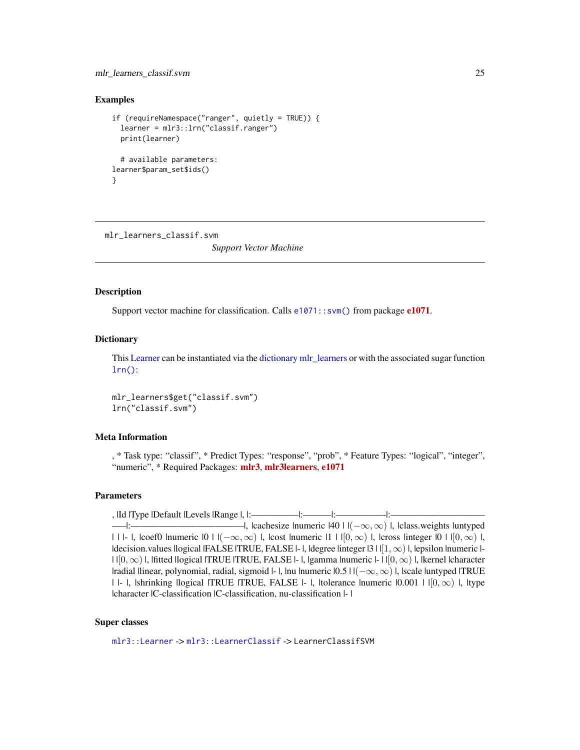# <span id="page-24-0"></span>mlr\_learners\_classif.svm 25

## Examples

```
if (requireNamespace("ranger", quietly = TRUE)) {
 learner = mlr3::lrn("classif.ranger")
 print(learner)
 # available parameters:
learner$param_set$ids()
}
```
<span id="page-24-1"></span>mlr\_learners\_classif.svm

*Support Vector Machine*

# Description

Support vector machine for classification. Calls [e1071::svm\(\)](#page-0-0) from package [e1071](https://CRAN.R-project.org/package=e1071).

# **Dictionary**

This [Learner](#page-0-0) can be instantiated via the [dictionary](#page-0-0) [mlr\\_learners](#page-0-0) or with the associated sugar function [lrn\(\)](#page-0-0):

mlr\_learners\$get("classif.svm") lrn("classif.svm")

## Meta Information

, \* Task type: "classif", \* Predict Types: "response", "prob", \* Feature Types: "logical", "integer", "numeric", \* Required Packages: [mlr3](https://CRAN.R-project.org/package=mlr3), [mlr3learners](https://CRAN.R-project.org/package=mlr3learners), [e1071](https://CRAN.R-project.org/package=e1071)

# Parameters

, |Id |Type |Default |Levels |Range |, |:—————|:———|:—————-|:—————————— —–|:————————————|, |cachesize |numeric |40 | |(−∞, ∞) |, |class.weights |untyped | | |- |, |coef0 |numeric  $|0|$  |  $|(-\infty,\infty)$  |, |cost |numeric  $|1|$  |  $|0,\infty)$  |, |cross |integer  $|0|$  |  $|0,\infty)$  |,  $|decision.values|I| (HALSE | TRUE, FALSE | - |, |degree|)$  |  $|I| (\infty)$  |, |epsilon |numeric |- $| \cdot |[0,\infty) |$ , |fitted |logical |TRUE |TRUE, FALSE |- |, |gamma |numeric |- | | $|0,\infty)$  |, |kernel |character |radial |linear, polynomial, radial, sigmoid |- |, |nu |numeric |0.5 | |(−∞, ∞) |, |scale |untyped |TRUE |  $|-|$ , |shrinking |logical |TRUE |TRUE, FALSE  $|-|$ , |tolerance |numeric  $|0.001|$  |  $|0,\infty\rangle$  |, |type |character |C-classification |C-classification, nu-classification |- |

#### Super classes

[mlr3::Learner](#page-0-0) -> [mlr3::LearnerClassif](#page-0-0) -> LearnerClassifSVM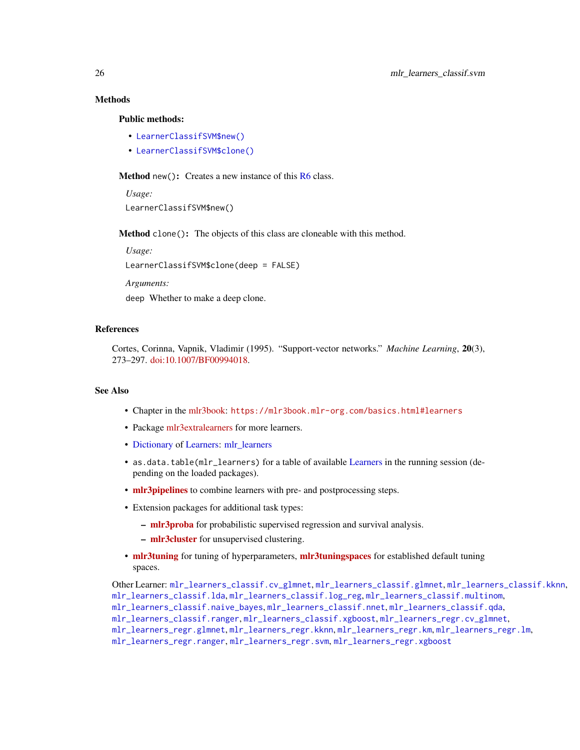# **Methods**

# Public methods:

- [LearnerClassifSVM\\$new\(\)](#page-25-0)
- [LearnerClassifSVM\\$clone\(\)](#page-25-1)

<span id="page-25-0"></span>**Method** new(): Creates a new instance of this  $R6$  class.

*Usage:* LearnerClassifSVM\$new()

<span id="page-25-1"></span>Method clone(): The objects of this class are cloneable with this method.

*Usage:* LearnerClassifSVM\$clone(deep = FALSE)

*Arguments:*

deep Whether to make a deep clone.

## References

Cortes, Corinna, Vapnik, Vladimir (1995). "Support-vector networks." *Machine Learning*, 20(3), 273–297. [doi:10.1007/BF00994018.](https://doi.org/10.1007/BF00994018)

## See Also

- Chapter in the [mlr3book:](https://mlr3book.mlr-org.com/) <https://mlr3book.mlr-org.com/basics.html#learners>
- Package [mlr3extralearners](https://github.com/mlr-org/mlr3extralearners) for more learners.
- [Dictionary](#page-0-0) of [Learners:](#page-0-0) [mlr\\_learners](#page-0-0)
- as.data.table(mlr\_learners) for a table of available [Learners](#page-0-0) in the running session (depending on the loaded packages).
- **[mlr3pipelines](https://CRAN.R-project.org/package=mlr3pipelines)** to combine learners with pre- and postprocessing steps.
- Extension packages for additional task types:
	- [mlr3proba](https://CRAN.R-project.org/package=mlr3proba) for probabilistic supervised regression and survival analysis.
	- [mlr3cluster](https://CRAN.R-project.org/package=mlr3cluster) for unsupervised clustering.
- [mlr3tuning](https://CRAN.R-project.org/package=mlr3tuning) for tuning of hyperparameters, [mlr3tuningspaces](https://CRAN.R-project.org/package=mlr3tuningspaces) for established default tuning spaces.

Other Learner: [mlr\\_learners\\_classif.cv\\_glmnet](#page-2-1), [mlr\\_learners\\_classif.glmnet](#page-4-1), [mlr\\_learners\\_classif.kknn](#page-7-1), [mlr\\_learners\\_classif.lda](#page-9-1), [mlr\\_learners\\_classif.log\\_reg](#page-11-1), [mlr\\_learners\\_classif.multinom](#page-14-1), [mlr\\_learners\\_classif.naive\\_bayes](#page-16-1), [mlr\\_learners\\_classif.nnet](#page-17-1), [mlr\\_learners\\_classif.qda](#page-19-1), [mlr\\_learners\\_classif.ranger](#page-21-1), [mlr\\_learners\\_classif.xgboost](#page-26-1), [mlr\\_learners\\_regr.cv\\_glmnet](#page-29-1), [mlr\\_learners\\_regr.glmnet](#page-31-1), [mlr\\_learners\\_regr.kknn](#page-34-1), [mlr\\_learners\\_regr.km](#page-36-1), [mlr\\_learners\\_regr.lm](#page-38-1), [mlr\\_learners\\_regr.ranger](#page-41-1), [mlr\\_learners\\_regr.svm](#page-43-1), [mlr\\_learners\\_regr.xgboost](#page-45-1)

<span id="page-25-2"></span>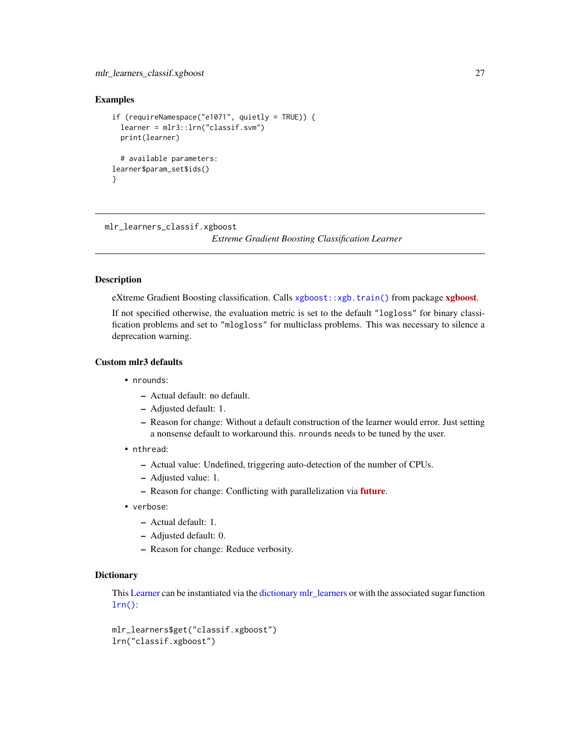# <span id="page-26-0"></span>mlr\_learners\_classif.xgboost 27

## Examples

```
if (requireNamespace("e1071", quietly = TRUE)) {
 learner = mlr3::lrn("classif.svm")
 print(learner)
 # available parameters:
learner$param_set$ids()
}
```
<span id="page-26-1"></span>mlr\_learners\_classif.xgboost

*Extreme Gradient Boosting Classification Learner*

## Description

eXtreme Gradient Boosting classification. Calls [xgboost::xgb.train\(\)](#page-0-0) from package [xgboost](https://CRAN.R-project.org/package=xgboost).

If not specified otherwise, the evaluation metric is set to the default "logloss" for binary classification problems and set to "mlogloss" for multiclass problems. This was necessary to silence a deprecation warning.

## Custom mlr3 defaults

- nrounds:
	- Actual default: no default.
	- Adjusted default: 1.
	- Reason for change: Without a default construction of the learner would error. Just setting a nonsense default to workaround this. nrounds needs to be tuned by the user.
- nthread:
	- Actual value: Undefined, triggering auto-detection of the number of CPUs.
	- Adjusted value: 1.
	- Reason for change: Conflicting with parallelization via [future](https://CRAN.R-project.org/package=future).
- verbose:
	- Actual default: 1.
	- Adjusted default: 0.
	- Reason for change: Reduce verbosity.

#### **Dictionary**

This [Learner](#page-0-0) can be instantiated via the [dictionary](#page-0-0) [mlr\\_learners](#page-0-0) or with the associated sugar function [lrn\(\)](#page-0-0):

```
mlr_learners$get("classif.xgboost")
lrn("classif.xgboost")
```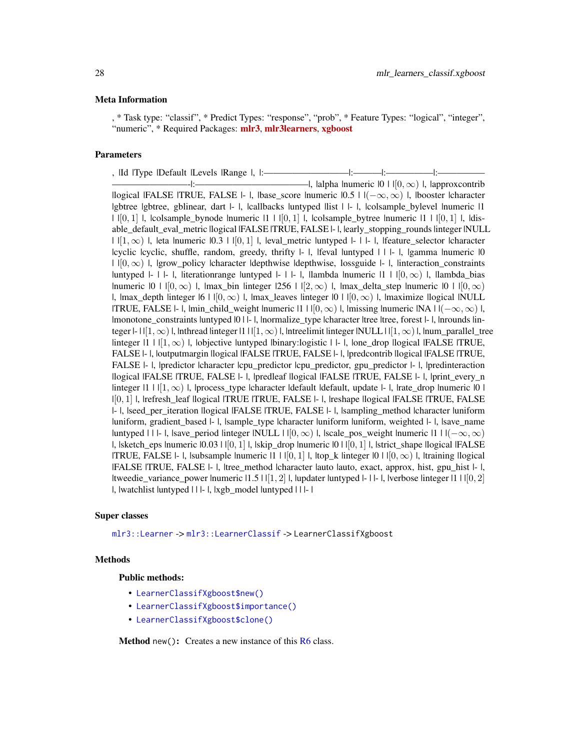## <span id="page-27-1"></span>Meta Information

, \* Task type: "classif", \* Predict Types: "response", "prob", \* Feature Types: "logical", "integer", "numeric", \* Required Packages: [mlr3](https://CRAN.R-project.org/package=mlr3), [mlr3learners](https://CRAN.R-project.org/package=mlr3learners), [xgboost](https://CRAN.R-project.org/package=xgboost)

# Parameters

, |Id |Type |Default |Levels |Range |, |:——————————|:————|:——————|:——————|:————— ————————-|:————————————|, |alpha |numeric |0 | |[0, ∞) |, |approxcontrib |logical |FALSE |TRUE, FALSE |- |, |base\_score |numeric  $|0.5|$  |  $|-\infty, \infty|$  |, |booster |character |gbtree |gbtree, gblinear, dart |- |, |callbacks |untyped |list | |- |, |colsample\_bylevel |numeric |1  $| |[0,1]|$ ,  $|$ colsample\_bynode  $|$ numeric  $|1| |[0,1]|$ ,  $|$ colsample\_bytree  $|$ numeric  $|1| |[0,1]|$ ,  $|$ disable\_default\_eval\_metric |logical |FALSE |TRUE, FALSE |- |, |early\_stopping\_rounds |integer |NULL  $| |[1,\infty)|$ , leta lnumeric  $|0.3| |[0,1]|$ , leval metric luntyped  $|-|$ . Ifeature selector lcharacter |cyclic |cyclic, shuffle, random, greedy, thrifty |- |, |feval |untyped | | |- |, |gamma |numeric |0  $| |[0, \infty) |$ , |grow\_policy |character |depthwise |depthwise, lossguide |- |, |interaction\_constraints |untyped |- | |- |, |iterationrange |untyped |- | |- |, |lambda |numeric |1 | | $[0, \infty)$  |, |lambda bias |numeric  $|0| \cdot |0| \infty$  |, |max\_bin |integer  $|256| \cdot |2 \infty$  |, |max\_delta\_step |numeric  $|0| \cdot |0 \infty$  | |, |max\_depth |integer |6 |  $| [0, \infty) |$ , |max\_leaves |integer  $|0 | | [0, \infty) |$ , |maximize |logical |NULL  $|TRUE$ , FALSE |- |, |min\_child\_weight |numeric  $|1 | [0, \infty) |$ , |missing |numeric  $|NA | |(-\infty, \infty) |$ , |monotone\_constraints |untyped |0 | |- |, |normalize\_type |character |tree |tree, forest |- |, |nrounds |integer  $\vert-\vert\vert1,\infty\rangle\vert$ , |nthread |integer  $\vert1\vert1[\vert1,\infty\rangle\vert$ , |ntreelimit |integer |NULL  $\vert\vert1,\infty\rangle\vert$ , |num\_parallel\_tree  $\lim_{n \to \infty}$  |  $\lim_{n \to \infty}$  |, |objective |untyped |binary:logistic | |- |, |one\_drop |logical |FALSE |TRUE, FALSE |- |, |outputmargin |logical |FALSE |TRUE, FALSE |- |, |predcontrib |logical |FALSE |TRUE, FALSE |- |, |predictor |character |cpu\_predictor |cpu\_predictor, gpu\_predictor |- |, |predinteraction |logical |FALSE |TRUE, FALSE |- |, |predleaf |logical |FALSE |TRUE, FALSE |- |, |print\_every\_n |integer |1 | |[1, ∞) |, |process\_type |character |default |default, update |- |, |rate\_drop |numeric |0 | |[0, 1] |, |refresh\_leaf |logical |TRUE |TRUE, FALSE |- |, |reshape |logical |FALSE |TRUE, FALSE |- |, |seed\_per\_iteration |logical |FALSE |TRUE, FALSE |- |, |sampling\_method |character |uniform |uniform, gradient\_based |- |, |sample\_type |character |uniform |uniform, weighted |- |, |save\_name |untyped | | |- |, |save\_period |integer |NULL |  $| [0, \infty)$  |, |scale\_pos\_weight |numeric |1 |  $| (-\infty, \infty)$  $|$ , |sketch\_eps |numeric  $|0.03 |$  |  $|0, 1|$  |, |skip\_drop |numeric  $|0 |$  |  $|0, 1|$  |, |strict\_shape |logical |FALSE |TRUE, FALSE |- |, |subsample |numeric |1 | |  $[0, 1]$  |, |top\_k |integer |0 | | $[0, \infty)$  |, |training |logical |FALSE |TRUE, FALSE |- |, |tree\_method |character |auto |auto, exact, approx, hist, gpu\_hist |- |, |tweedie\_variance\_power |numeric |1.5 | |[1, 2] |, |updater |untyped |- | |- |, |verbose |integer |1 | |[0, 2] |, |watchlist |untyped | | |- |, |xgb\_model |untyped | | |- |

# Super classes

[mlr3::Learner](#page-0-0) -> [mlr3::LearnerClassif](#page-0-0) -> LearnerClassifXgboost

#### Methods

## Public methods:

- [LearnerClassifXgboost\\$new\(\)](#page-27-0)
- [LearnerClassifXgboost\\$importance\(\)](#page-28-0)
- [LearnerClassifXgboost\\$clone\(\)](#page-28-1)

<span id="page-27-0"></span>**Method** new(): Creates a new instance of this  $R6$  class.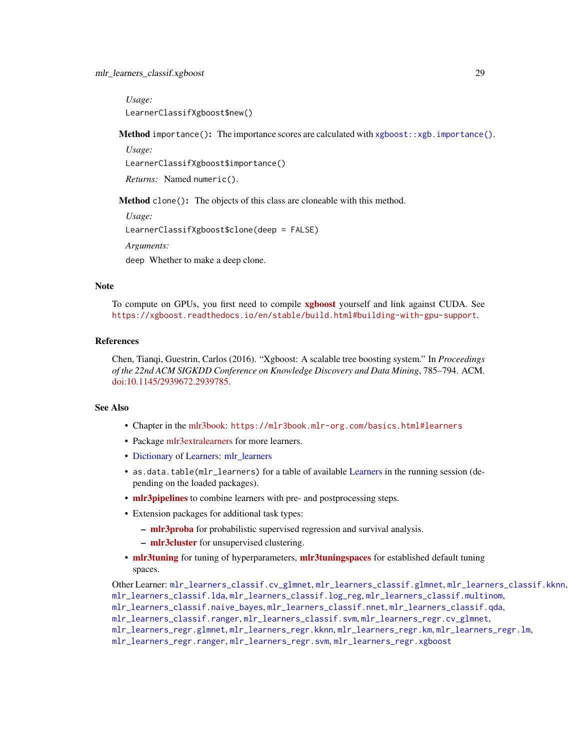## <span id="page-28-2"></span>mlr\_learners\_classif.xgboost 29

*Usage:*

LearnerClassifXgboost\$new()

<span id="page-28-0"></span>**Method** importance(): The importance scores are calculated with  $xgboot::xgb.inportance()$ .

*Usage:*

LearnerClassifXgboost\$importance()

*Returns:* Named numeric().

<span id="page-28-1"></span>Method clone(): The objects of this class are cloneable with this method.

*Usage:* LearnerClassifXgboost\$clone(deep = FALSE) *Arguments:*

deep Whether to make a deep clone.

# Note

To compute on GPUs, you first need to compile [xgboost](https://CRAN.R-project.org/package=xgboost) yourself and link against CUDA. See <https://xgboost.readthedocs.io/en/stable/build.html#building-with-gpu-support>.

## References

Chen, Tianqi, Guestrin, Carlos (2016). "Xgboost: A scalable tree boosting system." In *Proceedings of the 22nd ACM SIGKDD Conference on Knowledge Discovery and Data Mining*, 785–794. ACM. [doi:10.1145/2939672.2939785.](https://doi.org/10.1145/2939672.2939785)

## See Also

- Chapter in the [mlr3book:](https://mlr3book.mlr-org.com/) <https://mlr3book.mlr-org.com/basics.html#learners>
- Package [mlr3extralearners](https://github.com/mlr-org/mlr3extralearners) for more learners.
- [Dictionary](#page-0-0) of [Learners:](#page-0-0) [mlr\\_learners](#page-0-0)
- as.data.table(mlr\_learners) for a table of available [Learners](#page-0-0) in the running session (depending on the loaded packages).
- [mlr3pipelines](https://CRAN.R-project.org/package=mlr3pipelines) to combine learners with pre- and postprocessing steps.
- Extension packages for additional task types:
	- [mlr3proba](https://CRAN.R-project.org/package=mlr3proba) for probabilistic supervised regression and survival analysis.
		- [mlr3cluster](https://CRAN.R-project.org/package=mlr3cluster) for unsupervised clustering.
- [mlr3tuning](https://CRAN.R-project.org/package=mlr3tuning) for tuning of hyperparameters, [mlr3tuningspaces](https://CRAN.R-project.org/package=mlr3tuningspaces) for established default tuning spaces.

Other Learner: [mlr\\_learners\\_classif.cv\\_glmnet](#page-2-1), [mlr\\_learners\\_classif.glmnet](#page-4-1), [mlr\\_learners\\_classif.kknn](#page-7-1), [mlr\\_learners\\_classif.lda](#page-9-1), [mlr\\_learners\\_classif.log\\_reg](#page-11-1), [mlr\\_learners\\_classif.multinom](#page-14-1), [mlr\\_learners\\_classif.naive\\_bayes](#page-16-1), [mlr\\_learners\\_classif.nnet](#page-17-1), [mlr\\_learners\\_classif.qda](#page-19-1), [mlr\\_learners\\_classif.ranger](#page-21-1), [mlr\\_learners\\_classif.svm](#page-24-1), [mlr\\_learners\\_regr.cv\\_glmnet](#page-29-1), [mlr\\_learners\\_regr.glmnet](#page-31-1), [mlr\\_learners\\_regr.kknn](#page-34-1), [mlr\\_learners\\_regr.km](#page-36-1), [mlr\\_learners\\_regr.lm](#page-38-1), [mlr\\_learners\\_regr.ranger](#page-41-1), [mlr\\_learners\\_regr.svm](#page-43-1), [mlr\\_learners\\_regr.xgboost](#page-45-1)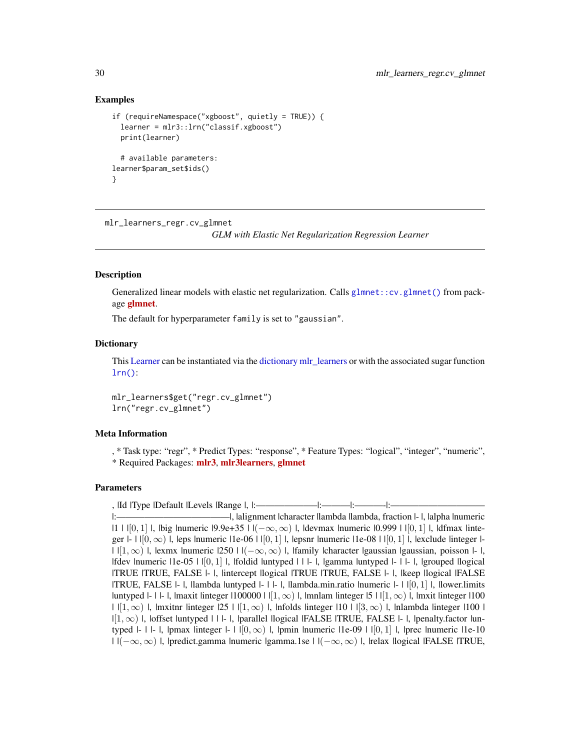# Examples

```
if (requireNamespace("xgboost", quietly = TRUE)) {
 learner = mlr3::lrn("classif.xgboost")
 print(learner)
 # available parameters:
learner$param_set$ids()
}
```
<span id="page-29-1"></span>mlr\_learners\_regr.cv\_glmnet

*GLM with Elastic Net Regularization Regression Learner*

# Description

Generalized linear models with elastic net regularization. Calls [glmnet::cv.glmnet\(\)](#page-0-0) from package [glmnet](https://CRAN.R-project.org/package=glmnet).

The default for hyperparameter family is set to "gaussian".

## **Dictionary**

This [Learner](#page-0-0) can be instantiated via the [dictionary](#page-0-0) [mlr\\_learners](#page-0-0) or with the associated sugar function [lrn\(\)](#page-0-0):

mlr\_learners\$get("regr.cv\_glmnet") lrn("regr.cv\_glmnet")

## Meta Information

, \* Task type: "regr", \* Predict Types: "response", \* Feature Types: "logical", "integer", "numeric", \* Required Packages: [mlr3](https://CRAN.R-project.org/package=mlr3), [mlr3learners](https://CRAN.R-project.org/package=mlr3learners), [glmnet](https://CRAN.R-project.org/package=glmnet)

# Parameters

, |Id |Type |Default |Levels |Range |, |:———————————|:—————|:

<span id="page-29-0"></span>

<sup>|:————————————|, |</sup>alignment |character |lambda |lambda, fraction |- |, |alpha |numeric |1 |  $|[0,1]$  |, |big |numeric  $|9.9e+35|$  |  $|(-\infty,\infty)$  |, |devmax |numeric  $|0.999|$  |  $|[0,1]$  |, |dfmax |integer  $|-| |[0,\infty)|$ , leps lnumeric  $|1e-06| |[0,1]|$ , lepsnr lnumeric  $|1e-08| |[0,1]|$ , lexclude linteger  $| | \cdot |[1,\infty) |$ , lexmx lnumeric  $|250 \cdot | \cdot |(-\infty,\infty) |$ , ifamily lcharacter igaussian igaussian, poisson  $| \cdot |$ , |fdev |numeric |1e-05 | |[0, 1] |, |foldid |untyped | | |- |, |gamma |untyped |- | |- |, |grouped |logical |TRUE |TRUE, FALSE |- |, |intercept |logical |TRUE |TRUE, FALSE |- |, |keep |logical |FALSE |TRUE, FALSE |- |, |lambda |untyped |- | |- |, |lambda.min.ratio |numeric |- | |[0, 1] |, |lower.limits |untyped |- | |- |, |maxit |integer |100000 |  $| [1, \infty)$  |, |mnlam |integer |5 |  $| [1, \infty)$  |, |mxit |integer |100  $| |[1,\infty)|$ , |mxitnr |integer  $|25| |[1,\infty)|$ , |nfolds |integer  $|10| |[3,\infty)|$ , |nlambda |integer |100 |  $|[1,\infty)$  |, |offset |untyped | | |- |, |parallel |logical |FALSE |TRUE, FALSE |- |, |penalty.factor |untyped |- | |- |, |pmax |integer |- | |[0, ∞) |, |pmin |numeric |1e-09 | |[0, 1] |, |prec |numeric |1e-10 | |(−∞, ∞) |, |predict.gamma |numeric |gamma.1se | |(−∞, ∞) |, |relax |logical |FALSE |TRUE,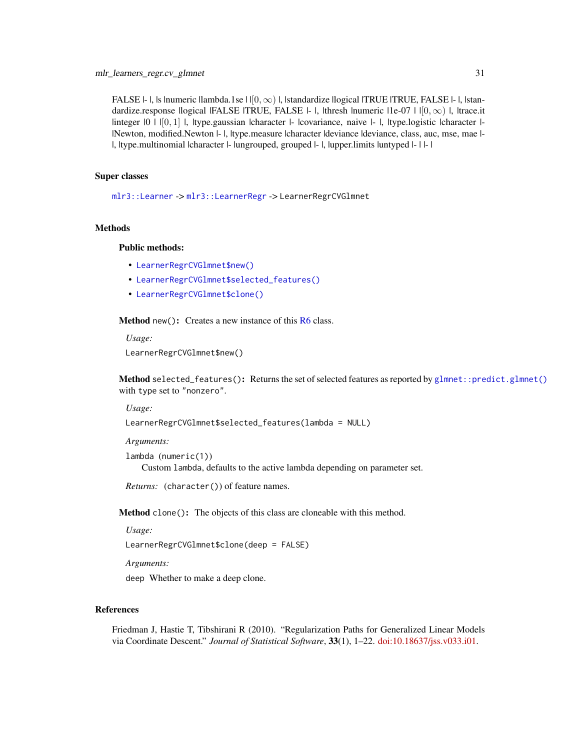<span id="page-30-3"></span>FALSE  $\vdash$  l, ls lnumeric llambda.1se  $\text{I} \mid [0, \infty)$  l, lstandardize llogical  $\text{ITRUE}$  TRUE, FALSE  $\vdash$  l, lstandardize.response |logical |FALSE |TRUE, FALSE  $|-|$ , |thresh |numeric  $|1e-07|$  |  $|0,\infty\rangle$  |, |trace.it  $\lvert$ integer  $\lvert 0 \rvert \lvert 0, 1 \rvert$ , type.gaussian  $\lvert$ character  $\lvert$ -  $\lvert$ covariance, naive  $\lvert$ - $\lvert$ , type.logistic  $\lvert$ character  $\lvert$ -|Newton, modified.Newton |- |, |type.measure |character |deviance |deviance, class, auc, mse, mae |- |, |type.multinomial |character |- |ungrouped, grouped |- |, |upper.limits |untyped |- | |- |

## Super classes

[mlr3::Learner](#page-0-0) -> [mlr3::LearnerRegr](#page-0-0) -> LearnerRegrCVGlmnet

## Methods

## Public methods:

- [LearnerRegrCVGlmnet\\$new\(\)](#page-30-0)
- [LearnerRegrCVGlmnet\\$selected\\_features\(\)](#page-30-1)
- [LearnerRegrCVGlmnet\\$clone\(\)](#page-30-2)

<span id="page-30-0"></span>Method new(): Creates a new instance of this [R6](#page-0-0) class.

*Usage:*

LearnerRegrCVGlmnet\$new()

<span id="page-30-1"></span>Method selected\_features(): Returns the set of selected features as reported by [glmnet::predict.glmnet\(\)](#page-0-0) with type set to "nonzero".

*Usage:*

```
LearnerRegrCVGlmnet$selected_features(lambda = NULL)
```
*Arguments:*

```
lambda (numeric(1))
   Custom lambda, defaults to the active lambda depending on parameter set.
```
*Returns:* (character()) of feature names.

<span id="page-30-2"></span>Method clone(): The objects of this class are cloneable with this method.

*Usage:*

LearnerRegrCVGlmnet\$clone(deep = FALSE)

*Arguments:*

deep Whether to make a deep clone.

## References

Friedman J, Hastie T, Tibshirani R (2010). "Regularization Paths for Generalized Linear Models via Coordinate Descent." *Journal of Statistical Software*, 33(1), 1–22. [doi:10.18637/jss.v033.i01.](https://doi.org/10.18637/jss.v033.i01)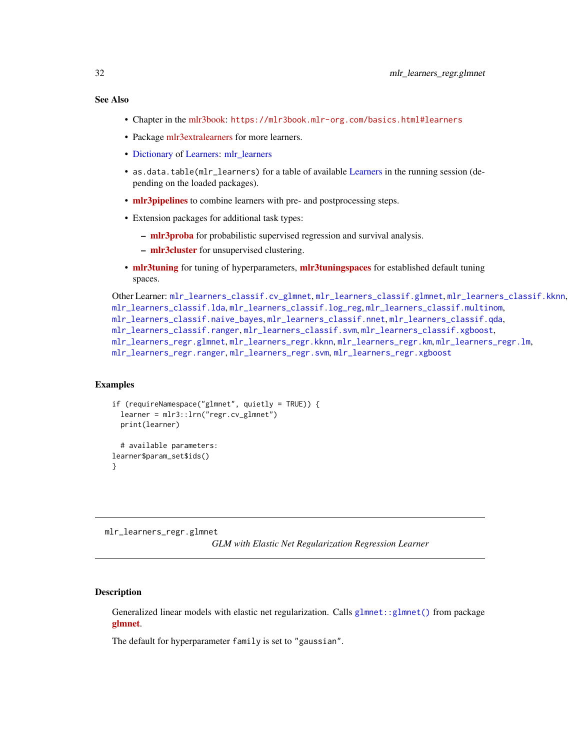# <span id="page-31-0"></span>See Also

- Chapter in the [mlr3book:](https://mlr3book.mlr-org.com/) <https://mlr3book.mlr-org.com/basics.html#learners>
- Package [mlr3extralearners](https://github.com/mlr-org/mlr3extralearners) for more learners.
- [Dictionary](#page-0-0) of [Learners:](#page-0-0) [mlr\\_learners](#page-0-0)
- as.data.table(mlr\_learners) for a table of available [Learners](#page-0-0) in the running session (depending on the loaded packages).
- **[mlr3pipelines](https://CRAN.R-project.org/package=mlr3pipelines)** to combine learners with pre- and postprocessing steps.
- Extension packages for additional task types:
	- [mlr3proba](https://CRAN.R-project.org/package=mlr3proba) for probabilistic supervised regression and survival analysis.
	- [mlr3cluster](https://CRAN.R-project.org/package=mlr3cluster) for unsupervised clustering.
- [mlr3tuning](https://CRAN.R-project.org/package=mlr3tuning) for tuning of hyperparameters, [mlr3tuningspaces](https://CRAN.R-project.org/package=mlr3tuningspaces) for established default tuning spaces.

```
Other Learner: mlr_learners_classif.cv_glmnet, mlr_learners_classif.glmnet, mlr_learners_classif.kknn,
mlr_learners_classif.lda, mlr_learners_classif.log_reg, mlr_learners_classif.multinom,
mlr_learners_classif.naive_bayes, mlr_learners_classif.nnet, mlr_learners_classif.qda,
mlr_learners_classif.ranger, mlr_learners_classif.svm, mlr_learners_classif.xgboost,
mlr_learners_regr.glmnet, mlr_learners_regr.kknn, mlr_learners_regr.km, mlr_learners_regr.lm,
mlr_learners_regr.ranger, mlr_learners_regr.svm, mlr_learners_regr.xgboost
```
# Examples

```
if (requireNamespace("glmnet", quietly = TRUE)) {
 learner = mlr3::lrn("regr.cv_glmnet")
 print(learner)
 # available parameters:
learner$param_set$ids()
}
```
<span id="page-31-1"></span>mlr\_learners\_regr.glmnet

*GLM with Elastic Net Regularization Regression Learner*

# **Description**

Generalized linear models with elastic net regularization. Calls [glmnet::glmnet\(\)](#page-0-0) from package [glmnet](https://CRAN.R-project.org/package=glmnet).

The default for hyperparameter family is set to "gaussian".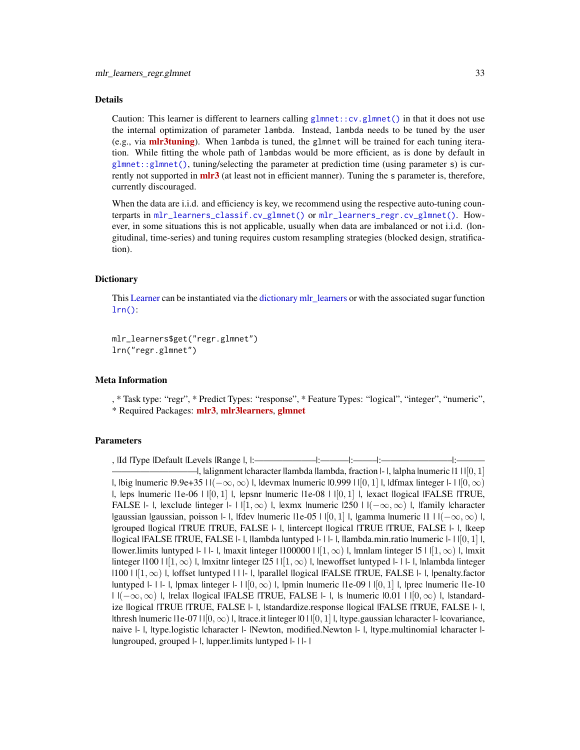#### <span id="page-32-0"></span>Details

Caution: This learner is different to learners calling [glmnet::cv.glmnet\(\)](#page-0-0) in that it does not use the internal optimization of parameter lambda. Instead, lambda needs to be tuned by the user (e.g., via **[mlr3tuning](https://CRAN.R-project.org/package=mlr3tuning)**). When lambda is tuned, the glmnet will be trained for each tuning iteration. While fitting the whole path of lambdas would be more efficient, as is done by default in [glmnet::glmnet\(\)](#page-0-0), tuning/selecting the parameter at prediction time (using parameter s) is currently not supported in **[mlr3](https://CRAN.R-project.org/package=mlr3)** (at least not in efficient manner). Tuning the s parameter is, therefore, currently discouraged.

When the data are i.i.d. and efficiency is key, we recommend using the respective auto-tuning counterparts in [mlr\\_learners\\_classif.cv\\_glmnet\(\)](#page-2-1) or [mlr\\_learners\\_regr.cv\\_glmnet\(\)](#page-29-1). However, in some situations this is not applicable, usually when data are imbalanced or not i.i.d. (longitudinal, time-series) and tuning requires custom resampling strategies (blocked design, stratification).

#### **Dictionary**

This [Learner](#page-0-0) can be instantiated via the [dictionary](#page-0-0) [mlr\\_learners](#page-0-0) or with the associated sugar function  $lrn()$ :

mlr\_learners\$get("regr.glmnet") lrn("regr.glmnet")

# Meta Information

, \* Task type: "regr", \* Predict Types: "response", \* Feature Types: "logical", "integer", "numeric", \* Required Packages: [mlr3](https://CRAN.R-project.org/package=mlr3), [mlr3learners](https://CRAN.R-project.org/package=mlr3learners), [glmnet](https://CRAN.R-project.org/package=glmnet)

# **Parameters**

, |Id |Type |Default |Levels |Range |, |:—————————|:————|:———|:  $-$ l, lalignment lcharacter llambda llambda, fraction  $\vdash$ l, lalpha lnumeric  $\lvert 1 \rvert \lvert 0, 1 \rvert$ |, |big |numeric |9.9e+35 |  $|(-\infty, \infty)$  |, |devmax |numeric |0.999 | |[0, 1] |, |dfmax |integer |- | |[0,  $\infty$ ) |, leps |numeric | 1e-06 |  $|[0,1]$  |, |epsnr |numeric | 1e-08 |  $|[0,1]$  |, |exact | logical |FALSE | TRUE, FALSE |- |, |exclude |integer |- | |[1, ∞) |, |exmx |numeric |250 | |(−∞, ∞) |, |family |character |gaussian |gaussian, poisson |- |, |fdev |numeric |1e-05 | |[0, 1] |, |gamma |numeric |1 | | $(-\infty, \infty)$  |, |grouped |logical |TRUE |TRUE, FALSE |- |, |intercept |logical |TRUE |TRUE, FALSE |- |, |keep |logical |FALSE |TRUE, FALSE  $\vdash$  |, |lambda |untyped  $\vdash$  |  $\vdash$  |, |lambda.min.ratio |numeric  $\vdash$  | | $[0, 1]$  |, |lower.limits |untyped |- | |- |, |maxit |integer |100000 | | $[1,\infty)$  |, |mnlam |integer |5 | | $[1,\infty)$  |, |mxit linteger  $|100|$   $||1, \infty$ ),  $||$  mxitnr linteger  $|25||1, \infty$ ,  $||$ , lnewoffset luntyped  $||$ - $||$ - $||$ , lnlambda linteger  $|100|$   $|11,\infty\rangle$  l, loffset luntyped  $|11-1|$ ,  $|parallel$  logical  $|FALSE|$   $TRUE$ ,  $FALSE$   $|-1$ ,  $|penalty$ . factor |untyped  $|-|$  |- |, |pmax |integer  $|-|$  |  $|0,\infty\rangle$  |, |pmin |numeric |1e-09 |  $|0,1\rangle$  |, |prec |numeric |1e-10  $| \cdot |(-\infty, \infty)|$ , |relax |logical |FALSE |TRUE, FALSE |- |, |s |numeric  $|0.01|$  |  $|0, \infty|$  |, |standardize |logical |TRUE |TRUE, FALSE |- |, |standardize.response |logical |FALSE |TRUE, FALSE |- |, |thresh |numeric | 1e-07 |  $|0, \infty)$  |, |trace.it |integer |0 | | $|0, 1|$  |, |type.gaussian |character |- |covariance, naive  $|-$  |, |type.logistic |character  $|-|Newton,$  modified.Newton  $|-$  |, |type.multinomial |character  $|-$ |ungrouped, grouped |- |, |upper.limits |untyped |- | |- |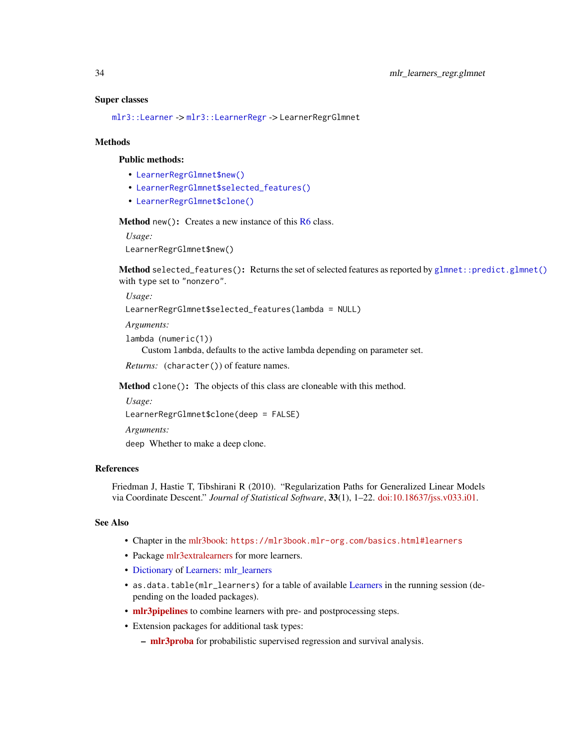#### <span id="page-33-3"></span>Super classes

[mlr3::Learner](#page-0-0) -> [mlr3::LearnerRegr](#page-0-0) -> LearnerRegrGlmnet

#### Methods

#### Public methods:

- [LearnerRegrGlmnet\\$new\(\)](#page-33-0)
- [LearnerRegrGlmnet\\$selected\\_features\(\)](#page-33-1)
- [LearnerRegrGlmnet\\$clone\(\)](#page-33-2)

<span id="page-33-0"></span>Method new(): Creates a new instance of this [R6](#page-0-0) class.

*Usage:*

LearnerRegrGlmnet\$new()

<span id="page-33-1"></span>Method selected\_features(): Returns the set of selected features as reported by [glmnet::predict.glmnet\(\)](#page-0-0) with type set to "nonzero".

*Usage:* LearnerRegrGlmnet\$selected\_features(lambda = NULL)

*Arguments:*

lambda (numeric(1))

Custom lambda, defaults to the active lambda depending on parameter set.

*Returns:* (character()) of feature names.

<span id="page-33-2"></span>Method clone(): The objects of this class are cloneable with this method.

*Usage:*

LearnerRegrGlmnet\$clone(deep = FALSE)

*Arguments:*

deep Whether to make a deep clone.

# References

Friedman J, Hastie T, Tibshirani R (2010). "Regularization Paths for Generalized Linear Models via Coordinate Descent." *Journal of Statistical Software*, 33(1), 1–22. [doi:10.18637/jss.v033.i01.](https://doi.org/10.18637/jss.v033.i01)

## See Also

- Chapter in the [mlr3book:](https://mlr3book.mlr-org.com/) <https://mlr3book.mlr-org.com/basics.html#learners>
- Package [mlr3extralearners](https://github.com/mlr-org/mlr3extralearners) for more learners.
- [Dictionary](#page-0-0) of [Learners:](#page-0-0) [mlr\\_learners](#page-0-0)
- as.data.table(mlr\_learners) for a table of available [Learners](#page-0-0) in the running session (depending on the loaded packages).
- [mlr3pipelines](https://CRAN.R-project.org/package=mlr3pipelines) to combine learners with pre- and postprocessing steps.
- Extension packages for additional task types:
	- [mlr3proba](https://CRAN.R-project.org/package=mlr3proba) for probabilistic supervised regression and survival analysis.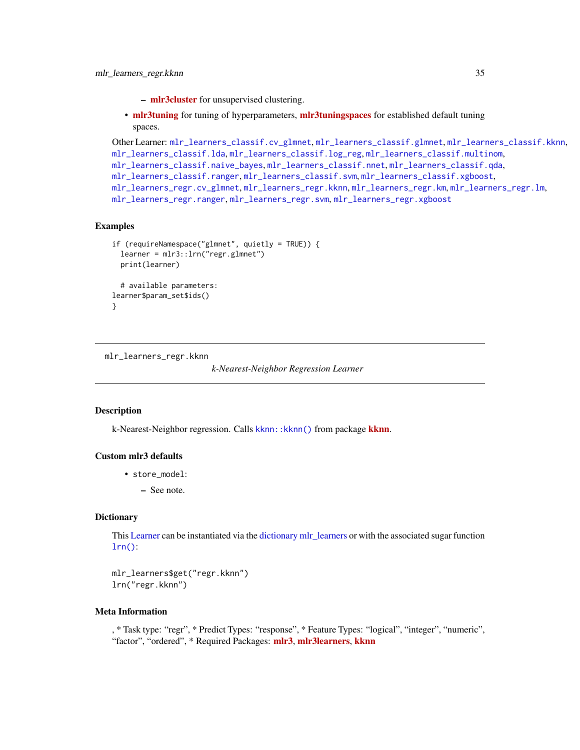- [mlr3cluster](https://CRAN.R-project.org/package=mlr3cluster) for unsupervised clustering.
- <span id="page-34-0"></span>• [mlr3tuning](https://CRAN.R-project.org/package=mlr3tuning) for tuning of hyperparameters, [mlr3tuningspaces](https://CRAN.R-project.org/package=mlr3tuningspaces) for established default tuning spaces.

```
Other Learner: mlr_learners_classif.cv_glmnet, mlr_learners_classif.glmnet, mlr_learners_classif.kknn,
mlr_learners_classif.lda, mlr_learners_classif.log_reg, mlr_learners_classif.multinom,
mlr_learners_classif.naive_bayes, mlr_learners_classif.nnet, mlr_learners_classif.qda,
mlr_learners_classif.ranger, mlr_learners_classif.svm, mlr_learners_classif.xgboost,
mlr_learners_regr.cv_glmnet, mlr_learners_regr.kknn, mlr_learners_regr.km, mlr_learners_regr.lm,
mlr_learners_regr.rangermlr_learners_regr.svmmlr_learners_regr.xgboost
```
## Examples

```
if (requireNamespace("glmnet", quietly = TRUE)) {
 learner = mlr3::lrn("regr.glmnet")
 print(learner)
 # available parameters:
learner$param_set$ids()
}
```
<span id="page-34-1"></span>mlr\_learners\_regr.kknn

*k-Nearest-Neighbor Regression Learner*

# Description

k-Nearest-Neighbor regression. Calls [kknn](https://CRAN.R-project.org/package=kknn):: kknn() from package kknn.

# Custom mlr3 defaults

- store\_model:
	- See note.

#### **Dictionary**

This [Learner](#page-0-0) can be instantiated via the [dictionary](#page-0-0) [mlr\\_learners](#page-0-0) or with the associated sugar function  $lrn()$ :

mlr\_learners\$get("regr.kknn") lrn("regr.kknn")

# Meta Information

, \* Task type: "regr", \* Predict Types: "response", \* Feature Types: "logical", "integer", "numeric", "factor", "ordered", \* Required Packages: [mlr3](https://CRAN.R-project.org/package=mlr3), [mlr3learners](https://CRAN.R-project.org/package=mlr3learners), [kknn](https://CRAN.R-project.org/package=kknn)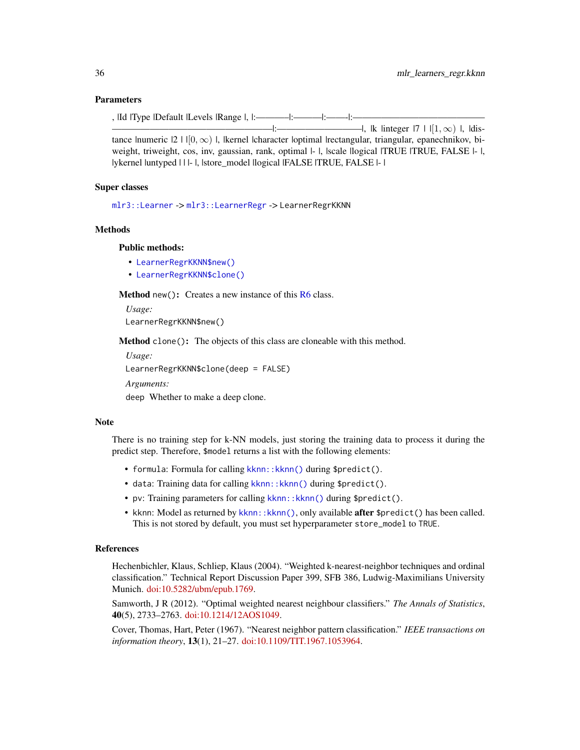# Parameters

, |Id |Type |Default |Levels |Range |, |:———–|:———|:——-|:——————————————

—————————————————|:—————————|, |k |integer |7 | |[1, ∞) |, |distance |numeric  $|2 \mid |0, \infty)$  |, |kernel |character |optimal |rectangular, triangular, epanechnikov, biweight, triweight, cos, inv, gaussian, rank, optimal  $|-|$ , scale llogical ITRUE ITRUE, FALSE  $|-|$ , |ykernel |untyped | | |- |, |store\_model |logical |FALSE |TRUE, FALSE |- |

# Super classes

[mlr3::Learner](#page-0-0) -> [mlr3::LearnerRegr](#page-0-0) -> LearnerRegrKKNN

## Methods

## Public methods:

- [LearnerRegrKKNN\\$new\(\)](#page-35-0)
- [LearnerRegrKKNN\\$clone\(\)](#page-35-1)

<span id="page-35-0"></span>**Method** new(): Creates a new instance of this  $R6$  class.

*Usage:*

LearnerRegrKKNN\$new()

<span id="page-35-1"></span>Method clone(): The objects of this class are cloneable with this method.

*Usage:*

LearnerRegrKKNN\$clone(deep = FALSE)

*Arguments:*

deep Whether to make a deep clone.

#### Note

There is no training step for k-NN models, just storing the training data to process it during the predict step. Therefore, \$model returns a list with the following elements:

- formula: Formula for calling kknn:: kknn() during \$predict().
- data: Training data for calling kknn:: kknn() during \$predict().
- pv: Training parameters for calling kknn:: kknn() during \$predict().
- kknn: Model as returned by [kknn::kknn\(\)](#page-0-0), only available **after** \$predict() has been called. This is not stored by default, you must set hyperparameter store\_model to TRUE.

## References

Hechenbichler, Klaus, Schliep, Klaus (2004). "Weighted k-nearest-neighbor techniques and ordinal classification." Technical Report Discussion Paper 399, SFB 386, Ludwig-Maximilians University Munich. [doi:10.5282/ubm/epub.1769.](https://doi.org/10.5282/ubm/epub.1769)

Samworth, J R (2012). "Optimal weighted nearest neighbour classifiers." *The Annals of Statistics*, 40(5), 2733–2763. [doi:10.1214/12AOS1049.](https://doi.org/10.1214/12-AOS1049)

Cover, Thomas, Hart, Peter (1967). "Nearest neighbor pattern classification." *IEEE transactions on information theory*, 13(1), 21–27. [doi:10.1109/TIT.1967.1053964.](https://doi.org/10.1109/TIT.1967.1053964)

<span id="page-35-2"></span>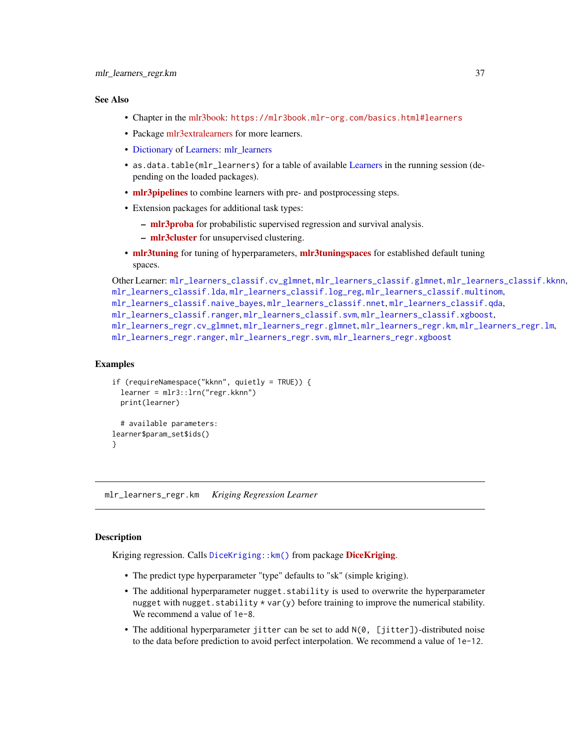## <span id="page-36-0"></span>See Also

- Chapter in the [mlr3book:](https://mlr3book.mlr-org.com/) <https://mlr3book.mlr-org.com/basics.html#learners>
- Package [mlr3extralearners](https://github.com/mlr-org/mlr3extralearners) for more learners.
- [Dictionary](#page-0-0) of [Learners:](#page-0-0) [mlr\\_learners](#page-0-0)
- as.data.table(mlr\_learners) for a table of available [Learners](#page-0-0) in the running session (depending on the loaded packages).
- **[mlr3pipelines](https://CRAN.R-project.org/package=mlr3pipelines)** to combine learners with pre- and postprocessing steps.
- Extension packages for additional task types:
	- [mlr3proba](https://CRAN.R-project.org/package=mlr3proba) for probabilistic supervised regression and survival analysis.
	- [mlr3cluster](https://CRAN.R-project.org/package=mlr3cluster) for unsupervised clustering.
- [mlr3tuning](https://CRAN.R-project.org/package=mlr3tuning) for tuning of hyperparameters, [mlr3tuningspaces](https://CRAN.R-project.org/package=mlr3tuningspaces) for established default tuning spaces.

```
Other Learner: mlr_learners_classif.cv_glmnet, mlr_learners_classif.glmnet, mlr_learners_classif.kknn,
mlr_learners_classif.lda, mlr_learners_classif.log_reg, mlr_learners_classif.multinom,
mlr_learners_classif.naive_bayes, mlr_learners_classif.nnet, mlr_learners_classif.qda,
mlr_learners_classif.ranger, mlr_learners_classif.svm, mlr_learners_classif.xgboost,
mlr_learners_regr.cv_glmnet, mlr_learners_regr.glmnet, mlr_learners_regr.km, mlr_learners_regr.lm,
mlr_learners_regr.rangermlr_learners_regr.svmmlr_learners_regr.xgboost
```
# Examples

```
if (requireNamespace("kknn", quietly = TRUE)) {
 learner = mlr3::lrn("regr.kknn")
 print(learner)
 # available parameters:
learner$param_set$ids()
}
```
<span id="page-36-1"></span>mlr\_learners\_regr.km *Kriging Regression Learner*

# **Description**

Kriging regression. Calls [DiceKriging](https://CRAN.R-project.org/package=DiceKriging):: km() from package DiceKriging.

- The predict type hyperparameter "type" defaults to "sk" (simple kriging).
- The additional hyperparameter nugget. stability is used to overwrite the hyperparameter nugget with nugget. stability  $*$  var(y) before training to improve the numerical stability. We recommend a value of 1e-8.
- The additional hyperparameter jitter can be set to add N(0, [jitter])-distributed noise to the data before prediction to avoid perfect interpolation. We recommend a value of 1e-12.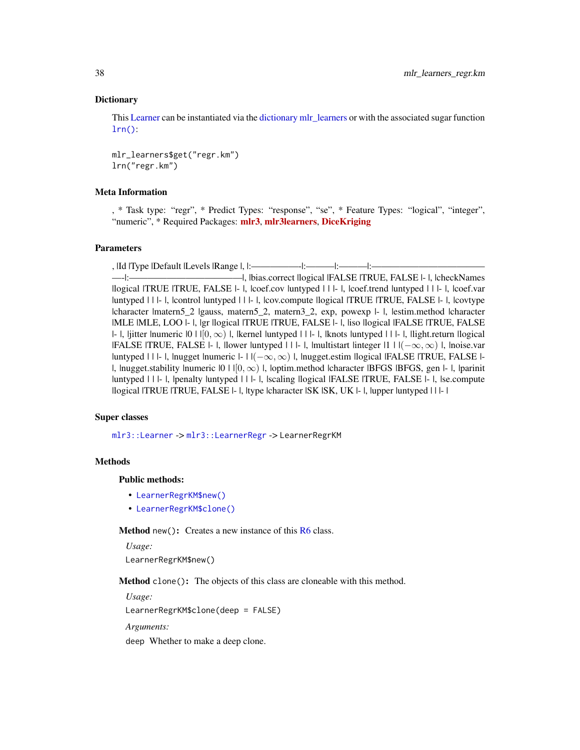# <span id="page-37-2"></span>**Dictionary**

This [Learner](#page-0-0) can be instantiated via the [dictionary](#page-0-0) [mlr\\_learners](#page-0-0) or with the associated sugar function  $lrn()$ :

mlr\_learners\$get("regr.km") lrn("regr.km")

## Meta Information

, \* Task type: "regr", \* Predict Types: "response", "se", \* Feature Types: "logical", "integer", "numeric", \* Required Packages: [mlr3](https://CRAN.R-project.org/package=mlr3), [mlr3learners](https://CRAN.R-project.org/package=mlr3learners), [DiceKriging](https://CRAN.R-project.org/package=DiceKriging)

# Parameters

, |Id |Type |Default |Levels |Range |, |:—————-|:———|:———|:————————————

—-|:————————————|, |bias.correct |logical |FALSE |TRUE, FALSE |- |, |checkNames |logical |TRUE |TRUE, FALSE |- |, |coef.cov |untyped | | |- |, |coef.trend |untyped | | |- |, |coef.var |untyped | | |- |, |control |untyped | | |- |, |cov.compute |logical |TRUE |TRUE, FALSE |- |, |covtype |character |matern5\_2 |gauss, matern5\_2, matern3\_2, exp, powexp |- |, |estim.method |character |MLE |MLE, LOO |- |, |gr |logical |TRUE |TRUE, FALSE |- |, |iso |logical |FALSE |TRUE, FALSE |-  $\vert$ , |jitter |numeric  $\vert 0 \vert \vert [0, \infty) \vert$ , |kernel |untyped | | |- |, |knots |untyped | | |- |, |light.return |logical  $|FALSE | TRUE, FALSE | - |$ , llower luntyped | | |- |, |multistart linteger |1 | |(−∞, ∞) |, |noise.var |untyped | | |- |, |nugget |numeric  $|-| \cdot | \cdot |(-\infty, \infty)$  |, |nugget.estim |logical |FALSE |TRUE, FALSE |-|, |nugget.stability |numeric  $|0| + |0| \infty$  | |, |optim.method |character |BFGS |BFGS, gen |- |, |parinit |untyped | | |- |, |penalty |untyped | | |- |, |scaling |logical |FALSE |TRUE, FALSE |- |, |se.compute |logical |TRUE |TRUE, FALSE |- |, |type |character |SK |SK, UK |- |, |upper |untyped | | |- |

# Super classes

[mlr3::Learner](#page-0-0) -> [mlr3::LearnerRegr](#page-0-0) -> LearnerRegrKM

#### Methods

#### Public methods:

- [LearnerRegrKM\\$new\(\)](#page-37-0)
- [LearnerRegrKM\\$clone\(\)](#page-37-1)

<span id="page-37-0"></span>Method new(): Creates a new instance of this [R6](#page-0-0) class.

*Usage:* LearnerRegrKM\$new()

<span id="page-37-1"></span>Method clone(): The objects of this class are cloneable with this method.

*Usage:*

LearnerRegrKM\$clone(deep = FALSE)

*Arguments:*

deep Whether to make a deep clone.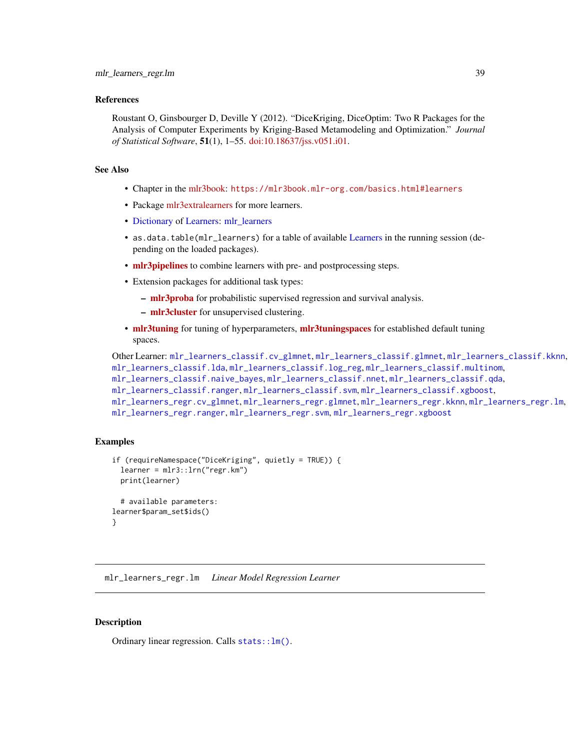## <span id="page-38-0"></span>References

Roustant O, Ginsbourger D, Deville Y (2012). "DiceKriging, DiceOptim: Two R Packages for the Analysis of Computer Experiments by Kriging-Based Metamodeling and Optimization." *Journal of Statistical Software*, 51(1), 1–55. [doi:10.18637/jss.v051.i01.](https://doi.org/10.18637/jss.v051.i01)

## See Also

- Chapter in the [mlr3book:](https://mlr3book.mlr-org.com/) <https://mlr3book.mlr-org.com/basics.html#learners>
- Package [mlr3extralearners](https://github.com/mlr-org/mlr3extralearners) for more learners.
- [Dictionary](#page-0-0) of [Learners:](#page-0-0) [mlr\\_learners](#page-0-0)
- as.data.table(mlr\_learners) for a table of available [Learners](#page-0-0) in the running session (depending on the loaded packages).
- [mlr3pipelines](https://CRAN.R-project.org/package=mlr3pipelines) to combine learners with pre- and postprocessing steps.
- Extension packages for additional task types:
	- [mlr3proba](https://CRAN.R-project.org/package=mlr3proba) for probabilistic supervised regression and survival analysis.
	- [mlr3cluster](https://CRAN.R-project.org/package=mlr3cluster) for unsupervised clustering.
- [mlr3tuning](https://CRAN.R-project.org/package=mlr3tuning) for tuning of hyperparameters, [mlr3tuningspaces](https://CRAN.R-project.org/package=mlr3tuningspaces) for established default tuning spaces.

```
Other Learner: mlr_learners_classif.cv_glmnet, mlr_learners_classif.glmnet, mlr_learners_classif.kknn,
mlr_learners_classif.lda, mlr_learners_classif.log_reg, mlr_learners_classif.multinom,
mlr_learners_classif.naive_bayes, mlr_learners_classif.nnet, mlr_learners_classif.qda,
mlr_learners_classif.ranger, mlr_learners_classif.svm, mlr_learners_classif.xgboost,
mlr_learners_regr.cv_glmnet, mlr_learners_regr.glmnet, mlr_learners_regr.kknn, mlr_learners_regr.lm,
mlr_learners_regr.ranger, mlr_learners_regr.svm, mlr_learners_regr.xgboost
```
# Examples

```
if (requireNamespace("DiceKriging", quietly = TRUE)) {
 learner = mlr3::lrn("regr.km")
 print(learner)
 # available parameters:
learner$param_set$ids()
}
```
<span id="page-38-1"></span>mlr\_learners\_regr.lm *Linear Model Regression Learner*

# **Description**

Ordinary linear regression. Calls [stats::lm\(\)](#page-0-0).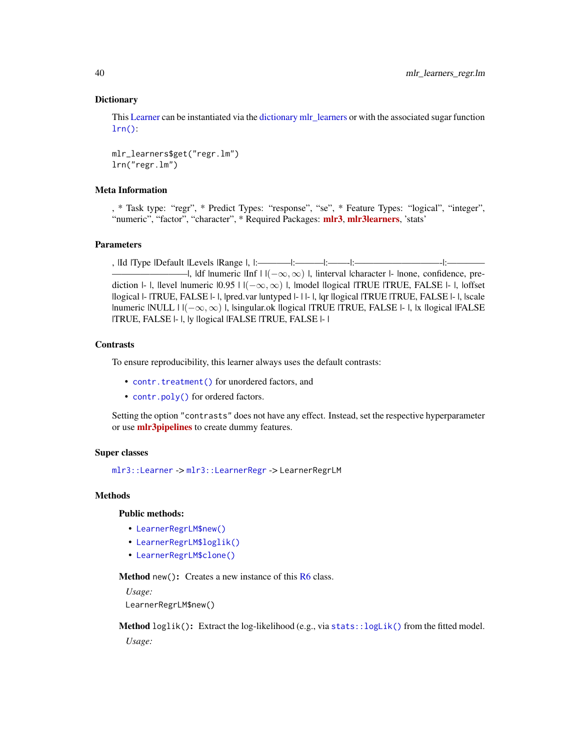## **Dictionary**

This [Learner](#page-0-0) can be instantiated via the [dictionary](#page-0-0) [mlr\\_learners](#page-0-0) or with the associated sugar function  $lrn()$ :

mlr\_learners\$get("regr.lm") lrn("regr.lm")

# Meta Information

, \* Task type: "regr", \* Predict Types: "response", "se", \* Feature Types: "logical", "integer", "numeric", "factor", "character", \* Required Packages: [mlr3](https://CRAN.R-project.org/package=mlr3), [mlr3learners](https://CRAN.R-project.org/package=mlr3learners), 'stats'

# Parameters

, |Id |Type |Default |Levels |Range |, |:———–|:———|:——-|:—————————-|:———— —I, ldf Inumeric IInf  $\vert$   $\vert$   $(-\infty, \infty)$  I, linterval lcharacter l- Inone, confidence, prediction  $|-|$ , llevel lnumeric  $|0.95| | (-\infty, \infty) |$ , lmodel llogical lTRUE  $|TRUE$ , FALSE  $|-|$ , loffset |logical |- |TRUE, FALSE |- |, |pred.var |untyped |- | |- |, |qr |logical |TRUE |TRUE, FALSE |- |, |scale |numeric |NULL |  $|(-\infty, \infty)$  |, |singular.ok |logical |TRUE | TRUE, FALSE |- |, |x |logical |FALSE |TRUE, FALSE |- |, |y |logical |FALSE |TRUE, FALSE |- |

## **Contrasts**

To ensure reproducibility, this learner always uses the default contrasts:

- [contr.treatment\(\)](#page-0-0) for unordered factors, and
- [contr.poly\(\)](#page-0-0) for ordered factors.

Setting the option "contrasts" does not have any effect. Instead, set the respective hyperparameter or use **[mlr3pipelines](https://CRAN.R-project.org/package=mlr3pipelines)** to create dummy features.

## Super classes

[mlr3::Learner](#page-0-0) -> [mlr3::LearnerRegr](#page-0-0) -> LearnerRegrLM

# Methods

## Public methods:

- [LearnerRegrLM\\$new\(\)](#page-39-0)
- [LearnerRegrLM\\$loglik\(\)](#page-39-1)
- [LearnerRegrLM\\$clone\(\)](#page-40-0)

<span id="page-39-0"></span>Method new(): Creates a new instance of this [R6](#page-0-0) class.

*Usage:*

LearnerRegrLM\$new()

<span id="page-39-1"></span>Method loglik(): Extract the log-likelihood (e.g., via [stats::logLik\(\)](#page-0-0) from the fitted model. *Usage:*

<span id="page-39-2"></span>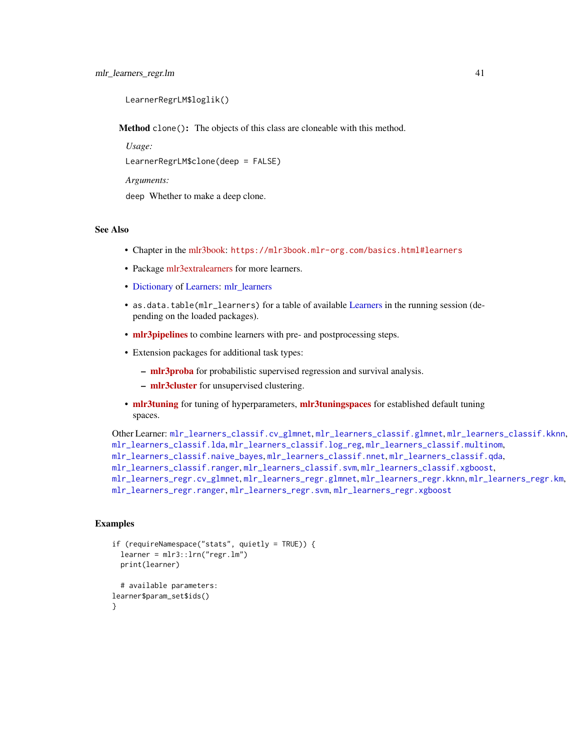```
LearnerRegrLM$loglik()
```
<span id="page-40-0"></span>Method clone(): The objects of this class are cloneable with this method.

*Usage:*

LearnerRegrLM\$clone(deep = FALSE)

*Arguments:*

deep Whether to make a deep clone.

## See Also

- Chapter in the [mlr3book:](https://mlr3book.mlr-org.com/) <https://mlr3book.mlr-org.com/basics.html#learners>
- Package [mlr3extralearners](https://github.com/mlr-org/mlr3extralearners) for more learners.
- [Dictionary](#page-0-0) of [Learners:](#page-0-0) [mlr\\_learners](#page-0-0)
- as.data.table(mlr\_learners) for a table of available [Learners](#page-0-0) in the running session (depending on the loaded packages).
- **[mlr3pipelines](https://CRAN.R-project.org/package=mlr3pipelines)** to combine learners with pre- and postprocessing steps.
- Extension packages for additional task types:
	- [mlr3proba](https://CRAN.R-project.org/package=mlr3proba) for probabilistic supervised regression and survival analysis.
	- [mlr3cluster](https://CRAN.R-project.org/package=mlr3cluster) for unsupervised clustering.
- [mlr3tuning](https://CRAN.R-project.org/package=mlr3tuning) for tuning of hyperparameters, [mlr3tuningspaces](https://CRAN.R-project.org/package=mlr3tuningspaces) for established default tuning spaces.

```
Other Learner: mlr_learners_classif.cv_glmnet, mlr_learners_classif.glmnet, mlr_learners_classif.kknn,
mlr_learners_classif.lda, mlr_learners_classif.log_reg, mlr_learners_classif.multinom,
mlr_learners_classif.naive_bayes, mlr_learners_classif.nnet, mlr_learners_classif.qda,
mlr_learners_classif.ranger, mlr_learners_classif.svm, mlr_learners_classif.xgboost,
mlr_learners_regr.cv_glmnet, mlr_learners_regr.glmnet, mlr_learners_regr.kknn, mlr_learners_regr.km,
mlr_learners_regr.ranger, mlr_learners_regr.svm, mlr_learners_regr.xgboost
```
## Examples

```
if (requireNamespace("stats", quietly = TRUE)) {
 learner = mlr3::lrn("regr.lm")
 print(learner)
 # available parameters:
learner$param_set$ids()
```

```
}
```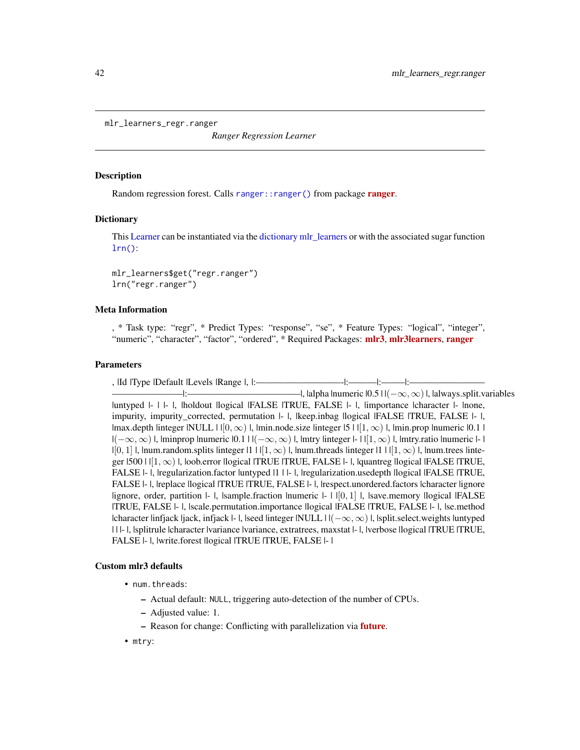<span id="page-41-1"></span><span id="page-41-0"></span>mlr\_learners\_regr.ranger

*Ranger Regression Learner*

#### Description

Random regression forest. Calls [ranger::ranger\(\)](#page-0-0) from package [ranger](https://CRAN.R-project.org/package=ranger).

## Dictionary

This [Learner](#page-0-0) can be instantiated via the [dictionary](#page-0-0) [mlr\\_learners](#page-0-0) or with the associated sugar function  $lrn()$ :

mlr\_learners\$get("regr.ranger") lrn("regr.ranger")

## Meta Information

, \* Task type: "regr", \* Predict Types: "response", "se", \* Feature Types: "logical", "integer", "numeric", "character", "factor", "ordered", \* Required Packages: [mlr3](https://CRAN.R-project.org/package=mlr3), [mlr3learners](https://CRAN.R-project.org/package=mlr3learners), [ranger](https://CRAN.R-project.org/package=ranger)

# Parameters

, |Id |Type |Default |Levels |Range |, |:—————————-|:———|:——–|:———————— ———————–|:————————————|, |alpha |numeric |0.5 | |(−∞, ∞)|, |always.split.variables |untyped |- | |- |, |holdout |logical |FALSE |TRUE, FALSE |- |, |importance |character |- |none, impurity, impurity\_corrected, permutation |- |, |keep.inbag |logical |FALSE |TRUE, FALSE |- |,  $|\text{max.depth}$  linteger  $|\text{NULL}|\cdot|[0,\infty)|$ ,  $|\text{min.node.size}$  linteger  $|5| \cdot |[1,\infty)|$ ,  $|\text{min.prop}$  lnumeric  $|0,1|$  $|(-\infty,\infty)|$ , |minprop |numeric  $|0.1|$  |  $|(-\infty,\infty)|$ , |mtry |integer  $|-\|11,\infty)|$ , |mtry.ratio |numeric  $|-\|$  $|[0, 1]|$ , lnum.random.splits linteger  $|1|1|1, \infty)$ , l, lnum.threads linteger  $|1|1|1, \infty)$ , l, lnum.trees linteger  $|500|$   $|$ [ $|1,\infty$ )  $|$ ,  $|$ oob.error  $|logical|$   $|TRUE|$   $|TRUE|$ ,  $|TRUE|$ .  $|FALSE|$   $|TRUE|$ FALSE |- |, |regularization.factor |untyped |1 | |- |, |regularization.usedepth |logical |FALSE |TRUE, FALSE |- |, |replace |logical |TRUE |TRUE, FALSE |- |, |respect.unordered.factors |character |ignore  $lignore$ , order, partition  $l-l$ ,  $lasmple$ . fraction  $lnumeric$   $l-l$   $l[0, 1]$ ,  $l$ ,  $lssve$ . memory  $llogical$  IFALSE |TRUE, FALSE |- |, |scale.permutation.importance |logical |FALSE |TRUE, FALSE |- |, |se.method |character |infjack |jack, infjack |- |, |seed |integer |NULL |  $|(-\infty, \infty)$  |, |split.select.weights |untyped | | |- |, |splitrule |character |variance |variance, extratrees, maxstat |- |, |verbose |logical |TRUE |TRUE, FALSE |- |, |write.forest |logical |TRUE |TRUE, FALSE |- |

#### Custom mlr3 defaults

- num.threads:
	- Actual default: NULL, triggering auto-detection of the number of CPUs.
	- Adjusted value: 1.
	- Reason for change: Conflicting with parallelization via **[future](https://CRAN.R-project.org/package=future)**.
- mtry: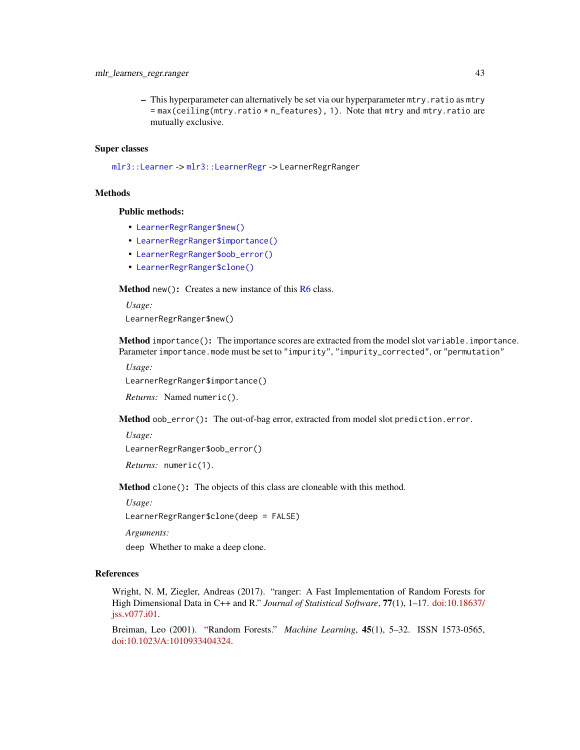# <span id="page-42-4"></span>mlr\_learners\_regr.ranger 43

– This hyperparameter can alternatively be set via our hyperparameter mtry.ratio as mtry = max(ceiling(mtry.ratio \* n\_features), 1). Note that mtry and mtry.ratio are mutually exclusive.

# Super classes

[mlr3::Learner](#page-0-0) -> [mlr3::LearnerRegr](#page-0-0) -> LearnerRegrRanger

# **Methods**

# Public methods:

- [LearnerRegrRanger\\$new\(\)](#page-42-0)
- [LearnerRegrRanger\\$importance\(\)](#page-42-1)
- [LearnerRegrRanger\\$oob\\_error\(\)](#page-42-2)
- [LearnerRegrRanger\\$clone\(\)](#page-42-3)

<span id="page-42-0"></span>**Method** new(): Creates a new instance of this  $R6$  class.

*Usage:*

LearnerRegrRanger\$new()

<span id="page-42-1"></span>Method importance(): The importance scores are extracted from the model slot variable.importance. Parameter importance.mode must be set to "impurity", "impurity\_corrected", or "permutation"

*Usage:*

LearnerRegrRanger\$importance()

*Returns:* Named numeric().

<span id="page-42-2"></span>Method oob\_error(): The out-of-bag error, extracted from model slot prediction.error.

*Usage:*

LearnerRegrRanger\$oob\_error()

*Returns:* numeric(1).

<span id="page-42-3"></span>Method clone(): The objects of this class are cloneable with this method.

*Usage:*

LearnerRegrRanger\$clone(deep = FALSE)

*Arguments:*

deep Whether to make a deep clone.

# References

Wright, N. M, Ziegler, Andreas (2017). "ranger: A Fast Implementation of Random Forests for High Dimensional Data in C++ and R." *Journal of Statistical Software*, 77(1), 1–17. [doi:10.18637/](https://doi.org/10.18637/jss.v077.i01) [jss.v077.i01.](https://doi.org/10.18637/jss.v077.i01)

Breiman, Leo (2001). "Random Forests." *Machine Learning*, 45(1), 5–32. ISSN 1573-0565, [doi:10.1023/A:1010933404324.](https://doi.org/10.1023/A%3A1010933404324)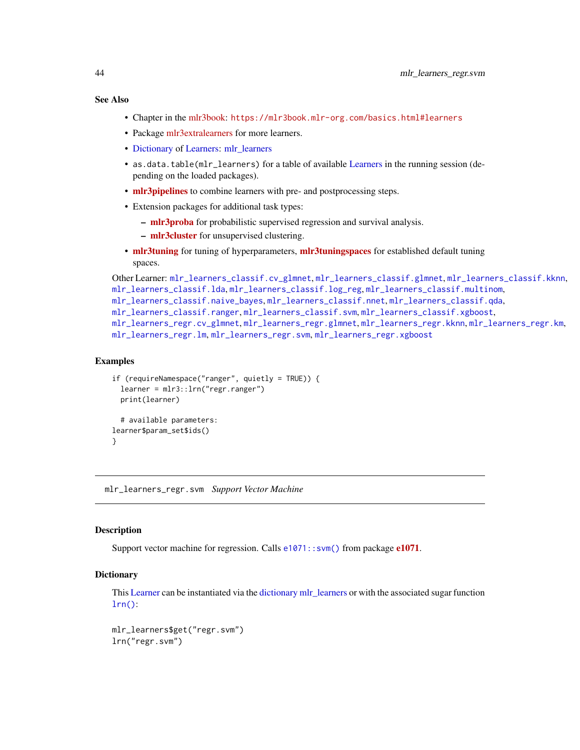# <span id="page-43-0"></span>See Also

- Chapter in the [mlr3book:](https://mlr3book.mlr-org.com/) <https://mlr3book.mlr-org.com/basics.html#learners>
- Package [mlr3extralearners](https://github.com/mlr-org/mlr3extralearners) for more learners.
- [Dictionary](#page-0-0) of [Learners:](#page-0-0) [mlr\\_learners](#page-0-0)
- as.data.table(mlr\_learners) for a table of available [Learners](#page-0-0) in the running session (depending on the loaded packages).
- **[mlr3pipelines](https://CRAN.R-project.org/package=mlr3pipelines)** to combine learners with pre- and postprocessing steps.
- Extension packages for additional task types:
	- [mlr3proba](https://CRAN.R-project.org/package=mlr3proba) for probabilistic supervised regression and survival analysis.
	- [mlr3cluster](https://CRAN.R-project.org/package=mlr3cluster) for unsupervised clustering.
- [mlr3tuning](https://CRAN.R-project.org/package=mlr3tuning) for tuning of hyperparameters, [mlr3tuningspaces](https://CRAN.R-project.org/package=mlr3tuningspaces) for established default tuning spaces.

```
Other Learner: mlr_learners_classif.cv_glmnet, mlr_learners_classif.glmnet, mlr_learners_classif.kknn,
mlr_learners_classif.lda, mlr_learners_classif.log_reg, mlr_learners_classif.multinom,
mlr_learners_classif.naive_bayes, mlr_learners_classif.nnet, mlr_learners_classif.qda,
mlr_learners_classif.ranger, mlr_learners_classif.svm, mlr_learners_classif.xgboost,
mlr_learners_regr.cv_glmnet, mlr_learners_regr.glmnet, mlr_learners_regr.kknn, mlr_learners_regr.km,
mlr_learners_regr.lm, mlr_learners_regr.svm, mlr_learners_regr.xgboost
```
## Examples

```
if (requireNamespace("ranger", quietly = TRUE)) {
 learner = mlr3::lrn("regr.ranger")
 print(learner)
 # available parameters:
learner$param_set$ids()
}
```
<span id="page-43-1"></span>mlr\_learners\_regr.svm *Support Vector Machine*

# **Description**

Support vector machine for regression. Calls  $e1071$ :: svm() from package  $e1071$ .

#### **Dictionary**

This [Learner](#page-0-0) can be instantiated via the [dictionary](#page-0-0) [mlr\\_learners](#page-0-0) or with the associated sugar function  $lrn()$ :

```
mlr_learners$get("regr.svm")
lrn("regr.svm")
```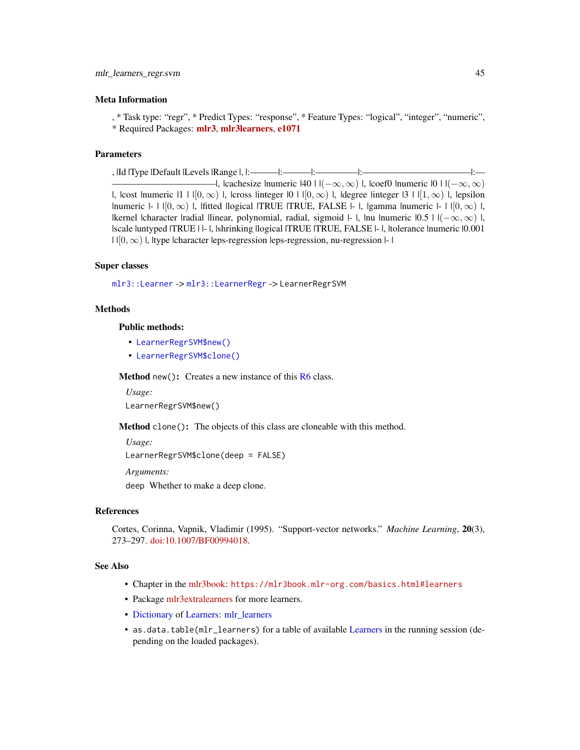## <span id="page-44-2"></span>Meta Information

, \* Task type: "regr", \* Predict Types: "response", \* Feature Types: "logical", "integer", "numeric", \* Required Packages: [mlr3](https://CRAN.R-project.org/package=mlr3), [mlr3learners](https://CRAN.R-project.org/package=mlr3learners), [e1071](https://CRAN.R-project.org/package=e1071)

# Parameters

, |Id |Type |Default |Levels |Range |, |:———|:———|:————–|:———————————–|:— —I, lcachesize lnumeric  $|40|$  |  $|(-\infty, \infty)$  |, lcoef0 |numeric  $|0|$  |  $|(-\infty, \infty)$ |, |cost |numeric |1 |  $|[0,\infty)$  |, |cross |integer |0 |  $|[0,\infty)$  |, |degree |integer |3 |  $|[1,\infty)$  |, |epsilon |numeric  $|-1|[0,\infty)$  |, |fitted |logical |TRUE |TRUE, FALSE  $|-1|$ , |gamma |numeric  $|-1|[0,\infty)$  |, |kernel |character |radial |linear, polynomial, radial, sigmoid |- |, |nu |numeric  $|0.5|$  |  $|(-\infty, \infty)$  |, |scale |untyped |TRUE | |- |, |shrinking |logical |TRUE |TRUE, FALSE |- |, |tolerance |numeric |0.001  $||[0, \infty)||$ , ltype lcharacter leps-regression leps-regression, nu-regression |- |

# Super classes

```
mlr3::Learner -> mlr3::LearnerRegr -> LearnerRegrSVM
```
# Methods

Public methods:

- [LearnerRegrSVM\\$new\(\)](#page-44-0)
- [LearnerRegrSVM\\$clone\(\)](#page-44-1)

<span id="page-44-0"></span>**Method** new(): Creates a new instance of this  $R6$  class.

*Usage:* LearnerRegrSVM\$new()

<span id="page-44-1"></span>Method clone(): The objects of this class are cloneable with this method.

*Usage:* LearnerRegrSVM\$clone(deep = FALSE)

*Arguments:*

deep Whether to make a deep clone.

# References

Cortes, Corinna, Vapnik, Vladimir (1995). "Support-vector networks." *Machine Learning*, 20(3), 273–297. [doi:10.1007/BF00994018.](https://doi.org/10.1007/BF00994018)

# See Also

- Chapter in the [mlr3book:](https://mlr3book.mlr-org.com/) <https://mlr3book.mlr-org.com/basics.html#learners>
- Package [mlr3extralearners](https://github.com/mlr-org/mlr3extralearners) for more learners.
- [Dictionary](#page-0-0) of [Learners:](#page-0-0) [mlr\\_learners](#page-0-0)
- as.data.table(mlr\_learners) for a table of available [Learners](#page-0-0) in the running session (depending on the loaded packages).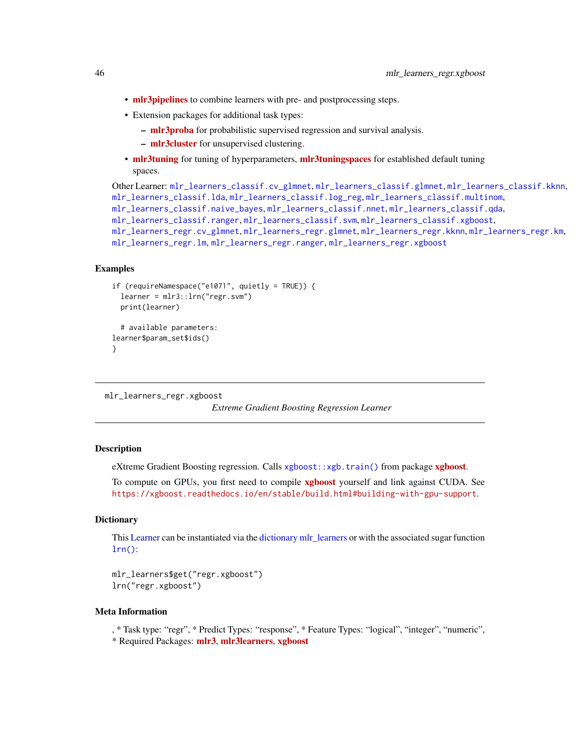- **[mlr3pipelines](https://CRAN.R-project.org/package=mlr3pipelines)** to combine learners with pre- and postprocessing steps.
- Extension packages for additional task types:
	- [mlr3proba](https://CRAN.R-project.org/package=mlr3proba) for probabilistic supervised regression and survival analysis.
	- [mlr3cluster](https://CRAN.R-project.org/package=mlr3cluster) for unsupervised clustering.
- [mlr3tuning](https://CRAN.R-project.org/package=mlr3tuning) for tuning of hyperparameters, [mlr3tuningspaces](https://CRAN.R-project.org/package=mlr3tuningspaces) for established default tuning spaces.

```
Other Learner: mlr_learners_classif.cv_glmnet, mlr_learners_classif.glmnet, mlr_learners_classif.kknn,
mlr_learners_classif.lda, mlr_learners_classif.log_reg, mlr_learners_classif.multinom,
mlr_learners_classif.naive_bayes, mlr_learners_classif.nnet, mlr_learners_classif.qda,
mlr_learners_classif.ranger, mlr_learners_classif.svm, mlr_learners_classif.xgboost,
mlr_learners_regr.cv_glmnet, mlr_learners_regr.glmnet, mlr_learners_regr.kknn, mlr_learners_regr.km,
mlr_learners_regr.lm, mlr_learners_regr.ranger, mlr_learners_regr.xgboost
```
# Examples

```
if (requireNamespace("e1071", quietly = TRUE)) {
 learner = mlr3::lrn("regr.svm")
 print(learner)
 # available parameters:
learner$param_set$ids()
}
```

```
mlr_learners_regr.xgboost
```
*Extreme Gradient Boosting Regression Learner*

# **Description**

eXtreme Gradient Boosting regression. Calls [xgboost::xgb.train\(\)](#page-0-0) from package [xgboost](https://CRAN.R-project.org/package=xgboost).

To compute on GPUs, you first need to compile **[xgboost](https://CRAN.R-project.org/package=xgboost)** yourself and link against CUDA. See <https://xgboost.readthedocs.io/en/stable/build.html#building-with-gpu-support>.

## **Dictionary**

This [Learner](#page-0-0) can be instantiated via the [dictionary](#page-0-0) [mlr\\_learners](#page-0-0) or with the associated sugar function  $lrn()$ :

mlr\_learners\$get("regr.xgboost") lrn("regr.xgboost")

## Meta Information

, \* Task type: "regr", \* Predict Types: "response", \* Feature Types: "logical", "integer", "numeric",

\* Required Packages: [mlr3](https://CRAN.R-project.org/package=mlr3), [mlr3learners](https://CRAN.R-project.org/package=mlr3learners), [xgboost](https://CRAN.R-project.org/package=xgboost)

<span id="page-45-0"></span>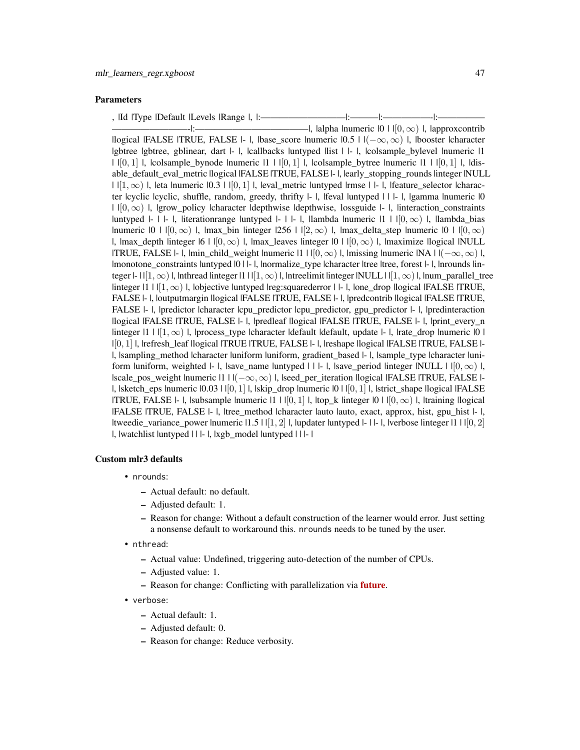# Parameters

| , IId lType IDefault ILevels  Range  ,  :- |  |  |
|--------------------------------------------|--|--|
|                                            |  |  |

————————-|:————————————|, |alpha |numeric |0 | |[0, ∞) |, |approxcontrib |logical |FALSE |TRUE, FALSE |- |, |base\_score |numeric  $|0.5|$  |  $|-\infty, \infty|$  |, |booster |character |gbtree |gbtree, gblinear, dart |- |, |callbacks |untyped |list | |- |, |colsample\_bylevel |numeric |1  $| |[0,1] |$ ,  $|$ colsample bynode  $|$ numeric  $|1 | [0,1] |$ ,  $|$ colsample bytree  $|$ numeric  $|1 | [0,1] |$ ,  $|$ disable\_default\_eval\_metric llogical |FALSE |TRUE, FALSE |- |, |early\_stopping\_rounds |integer |NULL  $| |[1, \infty) |$ , leta lnumeric  $|0.3 | |[0, 1] |$ , leval\_metric luntyped lrmse  $| \cdot |$ , lfeature\_selector lcharacter lcyclic lcyclic, shuffle, random, greedy, thrifty  $l-1$ , lfeval luntyped  $l+1$ . I, lgamma lnumeric  $l0$  $| |[0, \infty)|$ , |grow\_policy |character |depthwise |depthwise, lossguide |- |, |interaction\_constraints |untyped  $|-|$  |- |, |iterationrange |untyped  $|-|$  |- |, |lambda |numeric  $|1|$  |  $|0,\infty\rangle$  |, |lambda\_bias |numeric  $|0| \cdot |0| \infty$  |, |max\_bin |integer  $|256| \cdot |2, \infty$  |, |max\_delta\_step |numeric  $|0| \cdot |0, \infty$ |,  $\lim_{\alpha \to \infty}$  depth linteger  $|6 \mid |[0, \infty) \rangle$  |,  $\lim_{\alpha \to \infty}$  |  $\lim_{\alpha \to \infty}$  |  $\lim_{\alpha \to \infty}$  |  $\lim_{\alpha \to \infty}$  |  $\lim_{\alpha \to \infty}$  |  $\lim_{\alpha \to \infty}$  |  $\lim_{\alpha \to \infty}$  |  $\lim_{\alpha \to \infty}$  |  $\lim_{\alpha \to \infty}$  |  $\lim_{\alpha \to \infty}$  |  $\lim_{\alpha \to \$ |TRUE, FALSE |- |, |min\_child\_weight |numeric |1 | | $[0, \infty)$  |, |missing |numeric |NA |  $|(-\infty, \infty)$  |, |monotone\_constraints |untyped |0 | |- |, |normalize\_type |character |tree |tree, forest |- |, |nrounds |integer  $|-1| [1,\infty)$  l, lnthread linteger  $|1| 1 | [1,\infty)$  l, lntreelimit linteger  $|NULL| 1 | 1,\infty)$  l, lnum\_parallel\_tree  $\lim_{n \to \infty}$  |  $\lim_{n \to \infty}$  |,  $\lim_{n \to \infty}$  | lobjective |untyped |reg: squarederror | |- |, |one\_drop |logical |FALSE |TRUE, FALSE |- |, |outputmargin |logical |FALSE |TRUE, FALSE |- |, |predcontrib |logical |FALSE |TRUE, FALSE |- |, |predictor |character |cpu\_predictor |cpu\_predictor, gpu\_predictor |- |, |predinteraction |logical |FALSE |TRUE, FALSE |- |, |predleaf |logical |FALSE |TRUE, FALSE |- |, |print\_every\_n  $\lim_{\epsilon \to 0}$  |  $\lim_{n \to \infty}$  |,  $\lim_{n \to \infty}$  |  $\lim_{n \to \infty}$  |  $\lim_{n \to \infty}$  |  $\lim_{n \to \infty}$  |  $\lim_{n \to \infty}$  |  $\lim_{n \to \infty}$  |  $\lim_{n \to \infty}$  |  $\lim_{n \to \infty}$  |  $\lim_{n \to \infty}$  |  $\lim_{n \to \infty}$  |  $\lim_{n \to \infty}$  |  $\lim_{n \to \infty}$  |  $\lim_{n \to \infty$ |[0, 1] |, |refresh\_leaf |logical |TRUE |TRUE, FALSE |- |, |reshape |logical |FALSE |TRUE, FALSE |- |, |sampling\_method |character |uniform |uniform, gradient\_based |- |, |sample\_type |character |uniform |uniform, weighted  $|-|$ , |save\_name |untyped | | |- |, |save\_period |integer |NULL |  $|[0, \infty)|$ , |scale\_pos\_weight |numeric  $|1 | |(-\infty, \infty) |$ , |seed\_per\_iteration |logical |FALSE |TRUE, FALSE |- $|$ , |sketch\_eps |numeric  $|0.03|$  |  $|0,1|$  |, |skip\_drop |numeric  $|0|$  |  $|0,1|$  |, |strict\_shape |logical |FALSE |TRUE, FALSE  $\vdash$  l, |subsample |numeric  $\lvert 1 \rvert [0, 1] \rvert$ , |top\_k |integer  $\lvert 0 \rvert \rvert [0, \infty) \rvert$ , |training |logical |FALSE |TRUE, FALSE |- |, |tree\_method |character |auto |auto, exact, approx, hist, gpu\_hist |- |, |tweedie\_variance\_power |numeric  $|1.5|$  |  $|1, 2|$  |, |updater |untyped |- | |- |, |verbose |integer |1 | |  $|0, 2|$ |, |watchlist |untyped | | |- |, |xgb\_model |untyped | | |- |

#### Custom mlr3 defaults

- nrounds:
	- Actual default: no default.
	- Adjusted default: 1.
	- Reason for change: Without a default construction of the learner would error. Just setting a nonsense default to workaround this. nrounds needs to be tuned by the user.
- nthread:
	- Actual value: Undefined, triggering auto-detection of the number of CPUs.
	- Adjusted value: 1.
	- Reason for change: Conflicting with parallelization via **[future](https://CRAN.R-project.org/package=future)**.
- verbose:
	- Actual default: 1.
	- Adjusted default: 0.
	- Reason for change: Reduce verbosity.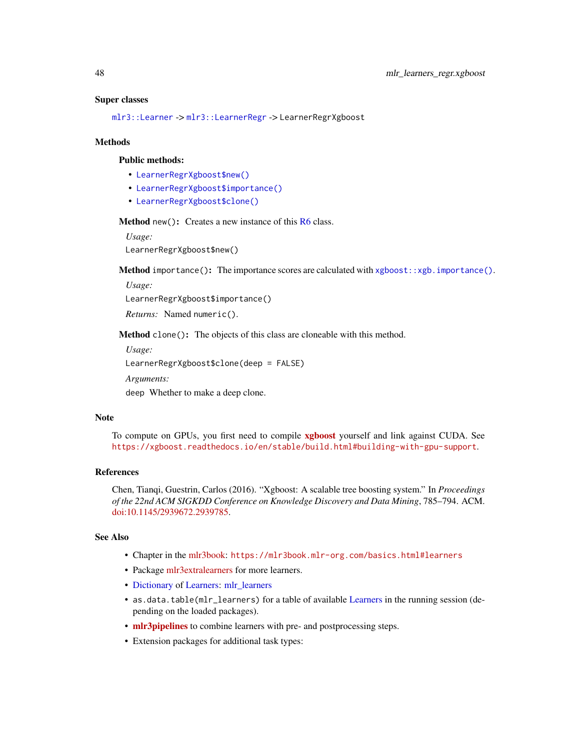#### <span id="page-47-3"></span>Super classes

[mlr3::Learner](#page-0-0) -> [mlr3::LearnerRegr](#page-0-0) -> LearnerRegrXgboost

#### Methods

#### Public methods:

- [LearnerRegrXgboost\\$new\(\)](#page-47-0)
- [LearnerRegrXgboost\\$importance\(\)](#page-47-1)
- [LearnerRegrXgboost\\$clone\(\)](#page-47-2)

<span id="page-47-0"></span>Method new(): Creates a new instance of this [R6](#page-0-0) class.

*Usage:*

LearnerRegrXgboost\$new()

<span id="page-47-1"></span>Method importance(): The importance scores are calculated with [xgboost::xgb.importance\(\)](#page-0-0).

*Usage:*

LearnerRegrXgboost\$importance()

*Returns:* Named numeric().

<span id="page-47-2"></span>Method clone(): The objects of this class are cloneable with this method.

*Usage:*

LearnerRegrXgboost\$clone(deep = FALSE)

*Arguments:*

deep Whether to make a deep clone.

# **Note**

To compute on GPUs, you first need to compile [xgboost](https://CRAN.R-project.org/package=xgboost) yourself and link against CUDA. See <https://xgboost.readthedocs.io/en/stable/build.html#building-with-gpu-support>.

#### References

Chen, Tianqi, Guestrin, Carlos (2016). "Xgboost: A scalable tree boosting system." In *Proceedings of the 22nd ACM SIGKDD Conference on Knowledge Discovery and Data Mining*, 785–794. ACM. [doi:10.1145/2939672.2939785.](https://doi.org/10.1145/2939672.2939785)

# See Also

- Chapter in the [mlr3book:](https://mlr3book.mlr-org.com/) <https://mlr3book.mlr-org.com/basics.html#learners>
- Package [mlr3extralearners](https://github.com/mlr-org/mlr3extralearners) for more learners.
- [Dictionary](#page-0-0) of [Learners:](#page-0-0) [mlr\\_learners](#page-0-0)
- as.data.table(mlr\_learners) for a table of available [Learners](#page-0-0) in the running session (depending on the loaded packages).
- [mlr3pipelines](https://CRAN.R-project.org/package=mlr3pipelines) to combine learners with pre- and postprocessing steps.
- Extension packages for additional task types: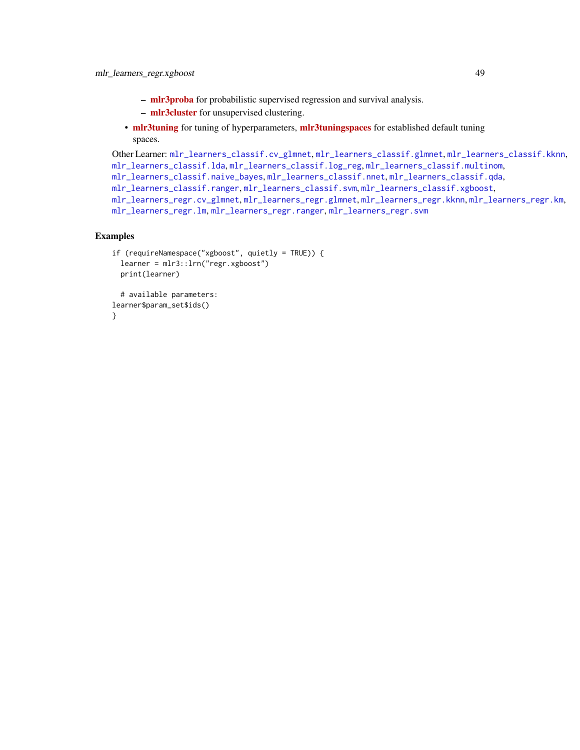- <span id="page-48-0"></span>– [mlr3proba](https://CRAN.R-project.org/package=mlr3proba) for probabilistic supervised regression and survival analysis.
- [mlr3cluster](https://CRAN.R-project.org/package=mlr3cluster) for unsupervised clustering.
- [mlr3tuning](https://CRAN.R-project.org/package=mlr3tuning) for tuning of hyperparameters, [mlr3tuningspaces](https://CRAN.R-project.org/package=mlr3tuningspaces) for established default tuning spaces.

```
Other Learner: mlr_learners_classif.cv_glmnet, mlr_learners_classif.glmnet, mlr_learners_classif.kknn,
mlr_learners_classif.lda, mlr_learners_classif.log_reg, mlr_learners_classif.multinom,
mlr_learners_classif.naive_bayes, mlr_learners_classif.nnet, mlr_learners_classif.qda,
mlr_learners_classif.ranger, mlr_learners_classif.svm, mlr_learners_classif.xgboost,
mlr_learners_regr.cv_glmnet, mlr_learners_regr.glmnet, mlr_learners_regr.kknn, mlr_learners_regr.km,
mlr_learners_regr.lm, mlr_learners_regr.ranger, mlr_learners_regr.svm
```
# Examples

```
if (requireNamespace("xgboost", quietly = TRUE)) {
 learner = mlr3::lrn("regr.xgboost")
 print(learner)
 # available parameters:
learner$param_set$ids()
}
```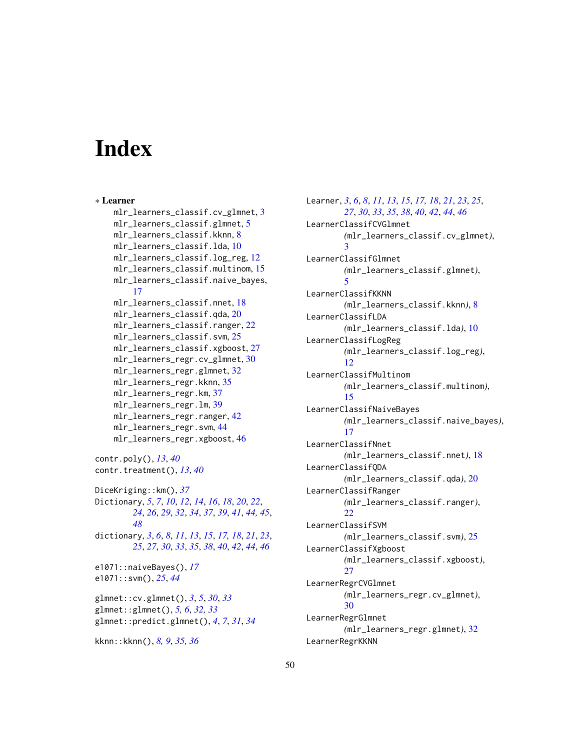# <span id="page-49-0"></span>**Index**

∗ Learner mlr\_learners\_classif.cv\_glmnet, [3](#page-2-0) mlr\_learners\_classif.glmnet, [5](#page-4-0) mlr\_learners\_classif.kknn, [8](#page-7-0) mlr\_learners\_classif.lda, [10](#page-9-0) mlr\_learners\_classif.log\_reg, [12](#page-11-0) mlr\_learners\_classif.multinom, [15](#page-14-0) mlr\_learners\_classif.naive\_bayes, [17](#page-16-0) mlr\_learners\_classif.nnet, [18](#page-17-0) mlr\_learners\_classif.qda, [20](#page-19-0) mlr\_learners\_classif.ranger, [22](#page-21-0) mlr\_learners\_classif.svm, [25](#page-24-0) mlr\_learners\_classif.xgboost, [27](#page-26-0) mlr\_learners\_regr.cv\_glmnet, [30](#page-29-0) mlr\_learners\_regr.glmnet, [32](#page-31-0) mlr\_learners\_regr.kknn, [35](#page-34-0) mlr\_learners\_regr.km, [37](#page-36-0) mlr\_learners\_regr.lm, [39](#page-38-0) mlr\_learners\_regr.ranger, [42](#page-41-0) mlr\_learners\_regr.svm, [44](#page-43-0) mlr\_learners\_regr.xgboost, [46](#page-45-0) contr.poly(), *[13](#page-12-1)*, *[40](#page-39-2)* contr.treatment(), *[13](#page-12-1)*, *[40](#page-39-2)* DiceKriging::km(), *[37](#page-36-0)* Dictionary, *[5](#page-4-0)*, *[7](#page-6-3)*, *[10](#page-9-0)*, *[12](#page-11-0)*, *[14](#page-13-2)*, *[16](#page-15-1)*, *[18](#page-17-0)*, *[20](#page-19-0)*, *[22](#page-21-0)*, *[24](#page-23-3)*, *[26](#page-25-2)*, *[29](#page-28-2)*, *[32](#page-31-0)*, *[34](#page-33-3)*, *[37](#page-36-0)*, *[39](#page-38-0)*, *[41](#page-40-1)*, *[44,](#page-43-0) [45](#page-44-2)*, *[48](#page-47-3)* dictionary, *[3](#page-2-0)*, *[6](#page-5-0)*, *[8](#page-7-0)*, *[11](#page-10-2)*, *[13](#page-12-1)*, *[15](#page-14-0)*, *[17,](#page-16-0) [18](#page-17-0)*, *[21](#page-20-2)*, *[23](#page-22-1)*, *[25](#page-24-0)*, *[27](#page-26-0)*, *[30](#page-29-0)*, *[33](#page-32-0)*, *[35](#page-34-0)*, *[38](#page-37-2)*, *[40](#page-39-2)*, *[42](#page-41-0)*, *[44](#page-43-0)*, *[46](#page-45-0)* e1071::naiveBayes(), *[17](#page-16-0)* e1071::svm(), *[25](#page-24-0)*, *[44](#page-43-0)* glmnet::cv.glmnet(), *[3](#page-2-0)*, *[5](#page-4-0)*, *[30](#page-29-0)*, *[33](#page-32-0)* glmnet::glmnet(), *[5,](#page-4-0) [6](#page-5-0)*, *[32,](#page-31-0) [33](#page-32-0)* glmnet::predict.glmnet(), *[4](#page-3-3)*, *[7](#page-6-3)*, *[31](#page-30-3)*, *[34](#page-33-3)* kknn::kknn(), *[8,](#page-7-0) [9](#page-8-2)*, *[35,](#page-34-0) [36](#page-35-2)*

Learner, *[3](#page-2-0)*, *[6](#page-5-0)*, *[8](#page-7-0)*, *[11](#page-10-2)*, *[13](#page-12-1)*, *[15](#page-14-0)*, *[17,](#page-16-0) [18](#page-17-0)*, *[21](#page-20-2)*, *[23](#page-22-1)*, *[25](#page-24-0)*, *[27](#page-26-0)*, *[30](#page-29-0)*, *[33](#page-32-0)*, *[35](#page-34-0)*, *[38](#page-37-2)*, *[40](#page-39-2)*, *[42](#page-41-0)*, *[44](#page-43-0)*, *[46](#page-45-0)* LearnerClassifCVGlmnet *(*mlr\_learners\_classif.cv\_glmnet*)*, [3](#page-2-0) LearnerClassifGlmnet *(*mlr\_learners\_classif.glmnet*)*, [5](#page-4-0) LearnerClassifKKNN *(*mlr\_learners\_classif.kknn*)*, [8](#page-7-0) LearnerClassifLDA *(*mlr\_learners\_classif.lda*)*, [10](#page-9-0) LearnerClassifLogReg *(*mlr\_learners\_classif.log\_reg*)*, [12](#page-11-0) LearnerClassifMultinom *(*mlr\_learners\_classif.multinom*)*, [15](#page-14-0) LearnerClassifNaiveBayes *(*mlr\_learners\_classif.naive\_bayes*)*, [17](#page-16-0) LearnerClassifNnet *(*mlr\_learners\_classif.nnet*)*, [18](#page-17-0) LearnerClassifQDA *(*mlr\_learners\_classif.qda*)*, [20](#page-19-0) LearnerClassifRanger *(*mlr\_learners\_classif.ranger*)*, [22](#page-21-0) LearnerClassifSVM *(*mlr\_learners\_classif.svm*)*, [25](#page-24-0) LearnerClassifXgboost *(*mlr\_learners\_classif.xgboost*)*, [27](#page-26-0) LearnerRegrCVGlmnet *(*mlr\_learners\_regr.cv\_glmnet*)*, [30](#page-29-0) LearnerRegrGlmnet *(*mlr\_learners\_regr.glmnet*)*, [32](#page-31-0) LearnerRegrKKNN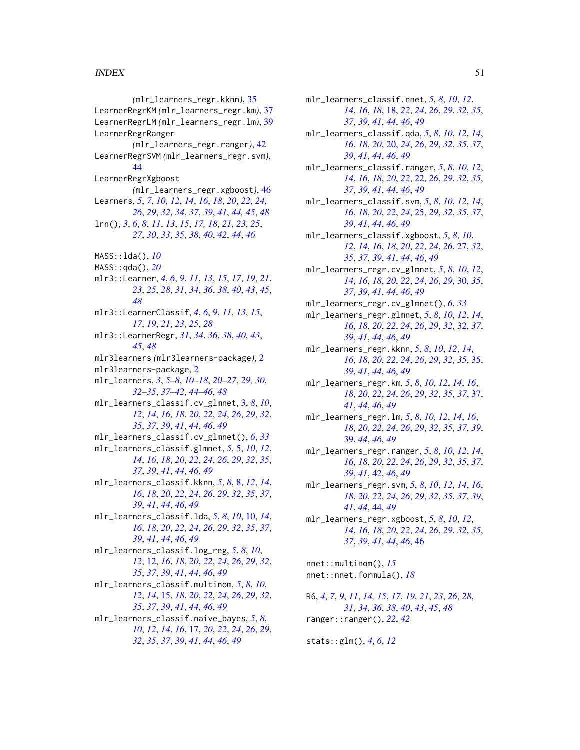## $I<sub>N</sub>$  in  $I<sub>N</sub>$  is  $I<sub>N</sub>$  in  $I<sub>N</sub>$  in  $I<sub>N</sub>$  in  $I<sub>N</sub>$  in  $I<sub>N</sub>$  in  $I<sub>N</sub>$  in  $I<sub>N</sub>$  in  $I<sub>N</sub>$  in  $I<sub>N</sub>$  in  $I<sub>N</sub>$  in  $I<sub>N</sub>$  in  $I<sub>N</sub>$  in  $I<sub>N</sub>$  in  $I<sub>N</sub>$  in  $I<sub>N</sub>$  in

*(*mlr\_learners\_regr.kknn*)*, [35](#page-34-0) LearnerRegrKM *(*mlr\_learners\_regr.km*)*, [37](#page-36-0) LearnerRegrLM *(*mlr\_learners\_regr.lm*)*, [39](#page-38-0) LearnerRegrRanger *(*mlr\_learners\_regr.ranger*)*, [42](#page-41-0) LearnerRegrSVM *(*mlr\_learners\_regr.svm*)*, [44](#page-43-0) LearnerRegrXgboost *(*mlr\_learners\_regr.xgboost*)*, [46](#page-45-0) Learners, *[5](#page-4-0)*, *[7](#page-6-3)*, *[10](#page-9-0)*, *[12](#page-11-0)*, *[14](#page-13-2)*, *[16](#page-15-1)*, *[18](#page-17-0)*, *[20](#page-19-0)*, *[22](#page-21-0)*, *[24](#page-23-3)*, *[26](#page-25-2)*, *[29](#page-28-2)*, *[32](#page-31-0)*, *[34](#page-33-3)*, *[37](#page-36-0)*, *[39](#page-38-0)*, *[41](#page-40-1)*, *[44,](#page-43-0) [45](#page-44-2)*, *[48](#page-47-3)* lrn(), *[3](#page-2-0)*, *[6](#page-5-0)*, *[8](#page-7-0)*, *[11](#page-10-2)*, *[13](#page-12-1)*, *[15](#page-14-0)*, *[17,](#page-16-0) [18](#page-17-0)*, *[21](#page-20-2)*, *[23](#page-22-1)*, *[25](#page-24-0)*, *[27](#page-26-0)*, *[30](#page-29-0)*, *[33](#page-32-0)*, *[35](#page-34-0)*, *[38](#page-37-2)*, *[40](#page-39-2)*, *[42](#page-41-0)*, *[44](#page-43-0)*, *[46](#page-45-0)* MASS::lda(), *[10](#page-9-0)* MASS::qda(), *[20](#page-19-0)* mlr3::Learner, *[4](#page-3-3)*, *[6](#page-5-0)*, *[9](#page-8-2)*, *[11](#page-10-2)*, *[13](#page-12-1)*, *[15](#page-14-0)*, *[17](#page-16-0)*, *[19](#page-18-2)*, *[21](#page-20-2)*, *[23](#page-22-1)*, *[25](#page-24-0)*, *[28](#page-27-1)*, *[31](#page-30-3)*, *[34](#page-33-3)*, *[36](#page-35-2)*, *[38](#page-37-2)*, *[40](#page-39-2)*, *[43](#page-42-4)*, *[45](#page-44-2)*, *[48](#page-47-3)* mlr3::LearnerClassif, *[4](#page-3-3)*, *[6](#page-5-0)*, *[9](#page-8-2)*, *[11](#page-10-2)*, *[13](#page-12-1)*, *[15](#page-14-0)*, *[17](#page-16-0)*, *[19](#page-18-2)*, *[21](#page-20-2)*, *[23](#page-22-1)*, *[25](#page-24-0)*, *[28](#page-27-1)* mlr3::LearnerRegr, *[31](#page-30-3)*, *[34](#page-33-3)*, *[36](#page-35-2)*, *[38](#page-37-2)*, *[40](#page-39-2)*, *[43](#page-42-4)*, *[45](#page-44-2)*, *[48](#page-47-3)* mlr3learners *(*mlr3learners-package*)*, [2](#page-1-0) mlr3learners-package, [2](#page-1-0) mlr\_learners, *[3](#page-2-0)*, *[5](#page-4-0)[–8](#page-7-0)*, *[10–](#page-9-0)[18](#page-17-0)*, *[20–](#page-19-0)[27](#page-26-0)*, *[29,](#page-28-2) [30](#page-29-0)*, *[32](#page-31-0)[–35](#page-34-0)*, *[37](#page-36-0)[–42](#page-41-0)*, *[44–](#page-43-0)[46](#page-45-0)*, *[48](#page-47-3)* mlr\_learners\_classif.cv\_glmnet, [3,](#page-2-0) *[8](#page-7-0)*, *[10](#page-9-0)*, *[12](#page-11-0)*, *[14](#page-13-2)*, *[16](#page-15-1)*, *[18](#page-17-0)*, *[20](#page-19-0)*, *[22](#page-21-0)*, *[24](#page-23-3)*, *[26](#page-25-2)*, *[29](#page-28-2)*, *[32](#page-31-0)*, *[35](#page-34-0)*, *[37](#page-36-0)*, *[39](#page-38-0)*, *[41](#page-40-1)*, *[44](#page-43-0)*, *[46](#page-45-0)*, *[49](#page-48-0)* mlr\_learners\_classif.cv\_glmnet(), *[6](#page-5-0)*, *[33](#page-32-0)* mlr\_learners\_classif.glmnet, *[5](#page-4-0)*, [5,](#page-4-0) *[10](#page-9-0)*, *[12](#page-11-0)*, *[14](#page-13-2)*, *[16](#page-15-1)*, *[18](#page-17-0)*, *[20](#page-19-0)*, *[22](#page-21-0)*, *[24](#page-23-3)*, *[26](#page-25-2)*, *[29](#page-28-2)*, *[32](#page-31-0)*, *[35](#page-34-0)*, *[37](#page-36-0)*, *[39](#page-38-0)*, *[41](#page-40-1)*, *[44](#page-43-0)*, *[46](#page-45-0)*, *[49](#page-48-0)* mlr\_learners\_classif.kknn, *[5](#page-4-0)*, *[8](#page-7-0)*, [8,](#page-7-0) *[12](#page-11-0)*, *[14](#page-13-2)*, *[16](#page-15-1)*, *[18](#page-17-0)*, *[20](#page-19-0)*, *[22](#page-21-0)*, *[24](#page-23-3)*, *[26](#page-25-2)*, *[29](#page-28-2)*, *[32](#page-31-0)*, *[35](#page-34-0)*, *[37](#page-36-0)*, *[39](#page-38-0)*, *[41](#page-40-1)*, *[44](#page-43-0)*, *[46](#page-45-0)*, *[49](#page-48-0)* mlr\_learners\_classif.lda, *[5](#page-4-0)*, *[8](#page-7-0)*, *[10](#page-9-0)*, [10,](#page-9-0) *[14](#page-13-2)*, *[16](#page-15-1)*, *[18](#page-17-0)*, *[20](#page-19-0)*, *[22](#page-21-0)*, *[24](#page-23-3)*, *[26](#page-25-2)*, *[29](#page-28-2)*, *[32](#page-31-0)*, *[35](#page-34-0)*, *[37](#page-36-0)*, *[39](#page-38-0)*, *[41](#page-40-1)*, *[44](#page-43-0)*, *[46](#page-45-0)*, *[49](#page-48-0)* mlr\_learners\_classif.log\_reg, *[5](#page-4-0)*, *[8](#page-7-0)*, *[10](#page-9-0)*, *[12](#page-11-0)*, [12,](#page-11-0) *[16](#page-15-1)*, *[18](#page-17-0)*, *[20](#page-19-0)*, *[22](#page-21-0)*, *[24](#page-23-3)*, *[26](#page-25-2)*, *[29](#page-28-2)*, *[32](#page-31-0)*, *[35](#page-34-0)*, *[37](#page-36-0)*, *[39](#page-38-0)*, *[41](#page-40-1)*, *[44](#page-43-0)*, *[46](#page-45-0)*, *[49](#page-48-0)* mlr\_learners\_classif.multinom, *[5](#page-4-0)*, *[8](#page-7-0)*, *[10](#page-9-0)*, *[12](#page-11-0)*, *[14](#page-13-2)*, [15,](#page-14-0) *[18](#page-17-0)*, *[20](#page-19-0)*, *[22](#page-21-0)*, *[24](#page-23-3)*, *[26](#page-25-2)*, *[29](#page-28-2)*, *[32](#page-31-0)*, *[35](#page-34-0)*, *[37](#page-36-0)*, *[39](#page-38-0)*, *[41](#page-40-1)*, *[44](#page-43-0)*, *[46](#page-45-0)*, *[49](#page-48-0)* mlr\_learners\_classif.naive\_bayes, *[5](#page-4-0)*, *[8](#page-7-0)*, *[10](#page-9-0)*, *[12](#page-11-0)*, *[14](#page-13-2)*, *[16](#page-15-1)*, [17,](#page-16-0) *[20](#page-19-0)*, *[22](#page-21-0)*, *[24](#page-23-3)*, *[26](#page-25-2)*, *[29](#page-28-2)*, *[32](#page-31-0)*, *[35](#page-34-0)*, *[37](#page-36-0)*, *[39](#page-38-0)*, *[41](#page-40-1)*, *[44](#page-43-0)*, *[46](#page-45-0)*, *[49](#page-48-0)*

mlr\_learners\_classif.nnet, *[5](#page-4-0)*, *[8](#page-7-0)*, *[10](#page-9-0)*, *[12](#page-11-0)*, *[14](#page-13-2)*, *[16](#page-15-1)*, *[18](#page-17-0)*, [18,](#page-17-0) *[22](#page-21-0)*, *[24](#page-23-3)*, *[26](#page-25-2)*, *[29](#page-28-2)*, *[32](#page-31-0)*, *[35](#page-34-0)*, *[37](#page-36-0)*, *[39](#page-38-0)*, *[41](#page-40-1)*, *[44](#page-43-0)*, *[46](#page-45-0)*, *[49](#page-48-0)* mlr\_learners\_classif.qda, *[5](#page-4-0)*, *[8](#page-7-0)*, *[10](#page-9-0)*, *[12](#page-11-0)*, *[14](#page-13-2)*, *[16](#page-15-1)*, *[18](#page-17-0)*, *[20](#page-19-0)*, [20,](#page-19-0) *[24](#page-23-3)*, *[26](#page-25-2)*, *[29](#page-28-2)*, *[32](#page-31-0)*, *[35](#page-34-0)*, *[37](#page-36-0)*, *[39](#page-38-0)*, *[41](#page-40-1)*, *[44](#page-43-0)*, *[46](#page-45-0)*, *[49](#page-48-0)* mlr\_learners\_classif.ranger, *[5](#page-4-0)*, *[8](#page-7-0)*, *[10](#page-9-0)*, *[12](#page-11-0)*, *[14](#page-13-2)*, *[16](#page-15-1)*, *[18](#page-17-0)*, *[20](#page-19-0)*, *[22](#page-21-0)*, [22,](#page-21-0) *[26](#page-25-2)*, *[29](#page-28-2)*, *[32](#page-31-0)*, *[35](#page-34-0)*, *[37](#page-36-0)*, *[39](#page-38-0)*, *[41](#page-40-1)*, *[44](#page-43-0)*, *[46](#page-45-0)*, *[49](#page-48-0)* mlr\_learners\_classif.svm, *[5](#page-4-0)*, *[8](#page-7-0)*, *[10](#page-9-0)*, *[12](#page-11-0)*, *[14](#page-13-2)*, *[16](#page-15-1)*, *[18](#page-17-0)*, *[20](#page-19-0)*, *[22](#page-21-0)*, *[24](#page-23-3)*, [25,](#page-24-0) *[29](#page-28-2)*, *[32](#page-31-0)*, *[35](#page-34-0)*, *[37](#page-36-0)*, *[39](#page-38-0)*, *[41](#page-40-1)*, *[44](#page-43-0)*, *[46](#page-45-0)*, *[49](#page-48-0)* mlr\_learners\_classif.xgboost, *[5](#page-4-0)*, *[8](#page-7-0)*, *[10](#page-9-0)*, *[12](#page-11-0)*, *[14](#page-13-2)*, *[16](#page-15-1)*, *[18](#page-17-0)*, *[20](#page-19-0)*, *[22](#page-21-0)*, *[24](#page-23-3)*, *[26](#page-25-2)*, [27,](#page-26-0) *[32](#page-31-0)*, *[35](#page-34-0)*, *[37](#page-36-0)*, *[39](#page-38-0)*, *[41](#page-40-1)*, *[44](#page-43-0)*, *[46](#page-45-0)*, *[49](#page-48-0)* mlr\_learners\_regr.cv\_glmnet, *[5](#page-4-0)*, *[8](#page-7-0)*, *[10](#page-9-0)*, *[12](#page-11-0)*, *[14](#page-13-2)*, *[16](#page-15-1)*, *[18](#page-17-0)*, *[20](#page-19-0)*, *[22](#page-21-0)*, *[24](#page-23-3)*, *[26](#page-25-2)*, *[29](#page-28-2)*, [30,](#page-29-0) *[35](#page-34-0)*, *[37](#page-36-0)*, *[39](#page-38-0)*, *[41](#page-40-1)*, *[44](#page-43-0)*, *[46](#page-45-0)*, *[49](#page-48-0)* mlr\_learners\_regr.cv\_glmnet(), *[6](#page-5-0)*, *[33](#page-32-0)* mlr\_learners\_regr.glmnet, *[5](#page-4-0)*, *[8](#page-7-0)*, *[10](#page-9-0)*, *[12](#page-11-0)*, *[14](#page-13-2)*, *[16](#page-15-1)*, *[18](#page-17-0)*, *[20](#page-19-0)*, *[22](#page-21-0)*, *[24](#page-23-3)*, *[26](#page-25-2)*, *[29](#page-28-2)*, *[32](#page-31-0)*, [32,](#page-31-0) *[37](#page-36-0)*, *[39](#page-38-0)*, *[41](#page-40-1)*, *[44](#page-43-0)*, *[46](#page-45-0)*, *[49](#page-48-0)* mlr\_learners\_regr.kknn, *[5](#page-4-0)*, *[8](#page-7-0)*, *[10](#page-9-0)*, *[12](#page-11-0)*, *[14](#page-13-2)*, *[16](#page-15-1)*, *[18](#page-17-0)*, *[20](#page-19-0)*, *[22](#page-21-0)*, *[24](#page-23-3)*, *[26](#page-25-2)*, *[29](#page-28-2)*, *[32](#page-31-0)*, *[35](#page-34-0)*, [35,](#page-34-0) *[39](#page-38-0)*, *[41](#page-40-1)*, *[44](#page-43-0)*, *[46](#page-45-0)*, *[49](#page-48-0)* mlr\_learners\_regr.km, *[5](#page-4-0)*, *[8](#page-7-0)*, *[10](#page-9-0)*, *[12](#page-11-0)*, *[14](#page-13-2)*, *[16](#page-15-1)*, *[18](#page-17-0)*, *[20](#page-19-0)*, *[22](#page-21-0)*, *[24](#page-23-3)*, *[26](#page-25-2)*, *[29](#page-28-2)*, *[32](#page-31-0)*, *[35](#page-34-0)*, *[37](#page-36-0)*, [37,](#page-36-0) *[41](#page-40-1)*, *[44](#page-43-0)*, *[46](#page-45-0)*, *[49](#page-48-0)* mlr\_learners\_regr.lm, *[5](#page-4-0)*, *[8](#page-7-0)*, *[10](#page-9-0)*, *[12](#page-11-0)*, *[14](#page-13-2)*, *[16](#page-15-1)*, *[18](#page-17-0)*, *[20](#page-19-0)*, *[22](#page-21-0)*, *[24](#page-23-3)*, *[26](#page-25-2)*, *[29](#page-28-2)*, *[32](#page-31-0)*, *[35](#page-34-0)*, *[37](#page-36-0)*, *[39](#page-38-0)*, [39,](#page-38-0) *[44](#page-43-0)*, *[46](#page-45-0)*, *[49](#page-48-0)* mlr\_learners\_regr.ranger, *[5](#page-4-0)*, *[8](#page-7-0)*, *[10](#page-9-0)*, *[12](#page-11-0)*, *[14](#page-13-2)*, *[16](#page-15-1)*, *[18](#page-17-0)*, *[20](#page-19-0)*, *[22](#page-21-0)*, *[24](#page-23-3)*, *[26](#page-25-2)*, *[29](#page-28-2)*, *[32](#page-31-0)*, *[35](#page-34-0)*, *[37](#page-36-0)*, *[39](#page-38-0)*, *[41](#page-40-1)*, [42,](#page-41-0) *[46](#page-45-0)*, *[49](#page-48-0)* mlr\_learners\_regr.svm, *[5](#page-4-0)*, *[8](#page-7-0)*, *[10](#page-9-0)*, *[12](#page-11-0)*, *[14](#page-13-2)*, *[16](#page-15-1)*, *[18](#page-17-0)*, *[20](#page-19-0)*, *[22](#page-21-0)*, *[24](#page-23-3)*, *[26](#page-25-2)*, *[29](#page-28-2)*, *[32](#page-31-0)*, *[35](#page-34-0)*, *[37](#page-36-0)*, *[39](#page-38-0)*, *[41](#page-40-1)*, *[44](#page-43-0)*, [44,](#page-43-0) *[49](#page-48-0)* mlr\_learners\_regr.xgboost, *[5](#page-4-0)*, *[8](#page-7-0)*, *[10](#page-9-0)*, *[12](#page-11-0)*, *[14](#page-13-2)*, *[16](#page-15-1)*, *[18](#page-17-0)*, *[20](#page-19-0)*, *[22](#page-21-0)*, *[24](#page-23-3)*, *[26](#page-25-2)*, *[29](#page-28-2)*, *[32](#page-31-0)*, *[35](#page-34-0)*, *[37](#page-36-0)*, *[39](#page-38-0)*, *[41](#page-40-1)*, *[44](#page-43-0)*, *[46](#page-45-0)*, [46](#page-45-0) nnet::multinom(), *[15](#page-14-0)* nnet::nnet.formula(), *[18](#page-17-0)*

R6, *[4](#page-3-3)*, *[7](#page-6-3)*, *[9](#page-8-2)*, *[11](#page-10-2)*, *[14,](#page-13-2) [15](#page-14-0)*, *[17](#page-16-0)*, *[19](#page-18-2)*, *[21](#page-20-2)*, *[23](#page-22-1)*, *[26](#page-25-2)*, *[28](#page-27-1)*, *[31](#page-30-3)*, *[34](#page-33-3)*, *[36](#page-35-2)*, *[38](#page-37-2)*, *[40](#page-39-2)*, *[43](#page-42-4)*, *[45](#page-44-2)*, *[48](#page-47-3)* ranger::ranger(), *[22](#page-21-0)*, *[42](#page-41-0)*

stats::glm(), *[4](#page-3-3)*, *[6](#page-5-0)*, *[12](#page-11-0)*